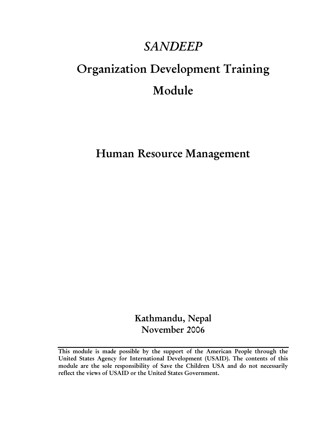# *SANDEEP*

# Organization Development Training Module

Human Resource Management

Kathmandu, Nepal November 2006

This module is made possible by the support of the American People through the United States Agency for International Development (USAID). The contents of this module are the sole responsibility of Save the Children USA and do not necessarily reflect the views of USAID or the United States Government.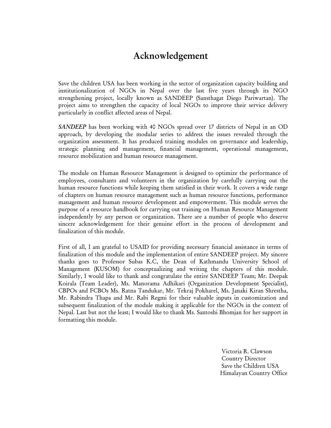# Acknowledgement

Save the children USA has been working in the sector of organization capacity building and institutionalization of NGOs in Nepal over the last five years through its NGO strengthening project, locally known as SANDEEP (Sansthagat Diego Pariwartan). The project aims to strengthen the capacity of local NGOs to improve their service delivery particularly in conflict affected areas of Nepal.

*SANDEEP* has been working with 40 NGOs spread over 17 districts of Nepal in an OD approach, by developing the modular series to address the issues revealed through the organization assessment. It has produced training modules on governance and leadership, strategic planning and management, financial management, operational management, resource mobilization and human resource management.

The module on Human Resource Management is designed to optimize the performance of employees, consultants and volunteers in the organization by carefully carrying out the human resource functions while keeping them satisfied in their work. It covers a wide range of chapters on human resource management such as human resource functions, performance management and human resource development and empowerment. This module serves the purpose of a resource handbook for carrying out training on Human Resource Management independently by any person or organization. There are a number of people who deserve sincere acknowledgement for their genuine effort in the process of development and finalization of this module.

First of all, I am grateful to USAID for providing necessary financial assistance in terms of finalization of this module and the implementation of entire SANDEEP project. My sincere thanks goes to Professor Subas K.C, the Dean of Kathmandu University School of Management (KUSOM) for conceptualizing and writing the chapters of this module. Similarly, I would like to thank and congratulate the entire SANDEEP Team; Mr. Deepak Koirala (Team Leader), Ms. Manorama Adhikari (Organization Development Specialist), CBPOs and FCBOs Ms. Ratna Tandukar, Mr. Tekraj Pokharel, Ms. Janaki Kiran Shrestha, Mr. Rabindra Thapa and Mr. Rabi Regmi for their valuable inputs in customization and subsequent finalization of the module making it applicable for the NGOs in the context of Nepal. Last but not the least; I would like to thank Ms. Santoshi Bhomjan for her support in formatting this module.

> Victoria R. Clawson Country Director Save the Children USA Himalayan Country Office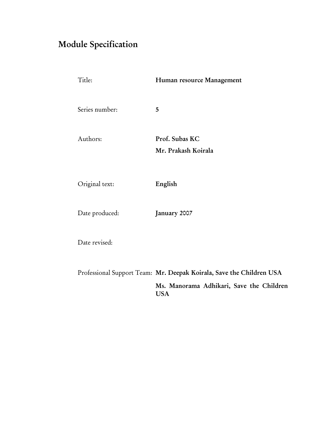# <span id="page-2-0"></span>Module Specification

| Title:         | Human resource Management             |
|----------------|---------------------------------------|
| Series number: | 5                                     |
| Authors:       | Prof. Subas KC<br>Mr. Prakash Koirala |
| Original text: | English                               |
| Date produced: | January 2007                          |
| Date revised:  |                                       |

Professional Support Team: Mr. Deepak Koirala, Save the Children USA Ms. Manorama Adhikari, Save the Children USA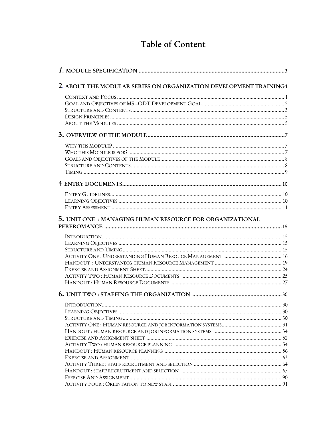# Table of Content

| 2. ABOUT THE MODULAR SERIES ON ORGANIZATION DEVELOPMENT TRAINING1 |  |
|-------------------------------------------------------------------|--|
|                                                                   |  |
|                                                                   |  |
|                                                                   |  |
|                                                                   |  |
|                                                                   |  |
|                                                                   |  |
|                                                                   |  |
|                                                                   |  |
|                                                                   |  |
|                                                                   |  |
|                                                                   |  |
|                                                                   |  |
|                                                                   |  |
|                                                                   |  |
|                                                                   |  |
| 5. UNIT ONE: MANAGING HUMAN RESOURCE FOR ORGANIZATIONAL           |  |
|                                                                   |  |
|                                                                   |  |
|                                                                   |  |
|                                                                   |  |
|                                                                   |  |
|                                                                   |  |
|                                                                   |  |
|                                                                   |  |
|                                                                   |  |
|                                                                   |  |
|                                                                   |  |
|                                                                   |  |
|                                                                   |  |
|                                                                   |  |
|                                                                   |  |
|                                                                   |  |
|                                                                   |  |
|                                                                   |  |
|                                                                   |  |
|                                                                   |  |
|                                                                   |  |
|                                                                   |  |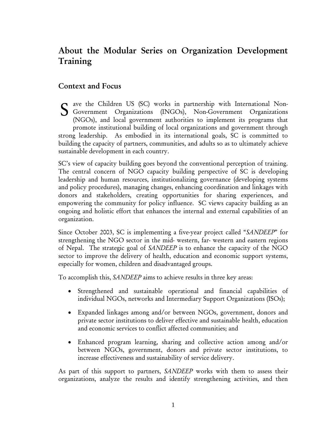# About the Modular Series on Organization Development Training

### Context and Focus

ave the Children US (SC) works in partnership with International Non-S ave the Children US (SC) works in partnership with International Non-<br>Government Organizations (INGOs), Non-Government Organizations<br>(NGOs) and local occurrent outborities to implement its programs that (NGOs), and local government authorities to implement its programs that promote institutional building of local organizations and government through strong leadership. As embodied in its international goals, SC is committed to building the capacity of partners, communities, and adults so as to ultimately achieve sustainable development in each country.

SC's view of capacity building goes beyond the conventional perception of training. The central concern of NGO capacity building perspective of SC is developing leadership and human resources, institutionalizing governance (developing systems and policy procedures), managing changes, enhancing coordination and linkages with donors and stakeholders, creating opportunities for sharing experiences, and empowering the community for policy influence. SC views capacity building as an ongoing and holistic effort that enhances the internal and external capabilities of an organization.

Since October 2003, SC is implementing a five-year project called "*SANDEEP*" for strengthening the NGO sector in the mid- western, far- western and eastern regions of Nepal. The strategic goal of *SANDEEP* is to enhance the capacity of the NGO sector to improve the delivery of health, education and economic support systems, especially for women, children and disadvantaged groups.

To accomplish this, *SANDEEP* aims to achieve results in three key areas:

- Strengthened and sustainable operational and financial capabilities of individual NGOs, networks and Intermediary Support Organizations (ISOs);
- Expanded linkages among and/or between NGOs, government, donors and private sector institutions to deliver effective and sustainable health, education and economic services to conflict affected communities; and
- Enhanced program learning, sharing and collective action among and/or between NGOs, government, donors and private sector institutions, to increase effectiveness and sustainability of service delivery.

As part of this support to partners, *SANDEEP* works with them to assess their organizations, analyze the results and identify strengthening activities, and then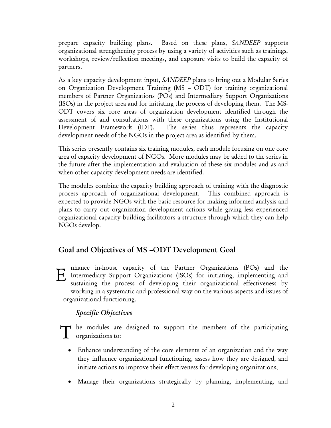prepare capacity building plans. Based on these plans, *SANDEEP* supports organizational strengthening process by using a variety of activities such as trainings, workshops, review/reflection meetings, and exposure visits to build the capacity of partners.

As a key capacity development input, *SANDEEP* plans to bring out a Modular Series on Organization Development Training (MS – ODT) for training organizational members of Partner Organizations (POs) and Intermediary Support Organizations (ISOs) in the project area and for initiating the process of developing them. The MS-ODT covers six core areas of organization development identified through the assessment of and consultations with these organizations using the Institutional Development Framework (IDF). The series thus represents the capacity development needs of the NGOs in the project area as identified by them.

This series presently contains six training modules, each module focusing on one core area of capacity development of NGOs. More modules may be added to the series in the future after the implementation and evaluation of these six modules and as and when other capacity development needs are identified.

The modules combine the capacity building approach of training with the diagnostic process approach of organizational development. This combined approach is expected to provide NGOs with the basic resource for making informed analysis and plans to carry out organization development actions while giving less experienced organizational capacity building facilitators a structure through which they can help NGOs develop.

# Goal and Objectives of MS –ODT Development Goal

nhance in-house capacity of the Partner Organizations (POs) and the Intermediary Support Organizations (ISOs) for initiating, implementing and sustaining the process of developing their organizational effectiveness by working in a systematic and professional way on the various aspects and issues of organizational functioning. E

# *Specific Objectives*

he modules are designed to support the members of the participating T he modules are<br>organizations to:

- Enhance understanding of the core elements of an organization and the way they influence organizational functioning, assess how they are designed, and initiate actions to improve their effectiveness for developing organizations;
- Manage their organizations strategically by planning, implementing, and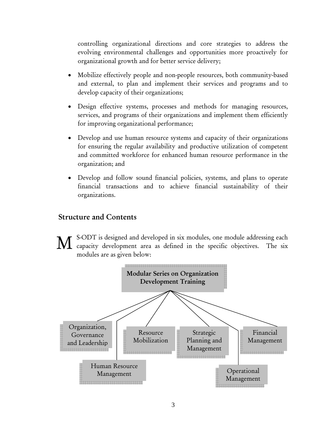controlling organizational directions and core strategies to address the evolving environmental challenges and opportunities more proactively for organizational growth and for better service delivery;

- Mobilize effectively people and non-people resources, both community-based and external, to plan and implement their services and programs and to develop capacity of their organizations;
- Design effective systems, processes and methods for managing resources, services, and programs of their organizations and implement them efficiently for improving organizational performance;
- Develop and use human resource systems and capacity of their organizations for ensuring the regular availability and productive utilization of competent and committed workforce for enhanced human resource performance in the organization; and
- Develop and follow sound financial policies, systems, and plans to operate financial transactions and to achieve financial sustainability of their organizations.

### Structure and Contents

S-ODT is designed and developed in six modules, one module addressing each M capacity development area as defined in the specific objectives. The six modules are as given below:

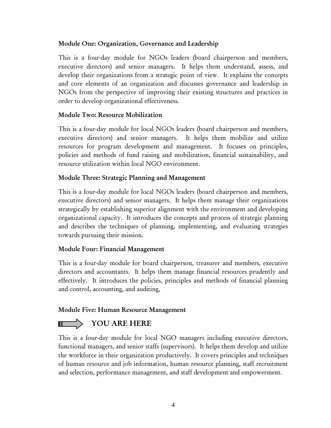#### Module One: Organization, Governance and Leadership

This is a four-day module for NGOs leaders (board chairperson and members, executive directors) and senior managers. It helps them understand, assess, and develop their organizations from a strategic point of view. It explains the concepts and core elements of an organization and discusses governance and leadership in NGOs from the perspective of improving their existing structures and practices in order to develop organizational effectiveness.

#### Module Two: Resource Mobilization

This is a four-day module for local NGOs leaders (board chairperson and members, executive directors) and senior managers. It helps them mobilize and utilize resources for program development and management. It focuses on principles, policies and methods of fund raising and mobilization, financial sustainability, and resource utilization within local NGO environment.

#### Module Three: Strategic Planning and Management

This is a four-day module for local NGOs leaders (board chairperson and members, executive directors) and senior managers. It helps them manage their organizations strategically by establishing superior alignment with the environment and developing organizational capacity. It introduces the concepts and process of strategic planning and describes the techniques of planning, implementing, and evaluating strategies towards pursuing their mission.

#### Module Four: Financial Management

This is a four-day module for board chairperson, treasurer and members, executive directors and accountants. It helps them manage financial resources prudently and effectively. It introduces the policies, principles and methods of financial planning and control, accounting, and auditing,

#### Module Five: Human Resource Management

# **WELLET DE YOU ARE HERE**

This is a four-day module for local NGO managers including executive directors, functional managers, and senior staffs (supervisors). It helps them develop and utilize the workforce in their organization productively. It covers principles and techniques of human resource and job information, human resource planning, staff recruitment and selection, performance management, and staff development and empowerment.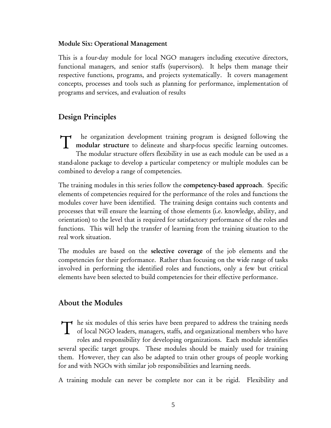#### Module Six: Operational Management

This is a four-day module for local NGO managers including executive directors, functional managers, and senior staffs (supervisors). It helps them manage their respective functions, programs, and projects systematically. It covers management concepts, processes and tools such as planning for performance, implementation of programs and services, and evaluation of results

# Design Principles

he organization development training program is designed following the T he organization development training program is designed following the modular structure to delineate and sharp-focus specific learning outcomes. The modular structure offers flexibility in use as each module can be used as a stand-alone package to develop a particular competency or multiple modules can be combined to develop a range of competencies.

The training modules in this series follow the competency-based approach. Specific elements of competencies required for the performance of the roles and functions the modules cover have been identified. The training design contains such contents and processes that will ensure the learning of those elements (i.e. knowledge, ability, and orientation) to the level that is required for satisfactory performance of the roles and functions. This will help the transfer of learning from the training situation to the real work situation.

The modules are based on the selective coverage of the job elements and the competencies for their performance. Rather than focusing on the wide range of tasks involved in performing the identified roles and functions, only a few but critical elements have been selected to build competencies for their effective performance.

### About the Modules

he six modules of this series have been prepared to address the training needs The six modules of this series have been prepared to address the training needs of local NGO leaders, managers, staffs, and organizational members who have roles and responsibility for developing organizations. Each module identifies several specific target groups. These modules should be mainly used for training them. However, they can also be adapted to train other groups of people working for and with NGOs with similar job responsibilities and learning needs.

A training module can never be complete nor can it be rigid. Flexibility and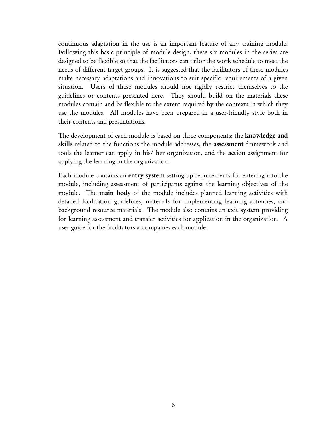continuous adaptation in the use is an important feature of any training module. Following this basic principle of module design, these six modules in the series are designed to be flexible so that the facilitators can tailor the work schedule to meet the needs of different target groups. It is suggested that the facilitators of these modules make necessary adaptations and innovations to suit specific requirements of a given situation. Users of these modules should not rigidly restrict themselves to the guidelines or contents presented here. They should build on the materials these modules contain and be flexible to the extent required by the contexts in which they use the modules. All modules have been prepared in a user-friendly style both in their contents and presentations.

The development of each module is based on three components: the knowledge and skills related to the functions the module addresses, the assessment framework and tools the learner can apply in his/ her organization, and the action assignment for applying the learning in the organization.

Each module contains an entry system setting up requirements for entering into the module, including assessment of participants against the learning objectives of the module. The main body of the module includes planned learning activities with detailed facilitation guidelines, materials for implementing learning activities, and background resource materials. The module also contains an exit system providing for learning assessment and transfer activities for application in the organization. A user guide for the facilitators accompanies each module.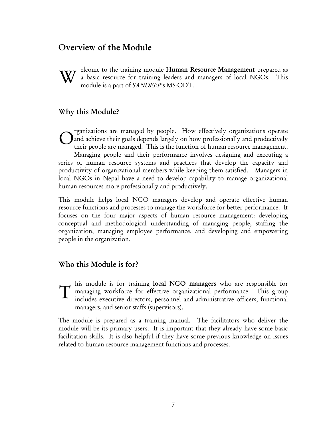# Overview of the Module



elcome to the training module Human Resource Management prepared as a basic resource for training leaders and managers of local NGOs. This module is a part of *SANDEEP*'s MS-ODT.

#### Why this Module?

rganizations are managed by people. How effectively organizations operate and achieve their goals depends largely on how professionally and productively their people are managed. This is the function of human resource management. Managing people and their performance involves designing and executing a series of human resource systems and practices that develop the capacity and productivity of organizational members while keeping them satisfied. Managers in local NGOs in Nepal have a need to develop capability to manage organizational human resources more professionally and productively. O

This module helps local NGO managers develop and operate effective human resource functions and processes to manage the workforce for better performance. It focuses on the four major aspects of human resource management: developing conceptual and methodological understanding of managing people, staffing the organization, managing employee performance, and developing and empowering people in the organization.

#### Who this Module is for?

his module is for training local NGO managers who are responsible for managing workforce for effective organizational performance. This group includes executive directors, personnel and administrative officers, functional managers, and senior staffs (supervisors). T

The module is prepared as a training manual. The facilitators who deliver the module will be its primary users. It is important that they already have some basic facilitation skills. It is also helpful if they have some previous knowledge on issues related to human resource management functions and processes.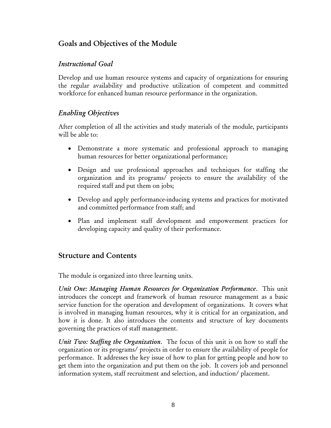# Goals and Objectives of the Module

### *Instructional Goal*

Develop and use human resource systems and capacity of organizations for ensuring the regular availability and productive utilization of competent and committed workforce for enhanced human resource performance in the organization.

### *Enabling Objectives*

After completion of all the activities and study materials of the module, participants will be able to:

- Demonstrate a more systematic and professional approach to managing human resources for better organizational performance;
- Design and use professional approaches and techniques for staffing the organization and its programs/ projects to ensure the availability of the required staff and put them on jobs;
- Develop and apply performance-inducing systems and practices for motivated and committed performance from staff; and
- Plan and implement staff development and empowerment practices for developing capacity and quality of their performance.

# Structure and Contents

The module is organized into three learning units.

*Unit One: Managing Human Resources for Organization Performance*. This unit introduces the concept and framework of human resource management as a basic service function for the operation and development of organizations. It covers what is involved in managing human resources, why it is critical for an organization, and how it is done. It also introduces the contents and structure of key documents governing the practices of staff management.

*Unit Two: Staffing the Organization*. The focus of this unit is on how to staff the organization or its programs/ projects in order to ensure the availability of people for performance. It addresses the key issue of how to plan for getting people and how to get them into the organization and put them on the job. It covers job and personnel information system, staff recruitment and selection, and induction/ placement.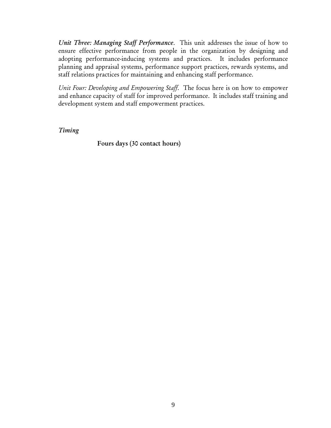*Unit Three: Managing Staff Performance*. This unit addresses the issue of how to ensure effective performance from people in the organization by designing and adopting performance-inducing systems and practices. It includes performance planning and appraisal systems, performance support practices, rewards systems, and staff relations practices for maintaining and enhancing staff performance.

*Unit Four: Developing and Empowering Staff*. The focus here is on how to empower and enhance capacity of staff for improved performance. It includes staff training and development system and staff empowerment practices.

*Timing*

Fours days (30 contact hours)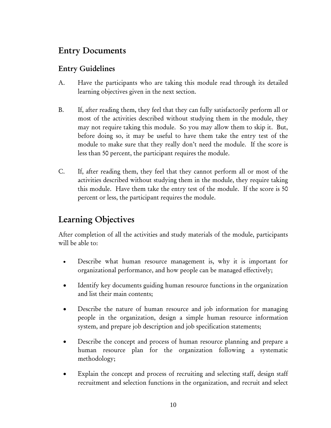# Entry Documents

# Entry Guidelines

- A. Have the participants who are taking this module read through its detailed learning objectives given in the next section.
- B. If, after reading them, they feel that they can fully satisfactorily perform all or most of the activities described without studying them in the module, they may not require taking this module. So you may allow them to skip it. But, before doing so, it may be useful to have them take the entry test of the module to make sure that they really don't need the module. If the score is less than 50 percent, the participant requires the module.
- C. If, after reading them, they feel that they cannot perform all or most of the activities described without studying them in the module, they require taking this module. Have them take the entry test of the module. If the score is 50 percent or less, the participant requires the module.

# Learning Objectives

After completion of all the activities and study materials of the module, participants will be able to:

- Describe what human resource management is, why it is important for organizational performance, and how people can be managed effectively;
- Identify key documents guiding human resource functions in the organization and list their main contents;
- Describe the nature of human resource and job information for managing people in the organization, design a simple human resource information system, and prepare job description and job specification statements;
- Describe the concept and process of human resource planning and prepare a human resource plan for the organization following a systematic methodology;
- Explain the concept and process of recruiting and selecting staff, design staff recruitment and selection functions in the organization, and recruit and select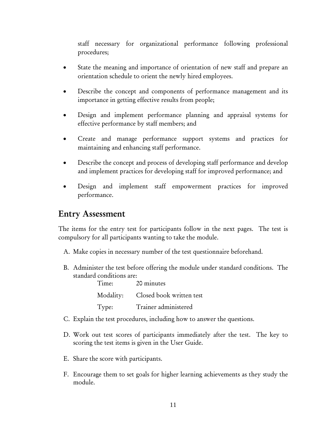staff necessary for organizational performance following professional procedures;

- State the meaning and importance of orientation of new staff and prepare an orientation schedule to orient the newly hired employees.
- Describe the concept and components of performance management and its importance in getting effective results from people;
- Design and implement performance planning and appraisal systems for effective performance by staff members; and
- Create and manage performance support systems and practices for maintaining and enhancing staff performance.
- Describe the concept and process of developing staff performance and develop and implement practices for developing staff for improved performance; and
- Design and implement staff empowerment practices for improved performance.

# Entry Assessment

The items for the entry test for participants follow in the next pages. The test is compulsory for all participants wanting to take the module.

- A. Make copies in necessary number of the test questionnaire beforehand.
- B. Administer the test before offering the module under standard conditions. The standard conditions are:

| Time: | 20 minutes                         |
|-------|------------------------------------|
|       | Modality: Closed book written test |
| Type: | Trainer administered               |

- C. Explain the test procedures, including how to answer the questions.
- D. Work out test scores of participants immediately after the test. The key to scoring the test items is given in the User Guide.
- E. Share the score with participants.
- F. Encourage them to set goals for higher learning achievements as they study the module.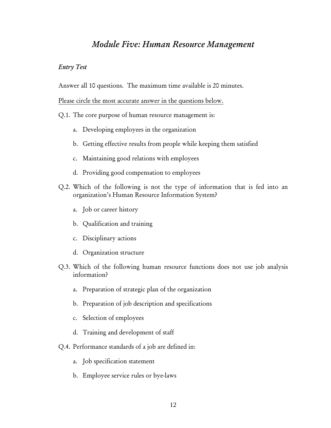# *Module Five: Human Resource Management*

#### *Entry Test*

Answer all 10 questions. The maximum time available is 20 minutes.

Please circle the most accurate answer in the questions below.

Q.1. The core purpose of human resource management is:

- a. Developing employees in the organization
- b. Getting effective results from people while keeping them satisfied
- c. Maintaining good relations with employees
- d. Providing good compensation to employees
- Q.2. Which of the following is not the type of information that is fed into an organization's Human Resource Information System?
	- a. Job or career history
	- b. Qualification and training
	- c. Disciplinary actions
	- d. Organization structure
- Q.3. Which of the following human resource functions does not use job analysis information?
	- a. Preparation of strategic plan of the organization
	- b. Preparation of job description and specifications
	- c. Selection of employees
	- d. Training and development of staff
- Q.4. Performance standards of a job are defined in:
	- a. Job specification statement
	- b. Employee service rules or bye-laws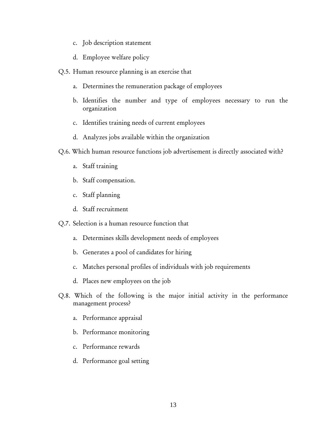- c. Job description statement
- d. Employee welfare policy
- Q.5. Human resource planning is an exercise that
	- a. Determines the remuneration package of employees
	- b. Identifies the number and type of employees necessary to run the organization
	- c. Identifies training needs of current employees
	- d. Analyzes jobs available within the organization
- Q.6. Which human resource functions job advertisement is directly associated with?
	- a. Staff training
	- b. Staff compensation.
	- c. Staff planning
	- d. Staff recruitment
- Q.7. Selection is a human resource function that
	- a. Determines skills development needs of employees
	- b. Generates a pool of candidates for hiring
	- c. Matches personal profiles of individuals with job requirements
	- d. Places new employees on the job
- Q.8. Which of the following is the major initial activity in the performance management process?
	- a. Performance appraisal
	- b. Performance monitoring
	- c. Performance rewards
	- d. Performance goal setting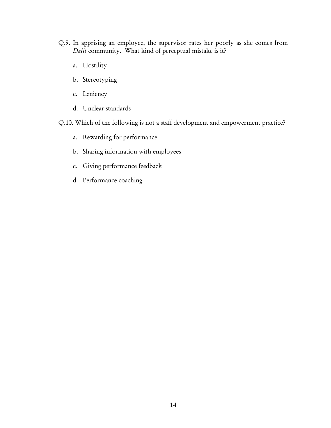- Q.9. In apprising an employee, the supervisor rates her poorly as she comes from *Dalit* community. What kind of perceptual mistake is it?
	- a. Hostility
	- b. Stereotyping
	- c. Leniency
	- d. Unclear standards

Q.10. Which of the following is not a staff development and empowerment practice?

- a. Rewarding for performance
- b. Sharing information with employees
- c. Giving performance feedback
- d. Performance coaching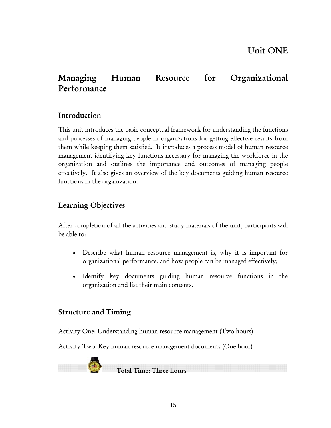# Managing Human Resource for Organizational Performance

# Introduction

This unit introduces the basic conceptual framework for understanding the functions and processes of managing people in organizations for getting effective results from them while keeping them satisfied. It introduces a process model of human resource management identifying key functions necessary for managing the workforce in the organization and outlines the importance and outcomes of managing people effectively. It also gives an overview of the key documents guiding human resource functions in the organization.

# Learning Objectives

After completion of all the activities and study materials of the unit, participants will be able to:

- Describe what human resource management is, why it is important for organizational performance, and how people can be managed effectively;
- Identify key documents guiding human resource functions in the organization and list their main contents.

# Structure and Timing

Activity One: Understanding human resource management (Two hours)

Activity Two: Key human resource management documents (One hour)



Total Time: Three hours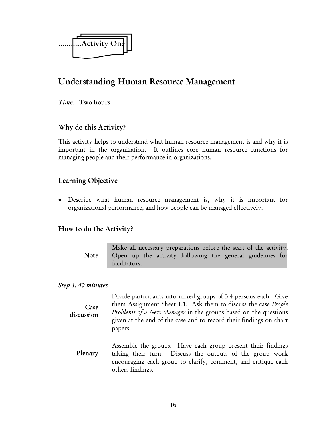

# Understanding Human Resource Management

*Time:* Two hours

### Why do this Activity?

This activity helps to understand what human resource management is and why it is important in the organization. It outlines core human resource functions for managing people and their performance in organizations.

### Learning Objective

• Describe what human resource management is, why it is important for organizational performance, and how people can be managed effectively.

### How to do the Activity?

Make all necessary preparations before the start of the activity. Open up the activity following the general guidelines for facilitators. Note

#### *Step 1: 40 minutes*

Divide participants into mixed groups of 3-4 persons each. Give them Assignment Sheet 1.1. Ask them to discuss the case *People Problems of a New Manager* in the groups based on the questions given at the end of the case and to record their findings on chart papers. Case discussion

Assemble the groups. Have each group present their findings taking their turn. Discuss the outputs of the group work encouraging each group to clarify, comment, and critique each others findings. Plenary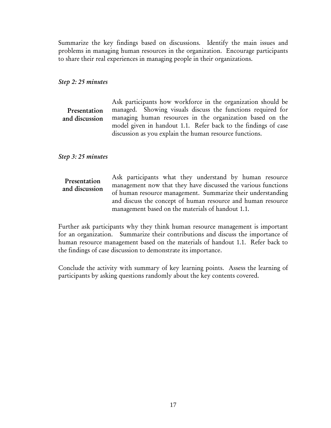Summarize the key findings based on discussions. Identify the main issues and problems in managing human resources in the organization. Encourage participants to share their real experiences in managing people in their organizations.

#### *Step 2: 25 minutes*

|                | Ask participants how workforce in the organization should be   |
|----------------|----------------------------------------------------------------|
| Presentation   | managed. Showing visuals discuss the functions required for    |
| and discussion | managing human resources in the organization based on the      |
|                | model given in handout 1.1. Refer back to the findings of case |
|                | discussion as you explain the human resource functions.        |

*Step 3: 25 minutes* 

Ask participants what they understand by human resource management now that they have discussed the various functions of human resource management. Summarize their understanding and discuss the concept of human resource and human resource management based on the materials of handout 1.1. Presentation and discussion

Further ask participants why they think human resource management is important for an organization. Summarize their contributions and discuss the importance of human resource management based on the materials of handout 1.1. Refer back to the findings of case discussion to demonstrate its importance.

Conclude the activity with summary of key learning points. Assess the learning of participants by asking questions randomly about the key contents covered.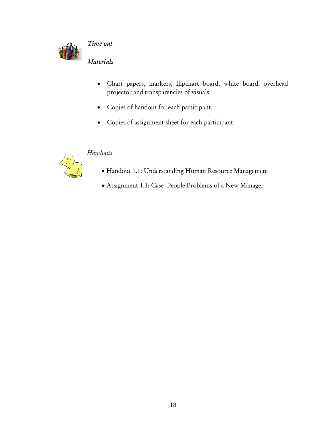

*Time out* 

*Materials* 

- Chart papers, markers, flipchart board, white board, overhead projector and transparencies of visuals.
- Copies of handout for each participant.
- Copies of assignment sheet for each participant.

# *Handouts*



- Handout 1.1: Understanding Human Resource Management
- Assignment 1.1: Case- People Problems of a New Manager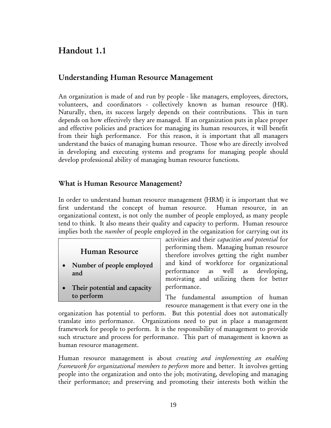# Handout 1.1

# Understanding Human Resource Management

An organization is made of and run by people - like managers, employees, directors, volunteers, and coordinators - collectively known as human resource (HR). Naturally, then, its success largely depends on their contributions. This in turn depends on how effectively they are managed. If an organization puts in place proper and effective policies and practices for managing its human resources, it will benefit from their high performance. For this reason, it is important that all managers understand the basics of managing human resource. Those who are directly involved in developing and executing systems and programs for managing people should develop professional ability of managing human resource functions.

#### What is Human Resource Management?

In order to understand human resource management (HRM) it is important that we first understand the concept of human resource. Human resource, in an organizational context, is not only the number of people employed, as many people tend to think. It also means their quality and capacity to perform. Human resource implies both the *number* of people employed in the organization for carrying out its

# Human Resource

- Number of people employed and
- Their potential and capacity to perform

activities and their *capacities and potential* for performing them. Managing human resource therefore involves getting the right number and kind of workforce for organizational performance as well as developing, motivating and utilizing them for better performance.

The fundamental assumption of human resource management is that every one in the

organization has potential to perform. But this potential does not automatically translate into performance. Organizations need to put in place a management framework for people to perform. It is the responsibility of management to provide such structure and process for performance. This part of management is known as human resource management.

Human resource management is about *creating and implementing an enabling framework for organizational members to perform* more and better. It involves getting people into the organization and onto the job; motivating, developing and managing their performance; and preserving and promoting their interests both within the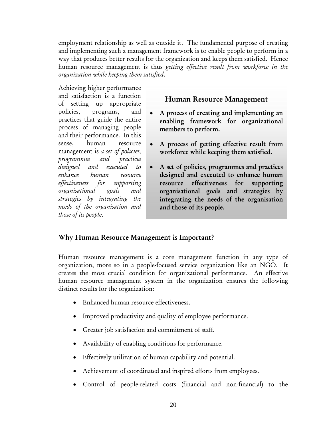employment relationship as well as outside it. The fundamental purpose of creating and implementing such a management framework is to enable people to perform in a way that produces better results for the organization and keeps them satisfied. Hence human resource management is thus *getting effective result from workforce in the organization while keeping them satisfied*.

Achieving higher performance and satisfaction is a function of setting up appropriate policies, programs, and practices that guide the entire process of managing people and their performance. In this sense, human resource management is *a set of policies, programmes and practices designed and executed to enhance human resource effectiveness for supporting organisational goals and strategies by integrating the needs of the organisation and those of its people*.

# Human Resource Management

- A process of creating and implementing an enabling framework for organizational members to perform.
- A process of getting effective result from workforce while keeping them satisfied.
- A set of policies, programmes and practices designed and executed to enhance human resource effectiveness for supporting organisational goals and strategies by integrating the needs of the organisation and those of its people.

### Why Human Resource Management is Important?

Human resource management is a core management function in any type of organization, more so in a people-focused service organization like an NGO. It creates the most crucial condition for organizational performance. An effective human resource management system in the organization ensures the following distinct results for the organization:

- Enhanced human resource effectiveness.
- Improved productivity and quality of employee performance.
- Greater job satisfaction and commitment of staff.
- Availability of enabling conditions for performance.
- Effectively utilization of human capability and potential.
- Achievement of coordinated and inspired efforts from employees.
- Control of people-related costs (financial and non-financial) to the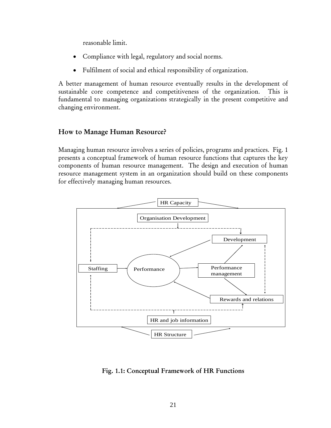reasonable limit.

- Compliance with legal, regulatory and social norms.
- Fulfilment of social and ethical responsibility of organization.

A better management of human resource eventually results in the development of sustainable core competence and competitiveness of the organization. This is fundamental to managing organizations strategically in the present competitive and changing environment.

# How to Manage Human Resource?

Managing human resource involves a series of policies, programs and practices. Fig. 1 presents a conceptual framework of human resource functions that captures the key components of human resource management. The design and execution of human resource management system in an organization should build on these components for effectively managing human resources.



Fig. 1.1: Conceptual Framework of HR Functions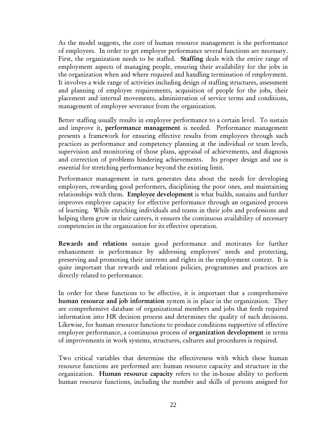As the model suggests, the core of human resource management is the performance of employees. In order to get employee performance several functions are necessary. First, the organization needs to be staffed. Staffing deals with the entire range of employment aspects of managing people, ensuring their availability for the jobs in the organization when and where required and handling termination of employment. It involves a wide range of activities including design of staffing structures, assessment and planning of employee requirements, acquisition of people for the jobs, their placement and internal movements, administration of service terms and conditions, management of employee severance from the organization.

Better staffing usually results in employee performance to a certain level. To sustain and improve it, performance management is needed. Performance management presents a framework for ensuring effective results from employees through such practices as performance and competency planning at the individual or team levels, supervision and monitoring of those plans, appraisal of achievements, and diagnosis and correction of problems hindering achievements. Its proper design and use is essential for stretching performance beyond the existing limit.

Performance management in turn generates data about the needs for developing employees, rewarding good performers, disciplining the poor ones, and maintaining relationships with them. Employee development is what builds, sustains and further improves employee capacity for effective performance through an organized process of learning. While enriching individuals and teams in their jobs and professions and helping them grow in their careers, it ensures the continuous availability of necessary competencies in the organization for its effective operation.

Rewards and relations sustain good performance and motivates for further enhancement in performance by addressing employees' needs and protecting, preserving and promoting their interests and rights in the employment context. It is quite important that rewards and relations policies, programmes and practices are directly related to performance.

In order for these functions to be effective, it is important that a comprehensive human resource and job information system is in place in the organization. They are comprehensive database of organizational members and jobs that feeds required information into HR decision process and determines the quality of such decisions. Likewise, for human resource functions to produce conditions supportive of effective employee performance, a continuous process of organization development in terms of improvements in work systems, structures, cultures and procedures is required.

Two critical variables that determine the effectiveness with which these human resource functions are performed are: human resource capacity and structure in the organization. Human resource capacity refers to the in-house ability to perform human resource functions, including the number and skills of persons assigned for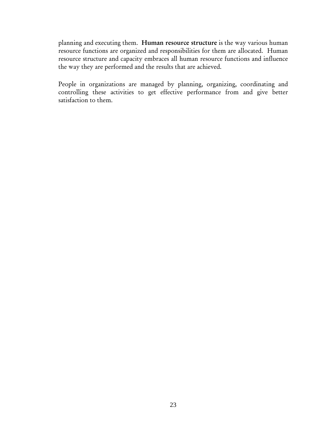planning and executing them. Human resource structure is the way various human resource functions are organized and responsibilities for them are allocated. Human resource structure and capacity embraces all human resource functions and influence the way they are performed and the results that are achieved.

People in organizations are managed by planning, organizing, coordinating and controlling these activities to get effective performance from and give better satisfaction to them.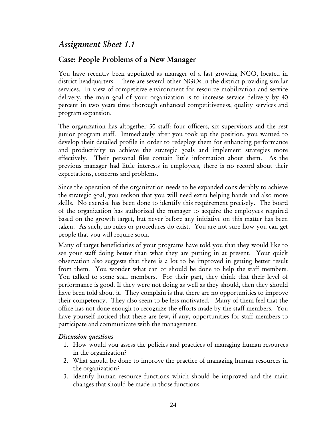# *Assignment Sheet 1.1*

# Case: People Problems of a New Manager

You have recently been appointed as manager of a fast growing NGO, located in district headquarters. There are several other NGOs in the district providing similar services. In view of competitive environment for resource mobilization and service delivery, the main goal of your organization is to increase service delivery by 40 percent in two years time thorough enhanced competitiveness, quality services and program expansion.

The organization has altogether 30 staff: four officers, six supervisors and the rest junior program staff. Immediately after you took up the position, you wanted to develop their detailed profile in order to redeploy them for enhancing performance and productivity to achieve the strategic goals and implement strategies more effectively. Their personal files contain little information about them. As the previous manager had little interests in employees, there is no record about their expectations, concerns and problems.

Since the operation of the organization needs to be expanded considerably to achieve the strategic goal, you reckon that you will need extra helping hands and also more skills. No exercise has been done to identify this requirement precisely. The board of the organization has authorized the manager to acquire the employees required based on the growth target, but never before any initiative on this matter has been taken. As such, no rules or procedures do exist. You are not sure how you can get people that you will require soon.

Many of target beneficiaries of your programs have told you that they would like to see your staff doing better than what they are putting in at present. Your quick observation also suggests that there is a lot to be improved in getting better result from them. You wonder what can or should be done to help the staff members. You talked to some staff members. For their part, they think that their level of performance is good. If they were not doing as well as they should, then they should have been told about it. They complain is that there are no opportunities to improve their competency. They also seem to be less motivated. Many of them feel that the office has not done enough to recognize the efforts made by the staff members. You have yourself noticed that there are few, if any, opportunities for staff members to participate and communicate with the management.

#### *Discussion questions*

- 1. How would you assess the policies and practices of managing human resources in the organization?
- 2. What should be done to improve the practice of managing human resources in the organization?
- 3. Identify human resource functions which should be improved and the main changes that should be made in those functions.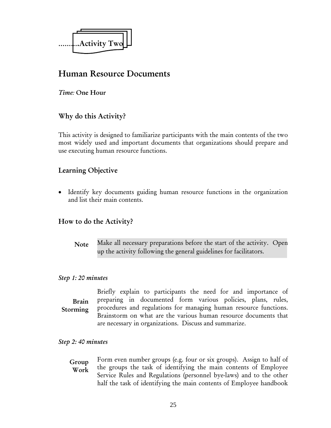

# Human Resource Documents

#### *Time:* One Hour

### Why do this Activity?

This activity is designed to familiarize participants with the main contents of the two most widely used and important documents that organizations should prepare and use executing human resource functions.

### Learning Objective

• Identify key documents guiding human resource functions in the organization and list their main contents.

#### How to do the Activity?

Make all necessary preparations before the start of the activity. Open up the activity following the general guidelines for facilitators. **Note** 

#### *Step 1: 20 minutes*

Briefly explain to participants the need for and importance of preparing in documented form various policies, plans, rules, procedures and regulations for managing human resource functions. Brainstorm on what are the various human resource documents that are necessary in organizations. Discuss and summarize. Brain Storming

#### *Step 2: 40 minutes*

Form even number groups (e.g. four or six groups). Assign to half of the groups the task of identifying the main contents of Employee Service Rules and Regulations (personnel bye-laws) and to the other half the task of identifying the main contents of Employee handbook Group Work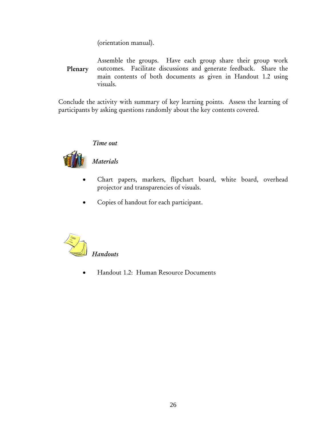(orientation manual).

Assemble the groups. Have each group share their group work outcomes. Facilitate discussions and generate feedback. Share the main contents of both documents as given in Handout 1.2 using visuals. Plenary

Conclude the activity with summary of key learning points. Assess the learning of participants by asking questions randomly about the key contents covered.

### *Time out*



### *Materials*

- Chart papers, markers, flipchart board, white board, overhead projector and transparencies of visuals.
- Copies of handout for each participant.



• Handout 1.2: Human Resource Documents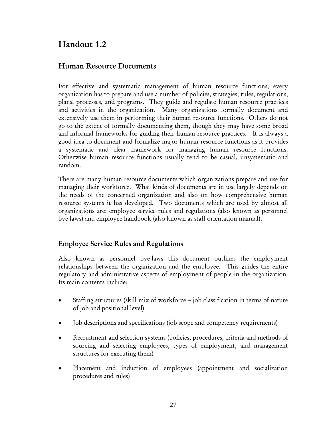# Handout 1.2

# Human Resource Documents

For effective and systematic management of human resource functions, every organization has to prepare and use a number of policies, strategies, rules, regulations, plans, processes, and programs. They guide and regulate human resource practices and activities in the organization. Many organizations formally document and extensively use them in performing their human resource functions. Others do not go to the extent of formally documenting them, though they may have some broad and informal frameworks for guiding their human resource practices. It is always a good idea to document and formalize major human resource functions as it provides a systematic and clear framework for managing human resource functions. Otherwise human resource functions usually tend to be casual, unsystematic and random.

There are many human resource documents which organizations prepare and use for managing their workforce. What kinds of documents are in use largely depends on the needs of the concerned organization and also on how comprehensive human resource systems it has developed. Two documents which are used by almost all organizations are: employee service rules and regulations (also known as personnel bye-laws) and employee handbook (also known as staff orientation manual).

### Employee Service Rules and Regulations

Also known as personnel bye-laws this document outlines the employment relationships between the organization and the employee. This guides the entire regulatory and administrative aspects of employment of people in the organization. Its main contents include:

- Staffing structures (skill mix of workforce job classification in terms of nature of job and positional level)
- Job descriptions and specifications (job scope and competency requirements)
- Recruitment and selection systems (policies, procedures, criteria and methods of sourcing and selecting employees, types of employment, and management structures for executing them)
- Placement and induction of employees (appointment and socialization procedures and rules)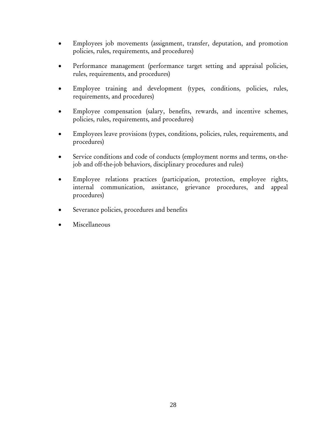- Employees job movements (assignment, transfer, deputation, and promotion policies, rules, requirements, and procedures)
- Performance management (performance target setting and appraisal policies, rules, requirements, and procedures)
- Employee training and development (types, conditions, policies, rules, requirements, and procedures)
- Employee compensation (salary, benefits, rewards, and incentive schemes, policies, rules, requirements, and procedures)
- Employees leave provisions (types, conditions, policies, rules, requirements, and procedures)
- Service conditions and code of conducts (employment norms and terms, on-thejob and off-the-job behaviors, disciplinary procedures and rules)
- Employee relations practices (participation, protection, employee rights, internal communication, assistance, grievance procedures, and appeal procedures)
- Severance policies, procedures and benefits
- Miscellaneous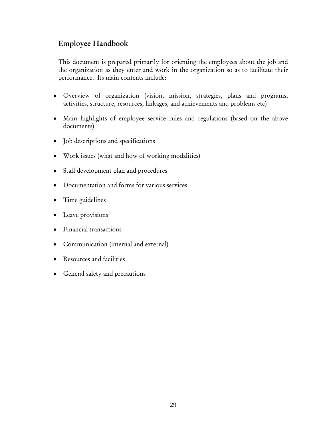# Employee Handbook

This document is prepared primarily for orienting the employees about the job and the organization as they enter and work in the organization so as to facilitate their performance. Its main contents include:

- Overview of organization (vision, mission, strategies, plans and programs, activities, structure, resources, linkages, and achievements and problems etc)
- Main highlights of employee service rules and regulations (based on the above documents)
- Job descriptions and specifications
- Work issues (what and how of working modalities)
- Staff development plan and procedures
- Documentation and forms for various services
- Time guidelines
- Leave provisions
- Financial transactions
- Communication (internal and external)
- Resources and facilities
- General safety and precautions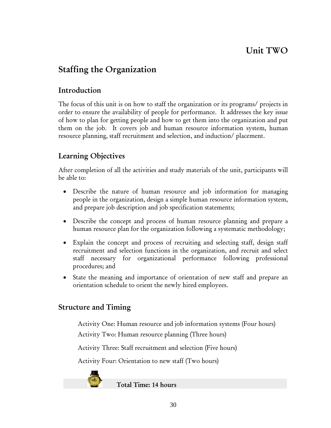# Unit TWO

# Staffing the Organization

# Introduction

The focus of this unit is on how to staff the organization or its programs/ projects in order to ensure the availability of people for performance. It addresses the key issue of how to plan for getting people and how to get them into the organization and put them on the job. It covers job and human resource information system, human resource planning, staff recruitment and selection, and induction/ placement.

# Learning Objectives

After completion of all the activities and study materials of the unit, participants will be able to:

- Describe the nature of human resource and job information for managing people in the organization, design a simple human resource information system, and prepare job description and job specification statements;
- Describe the concept and process of human resource planning and prepare a human resource plan for the organization following a systematic methodology;
- Explain the concept and process of recruiting and selecting staff, design staff recruitment and selection functions in the organization, and recruit and select staff necessary for organizational performance following professional procedures; and
- State the meaning and importance of orientation of new staff and prepare an orientation schedule to orient the newly hired employees.

# Structure and Timing

Activity One: Human resource and job information systems (Four hours) Activity Two: Human resource planning (Three hours)

Activity Three: Staff recruitment and selection (Five hours)

Activity Four: Orientation to new staff (Two hours)

Total Time: 14 hours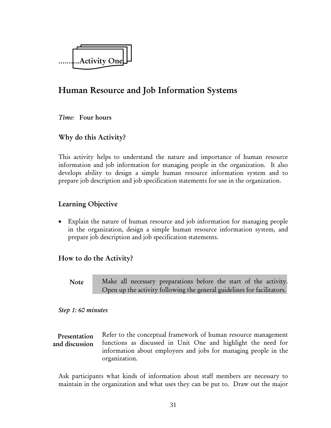

# Human Resource and Job Information Systems

*Time:* Four hours

### Why do this Activity?

This activity helps to understand the nature and importance of human resource information and job information for managing people in the organization. It also develops ability to design a simple human resource information system and to prepare job description and job specification statements for use in the organization.

# Learning Objective

• Explain the nature of human resource and job information for managing people in the organization, design a simple human resource information system, and prepare job description and job specification statements.

### How to do the Activity?

Note

Make all necessary preparations before the start of the activity. Open up the activity following the general guidelines for facilitators.

#### *Step 1: 60 minutes*

Refer to the conceptual framework of human resource management functions as discussed in Unit One and highlight the need for information about employees and jobs for managing people in the organization. Presentation and discussion

Ask participants what kinds of information about staff members are necessary to maintain in the organization and what uses they can be put to. Draw out the major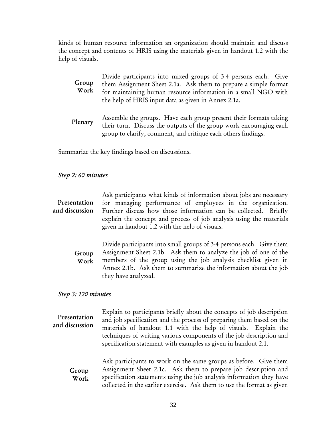kinds of human resource information an organization should maintain and discuss the concept and contents of HRIS using the materials given in handout 1.2 with the help of visuals.

| Group<br>Work | Divide participants into mixed groups of 3-4 persons each. Give<br>them Assignment Sheet 2.1a. Ask them to prepare a simple format<br>for maintaining human resource information in a small NGO with |
|---------------|------------------------------------------------------------------------------------------------------------------------------------------------------------------------------------------------------|
|               | the help of HRIS input data as given in Annex 2.1a.                                                                                                                                                  |

Assemble the groups. Have each group present their formats taking their turn. Discuss the outputs of the group work encouraging each group to clarify, comment, and critique each others findings. Plenary

Summarize the key findings based on discussions.

#### *Step 2: 60 minutes*

Ask participants what kinds of information about jobs are necessary for managing performance of employees in the organization. Further discuss how those information can be collected. Briefly explain the concept and process of job analysis using the materials given in handout 1.2 with the help of visuals. Presentation and discussion

Divide participants into small groups of 3-4 persons each. Give them Assignment Sheet 2.1b. Ask them to analyze the job of one of the members of the group using the job analysis checklist given in Annex 2.1b. Ask them to summarize the information about the job they have analyzed. Group Work

*Step 3: 120 minutes* 

Explain to participants briefly about the concepts of job description and job specification and the process of preparing them based on the materials of handout 1.1 with the help of visuals. Explain the techniques of writing various components of the job description and specification statement with examples as given in handout 2.1. Presentation and discussion

Ask participants to work on the same groups as before. Give them Assignment Sheet 2.1c. Ask them to prepare job description and specification statements using the job analysis information they have collected in the earlier exercise. Ask them to use the format as given Group Work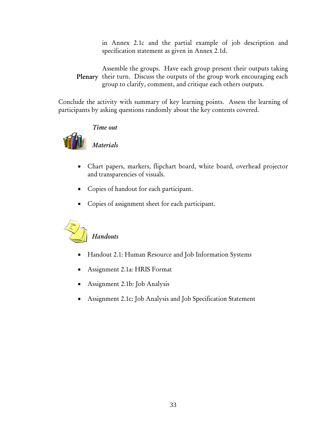in Annex 2.1c and the partial example of job description and specification statement as given in Annex 2.1d.

Assemble the groups. Have each group present their outputs taking Plenary their turn. Discuss the outputs of the group work encouraging each group to clarify, comment, and critique each others outputs.

Conclude the activity with summary of key learning points. Assess the learning of participants by asking questions randomly about the key contents covered.



## *Time out*

*Materials* 

- Chart papers, markers, flipchart board, white board, overhead projector and transparencies of visuals.
- Copies of handout for each participant.
- Copies of assignment sheet for each participant.



## *Handouts*

- Handout 2.1: Human Resource and Job Information Systems
- Assignment 2.1a: HRIS Format
- Assignment 2.1b: Job Analysis
- Assignment 2.1c: Job Analysis and Job Specification Statement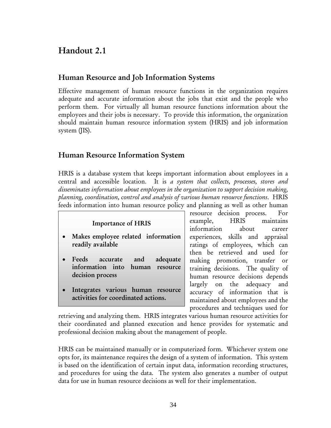# Handout 2.1

## Human Resource and Job Information Systems

Effective management of human resource functions in the organization requires adequate and accurate information about the jobs that exist and the people who perform them. For virtually all human resource functions information about the employees and their jobs is necessary. To provide this information, the organization should maintain human resource information system (HRIS) and job information system (JIS).

## Human Resource Information System

HRIS is a database system that keeps important information about employees in a central and accessible location. It is *a system that collects, processes, stores and disseminates information about employees in the organization to support decision making, planning, coordination, control and analysis of various human resource functions*. HRIS feeds information into human resource policy and planning as well as other human

#### Importance of HRIS

- Makes employee related information readily available
- Feeds accurate and adequate information into human resource decision process
- Integrates various human resource activities for coordinated actions.

resource decision process. For example, HRIS maintains information about career experiences, skills and appraisal ratings of employees, which can then be retrieved and used for making promotion, transfer or training decisions. The quality of human resource decisions depends largely on the adequacy and accuracy of information that is maintained about employees and the procedures and techniques used for

retrieving and analyzing them. HRIS integrates various human resource activities for their coordinated and planned execution and hence provides for systematic and professional decision making about the management of people.

HRIS can be maintained manually or in computerized form. Whichever system one opts for, its maintenance requires the design of a system of information. This system is based on the identification of certain input data, information recording structures, and procedures for using the data. The system also generates a number of output data for use in human resource decisions as well for their implementation.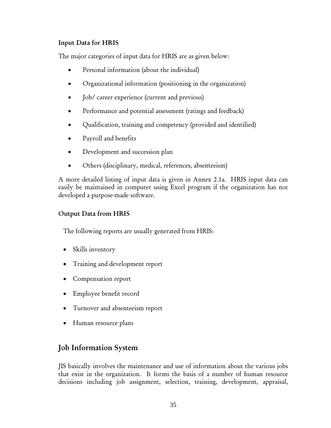### Input Data for HRIS

The major categories of input data for HRIS are as given below:

- Personal information (about the individual)
- Organizational information (positioning in the organization)
- **Job/** career experience (current and previous)
- Performance and potential assessment (ratings and feedback)
- Qualification, training and competency (provided and identified)
- Payroll and benefits
- Development and succession plan
- Others (disciplinary, medical, references, absenteeism)

A more detailed listing of input data is given in Annex 2.1a. HRIS input data can easily be maintained in computer using Excel program if the organization has not developed a purpose-made software.

### Output Data from HRIS

The following reports are usually generated from HRIS:

- Skills inventory
- Training and development report
- Compensation report
- Employee benefit record
- Turnover and absenteeism report
- Human resource plans

# Job Information System

JIS basically involves the maintenance and use of information about the various jobs that exist in the organization. It forms the basis of a number of human resource decisions including job assignment, selection, training, development, appraisal,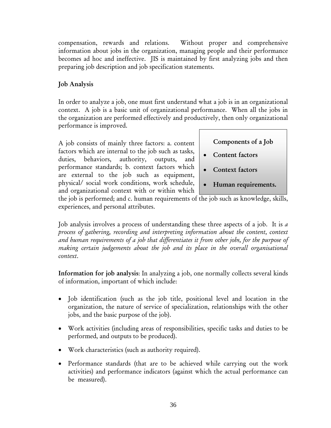compensation, rewards and relations. Without proper and comprehensive information about jobs in the organization, managing people and their performance becomes ad hoc and ineffective. JIS is maintained by first analyzing jobs and then preparing job description and job specification statements.

## Job Analysis

In order to analyze a job, one must first understand what a job is in an organizational context. A job is a basic unit of organizational performance. When all the jobs in the organization are performed effectively and productively, then only organizational performance is improved.

A job consists of mainly three factors: a. content factors which are internal to the job such as tasks, duties, behaviors, authority, outputs, and performance standards; b. context factors which are external to the job such as equipment, physical/ social work conditions, work schedule, and organizational context with or within which Components of a Job

- Content factors
- Context factors
- Human requirements.

the job is performed; and c. human requirements of the job such as knowledge, skills, experiences, and personal attributes.

Job analysis involves a process of understanding these three aspects of a job. It is *a process of gathering, recording and interpreting information about the content, context and human requirements of a job that differentiates it from other jobs, for the purpose of making certain judgements about the job and its place in the overall organisational context*.

Information for job analysis: In analyzing a job, one normally collects several kinds of information, important of which include:

- Job identification (such as the job title, positional level and location in the organization, the nature of service of specialization, relationships with the other jobs, and the basic purpose of the job).
- Work activities (including areas of responsibilities, specific tasks and duties to be performed, and outputs to be produced).
- Work characteristics (such as authority required).
- Performance standards (that are to be achieved while carrying out the work activities) and performance indicators (against which the actual performance can be measured).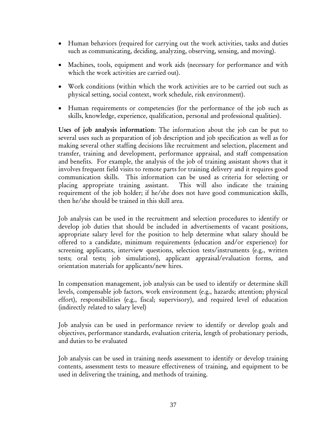- Human behaviors (required for carrying out the work activities, tasks and duties such as communicating, deciding, analyzing, observing, sensing, and moving).
- Machines, tools, equipment and work aids (necessary for performance and with which the work activities are carried out).
- Work conditions (within which the work activities are to be carried out such as physical setting, social context, work schedule, risk environment).
- Human requirements or competencies (for the performance of the job such as skills, knowledge, experience, qualification, personal and professional qualities).

Uses of job analysis information: The information about the job can be put to several uses such as preparation of job description and job specification as well as for making several other staffing decisions like recruitment and selection, placement and transfer, training and development, performance appraisal, and staff compensation and benefits. For example, the analysis of the job of training assistant shows that it involves frequent field visits to remote parts for training delivery and it requires good communication skills. This information can be used as criteria for selecting or placing appropriate training assistant. This will also indicate the training requirement of the job holder; if he/she does not have good communication skills, then he/she should be trained in this skill area.

Job analysis can be used in the recruitment and selection procedures to identify or develop job duties that should be included in advertisements of vacant positions, appropriate salary level for the position to help determine what salary should be offered to a candidate, minimum requirements (education and/or experience) for screening applicants, interview questions, selection tests/instruments (e.g., written tests; oral tests; job simulations), applicant appraisal/evaluation forms, and orientation materials for applicants/new hires.

In compensation management, job analysis can be used to identify or determine skill levels, compensable job factors, work environment (e.g., hazards; attention; physical effort), responsibilities (e.g., fiscal; supervisory), and required level of education (indirectly related to salary level)

Job analysis can be used in performance review to identify or develop goals and objectives, performance standards, evaluation criteria, length of probationary periods, and duties to be evaluated

Job analysis can be used in training needs assessment to identify or develop training contents, assessment tests to measure effectiveness of training, and equipment to be used in delivering the training, and methods of training.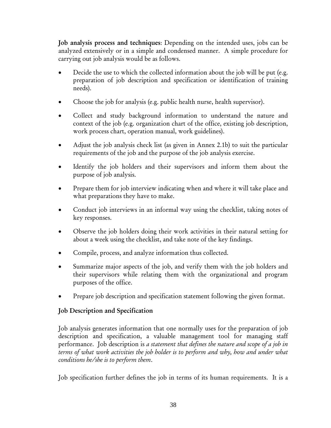Job analysis process and techniques: Depending on the intended uses, jobs can be analyzed extensively or in a simple and condensed manner. A simple procedure for carrying out job analysis would be as follows.

- Decide the use to which the collected information about the job will be put (e.g. preparation of job description and specification or identification of training needs).
- Choose the job for analysis (e.g. public health nurse, health supervisor).
- Collect and study background information to understand the nature and context of the job (e.g. organization chart of the office, existing job description, work process chart, operation manual, work guidelines).
- Adjust the job analysis check list (as given in Annex 2.1b) to suit the particular requirements of the job and the purpose of the job analysis exercise.
- Identify the job holders and their supervisors and inform them about the purpose of job analysis.
- Prepare them for job interview indicating when and where it will take place and what preparations they have to make.
- Conduct job interviews in an informal way using the checklist, taking notes of key responses.
- Observe the job holders doing their work activities in their natural setting for about a week using the checklist, and take note of the key findings.
- Compile, process, and analyze information thus collected.
- Summarize major aspects of the job, and verify them with the job holders and their supervisors while relating them with the organizational and program purposes of the office.
- Prepare job description and specification statement following the given format.

## Job Description and Specification

Job analysis generates information that one normally uses for the preparation of job description and specification, a valuable management tool for managing staff performance. Job description is *a statement that defines the nature and scope of a job in terms of what work activities the job holder is to perform and why, how and under what conditions he/she is to perform them*.

Job specification further defines the job in terms of its human requirements. It is a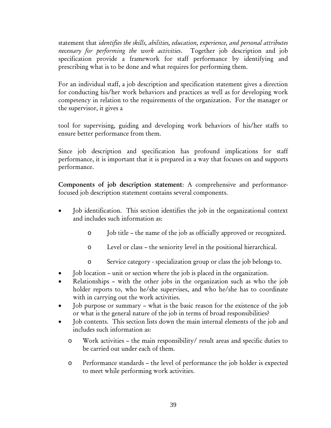statement that *identifies the skills, abilities, education, experience, and personal attributes necessary for performing the work activities*. Together job description and job specification provide a framework for staff performance by identifying and prescribing what is to be done and what requires for performing them.

For an individual staff, a job description and specification statement gives a direction for conducting his/her work behaviors and practices as well as for developing work competency in relation to the requirements of the organization. For the manager or the supervisor, it gives a

tool for supervising, guiding and developing work behaviors of his/her staffs to ensure better performance from them.

Since job description and specification has profound implications for staff performance, it is important that it is prepared in a way that focuses on and supports performance.

Components of job description statement: A comprehensive and performancefocused job description statement contains several components.

- Job identification. This section identifies the job in the organizational context and includes such information as:
	- o Job title the name of the job as officially approved or recognized.
	- o Level or class the seniority level in the positional hierarchical.
	- o Service category specialization group or class the job belongs to.
- Job location unit or section where the job is placed in the organization.
- Relationships with the other jobs in the organization such as who the job holder reports to, who he/she supervises, and who he/she has to coordinate with in carrying out the work activities.
- Job purpose or summary what is the basic reason for the existence of the job or what is the general nature of the job in terms of broad responsibilities?
- Job contents. This section lists down the main internal elements of the job and includes such information as:
	- o Work activities the main responsibility/ result areas and specific duties to be carried out under each of them.
	- o Performance standards the level of performance the job holder is expected to meet while performing work activities.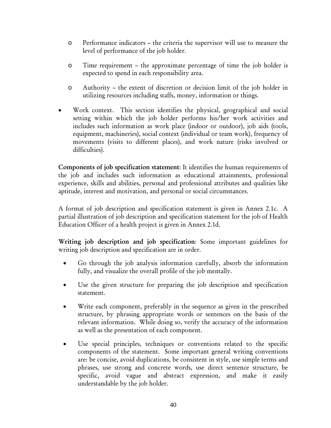- o Performance indicators the criteria the supervisor will use to measure the level of performance of the job holder.
- o Time requirement the approximate percentage of time the job holder is expected to spend in each responsibility area.
- o Authority the extent of discretion or decision limit of the job holder in utilizing resources including staffs, money, information or things.
- Work context. This section identifies the physical, geographical and social setting within which the job holder performs his/her work activities and includes such information as work place (indoor or outdoor), job aids (tools, equipment, machineries), social context (individual or team work), frequency of movements (visits to different places), and work nature (risks involved or difficulties).

Components of job specification statement: It identifies the human requirements of the job and includes such information as educational attainments, professional experience, skills and abilities, personal and professional attributes and qualities like aptitude, interest and motivation, and personal or social circumstances.

A format of job description and specification statement is given in Annex 2.1c. A partial illustration of job description and specification statement for the job of Health Education Officer of a health project is given in Annex 2.1d.

Writing job description and job specification: Some important guidelines for writing job description and specification are in order.

- Go through the job analysis information carefully, absorb the information fully, and visualize the overall profile of the job mentally.
- Use the given structure for preparing the job description and specification statement.
- Write each component, preferably in the sequence as given in the prescribed structure, by phrasing appropriate words or sentences on the basis of the relevant information. While doing so, verify the accuracy of the information as well as the presentation of each component.
- Use special principles, techniques or conventions related to the specific components of the statement. Some important general writing conventions are: be concise, avoid duplications, be consistent in style, use simple terms and phrases, use strong and concrete words, use direct sentence structure, be specific, avoid vague and abstract expression, and make it easily understandable by the job holder.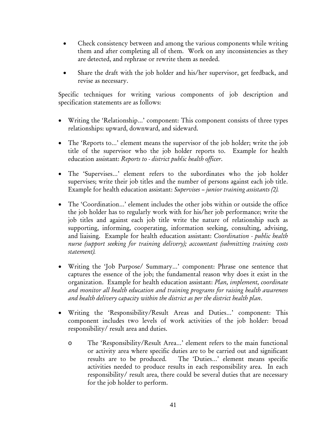- Check consistency between and among the various components while writing them and after completing all of them. Work on any inconsistencies as they are detected, and rephrase or rewrite them as needed.
- Share the draft with the job holder and his/her supervisor, get feedback, and revise as necessary.

Specific techniques for writing various components of job description and specification statements are as follows:

- Writing the 'Relationship…' component: This component consists of three types relationships: upward, downward, and sideward.
- The 'Reports to...' element means the supervisor of the job holder; write the job title of the supervisor who the job holder reports to. Example for health education assistant: *Reports to - district public health officer*.
- The 'Supervises…' element refers to the subordinates who the job holder supervises; write their job titles and the number of persons against each job title. Example for health education assistant: *Supervises – junior training assistants (2).*
- The 'Coordination…' element includes the other jobs within or outside the office the job holder has to regularly work with for his/her job performance; write the job titles and against each job title write the nature of relationship such as supporting, informing, cooperating, information seeking, consulting, advising, and liaising. Example for health education assistant: *Coordination - public health nurse (support seeking for training delivery); accountant (submitting training costs statement).*
- Writing the 'Job Purpose/ Summary…' component: Phrase one sentence that captures the essence of the job; the fundamental reason why does it exist in the organization. Example for health education assistant: *Plan, implement, coordinate and monitor all health education and training programs for raising health awareness and health delivery capacity within the district as per the district health plan*.
- Writing the 'Responsibility/Result Areas and Duties…' component: This component includes two levels of work activities of the job holder: broad responsibility/ result area and duties.
	- o The 'Responsibility/Result Area…' element refers to the main functional or activity area where specific duties are to be carried out and significant results are to be produced. The 'Duties…' element means specific activities needed to produce results in each responsibility area. In each responsibility/ result area, there could be several duties that are necessary for the job holder to perform.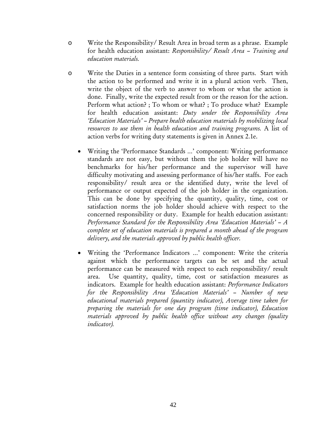- o Write the Responsibility/ Result Area in broad term as a phrase. Example for health education assistant: *Responsibility/ Result Area – Training and education materials.*
- o Write the Duties in a sentence form consisting of three parts. Start with the action to be performed and write it in a plural action verb. Then, write the object of the verb to answer to whom or what the action is done. Finally, write the expected result from or the reason for the action. Perform what action? ; To whom or what? ; To produce what? Example for health education assistant: *Duty under the Responsibility Area 'Education Materials' – Prepare health education materials by mobilizing local resources to use them in health education and training programs.* A list of action verbs for writing duty statements is given in Annex 2.1e.
	- Writing the 'Performance Standards …' component: Writing performance standards are not easy, but without them the job holder will have no benchmarks for his/her performance and the supervisor will have difficulty motivating and assessing performance of his/her staffs. For each responsibility/ result area or the identified duty, write the level of performance or output expected of the job holder in the organization. This can be done by specifying the quantity, quality, time, cost or satisfaction norms the job holder should achieve with respect to the concerned responsibility or duty. Example for health education assistant: *Performance Standard for the Responsibility Area 'Education Materials' – A complete set of education materials is prepared a month ahead of the program delivery, and the materials approved by public health officer.*
	- Writing the 'Performance Indicators …' component: Write the criteria against which the performance targets can be set and the actual performance can be measured with respect to each responsibility/ result area. Use quantity, quality, time, cost or satisfaction measures as indicators. Example for health education assistant: *Performance Indicators for the Responsibility Area 'Education Materials' – Number of new educational materials prepared (quantity indicator), Average time taken for preparing the materials for one day program (time indicator), Education materials approved by public health office without any changes (quality indicator).*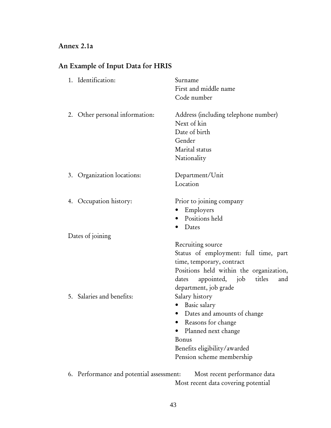## Annex 2.1a

# An Example of Input Data for HRIS

| 1. Identification:             | Surname<br>First and middle name<br>Code number                                                                                                                                                                                                                                                                                                                                                          |
|--------------------------------|----------------------------------------------------------------------------------------------------------------------------------------------------------------------------------------------------------------------------------------------------------------------------------------------------------------------------------------------------------------------------------------------------------|
| 2. Other personal information: | Address (including telephone number)<br>Next of kin<br>Date of birth<br>Gender<br>Marital status<br>Nationality                                                                                                                                                                                                                                                                                          |
| 3. Organization locations:     | Department/Unit<br>Location                                                                                                                                                                                                                                                                                                                                                                              |
| 4. Occupation history:         | Prior to joining company<br>Employers<br>$\bullet$<br>Positions held<br>Dates                                                                                                                                                                                                                                                                                                                            |
| Dates of joining               |                                                                                                                                                                                                                                                                                                                                                                                                          |
| 5. Salaries and benefits:      | Recruiting source<br>Status of employment: full time, part<br>time, temporary, contract<br>Positions held within the organization,<br>appointed, job<br>titles<br>dates<br>and<br>department, job grade<br>Salary history<br>Basic salary<br>Dates and amounts of change<br>$\bullet$<br>Reasons for change<br>Planned next change<br>Bonus<br>Benefits eligibility/awarded<br>Pension scheme membership |
|                                |                                                                                                                                                                                                                                                                                                                                                                                                          |

6. Performance and potential assessment: Most recent performance data Most recent data covering potential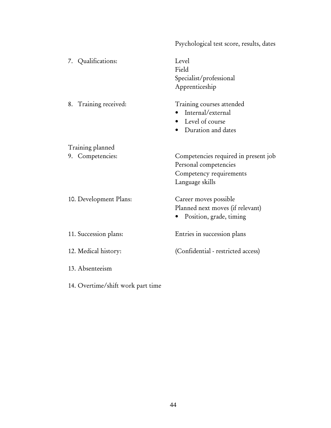|                        | Psychological test score, results, dates                                                                    |
|------------------------|-------------------------------------------------------------------------------------------------------------|
| 7. Qualifications:     | Level<br>Field<br>Specialist/professional<br>Apprenticeship                                                 |
| 8. Training received:  | Training courses attended<br>Internal/external<br>• Level of course<br>• Duration and dates                 |
| Training planned       |                                                                                                             |
| 9. Competencies:       | Competencies required in present job<br>Personal competencies<br>Competency requirements<br>Language skills |
| 10. Development Plans: | Career moves possible<br>Planned next moves (if relevant)<br>Position, grade, timing                        |
| 11. Succession plans:  | Entries in succession plans                                                                                 |
| 12. Medical history:   | (Confidential - restricted access)                                                                          |
| 13. Absenteeism        |                                                                                                             |

14. Overtime/shift work part time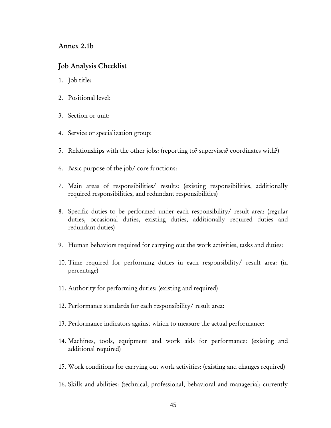#### Annex 2.1b

#### Job Analysis Checklist

- 1. Job title:
- 2. Positional level:
- 3. Section or unit:
- 4. Service or specialization group:
- 5. Relationships with the other jobs: (reporting to? supervises? coordinates with?)
- 6. Basic purpose of the job/ core functions:
- 7. Main areas of responsibilities/ results: (existing responsibilities, additionally required responsibilities, and redundant responsibilities)
- 8. Specific duties to be performed under each responsibility/ result area: (regular duties, occasional duties, existing duties, additionally required duties and redundant duties)
- 9. Human behaviors required for carrying out the work activities, tasks and duties:
- 10. Time required for performing duties in each responsibility/ result area: (in percentage)
- 11. Authority for performing duties: (existing and required)
- 12. Performance standards for each responsibility/ result area:
- 13. Performance indicators against which to measure the actual performance:
- 14. Machines, tools, equipment and work aids for performance: (existing and additional required)
- 15. Work conditions for carrying out work activities: (existing and changes required)
- 16. Skills and abilities: (technical, professional, behavioral and managerial; currently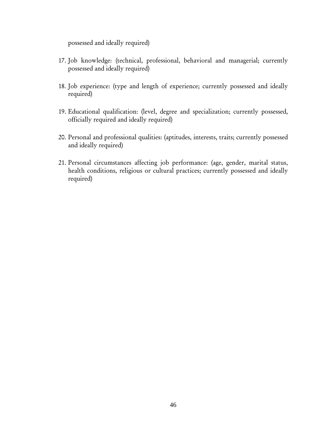possessed and ideally required)

- 17. Job knowledge: (technical, professional, behavioral and managerial; currently possessed and ideally required)
- 18. Job experience: (type and length of experience; currently possessed and ideally required)
- 19. Educational qualification: (level, degree and specialization; currently possessed, officially required and ideally required)
- 20. Personal and professional qualities: (aptitudes, interests, traits; currently possessed and ideally required)
- 21. Personal circumstances affecting job performance: (age, gender, marital status, health conditions, religious or cultural practices; currently possessed and ideally required)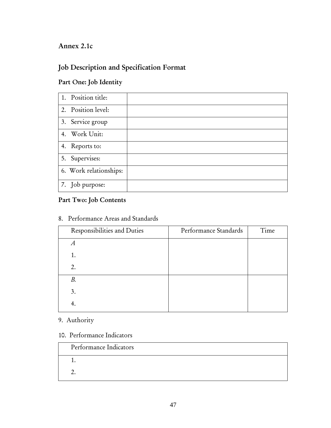## Annex 2.1c

# Job Description and Specification Format

## Part One: Job Identity

| 1. Position title:     |  |
|------------------------|--|
| 2. Position level:     |  |
| 3. Service group       |  |
| 4. Work Unit:          |  |
| 4. Reports to:         |  |
| 5. Supervises:         |  |
| 6. Work relationships: |  |
| 7. Job purpose:        |  |

## Part Two: Job Contents

| Responsibilities and Duties | Performance Standards | Time |
|-----------------------------|-----------------------|------|
| A                           |                       |      |
| 1.                          |                       |      |
| 2.                          |                       |      |
| В.                          |                       |      |
| 3.                          |                       |      |
| -4.                         |                       |      |

## 8. Performance Areas and Standards

## 9. Authority

## 10. Performance Indicators

| Performance Indicators |
|------------------------|
|                        |
|                        |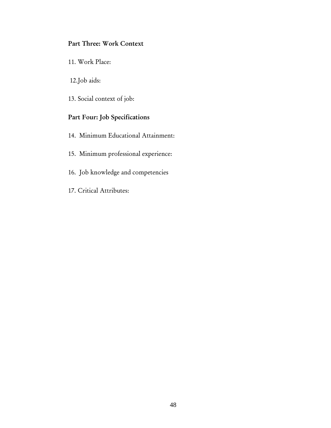## Part Three: Work Context

11. Work Place:

12. Job aids:

13. Social context of job:

## Part Four: Job Specifications

14. Minimum Educational Attainment:

- 15. Minimum professional experience:
- 16. Job knowledge and competencies
- 17. Critical Attributes: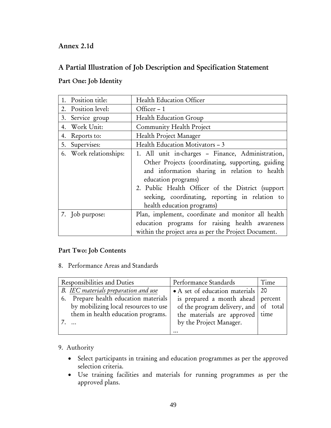## Annex 2.1d

## A Partial Illustration of Job Description and Specification Statement

### Part One: Job Identity

| 1. Position title:     | <b>Health Education Officer</b>                                                                                                                                                                                                                                                                                      |
|------------------------|----------------------------------------------------------------------------------------------------------------------------------------------------------------------------------------------------------------------------------------------------------------------------------------------------------------------|
| 2. Position level:     | Officer - 1                                                                                                                                                                                                                                                                                                          |
| 3. Service group       | Health Education Group                                                                                                                                                                                                                                                                                               |
| 4. Work Unit:          | Community Health Project                                                                                                                                                                                                                                                                                             |
| 4. Reports to:         | Health Project Manager                                                                                                                                                                                                                                                                                               |
| 5. Supervises:         | Health Education Motivators - 3                                                                                                                                                                                                                                                                                      |
| 6. Work relationships: | 1. All unit in-charges - Finance, Administration,<br>Other Projects (coordinating, supporting, guiding<br>and information sharing in relation to health<br>education programs)<br>2. Public Health Officer of the District (support<br>seeking, coordinating, reporting in relation to<br>health education programs) |
| 7. Job purpose:        | Plan, implement, coordinate and monitor all health<br>education programs for raising health awareness<br>within the project area as per the Project Document.                                                                                                                                                        |

### Part Two: Job Contents

8. Performance Areas and Standards

| Responsibilities and Duties           | Performance Standards                 | Time |
|---------------------------------------|---------------------------------------|------|
| B. IEC materials preparation and use  | • A set of education materials 20     |      |
| 6. Prepare health education materials | is prepared a month ahead percent     |      |
| by mobilizing local resources to use  | of the program delivery, and of total |      |
| them in health education programs.    | the materials are approved time       |      |
|                                       | by the Project Manager.               |      |
|                                       |                                       |      |

### 9. Authority

- Select participants in training and education programmes as per the approved selection criteria.
- Use training facilities and materials for running programmes as per the approved plans.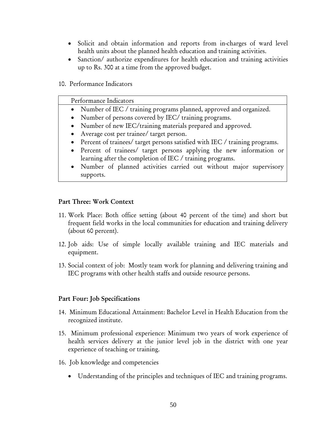- Solicit and obtain information and reports from in-charges of ward level health units about the planned health education and training activities.
- Sanction/ authorize expenditures for health education and training activities up to Rs. 300 at a time from the approved budget.
- 10. Performance Indicators

| Performance Indicators                                                        |
|-------------------------------------------------------------------------------|
| • Number of IEC / training programs planned, approved and organized.          |
| • Number of persons covered by IEC/ training programs.                        |
| • Number of new IEC/training materials prepared and approved.                 |
| • Average cost per trainee/ target person.                                    |
| • Percent of trainees/ target persons satisfied with IEC / training programs. |
| • Percent of trainees/ target persons applying the new information or         |
| learning after the completion of IEC / training programs.                     |
| • Number of planned activities carried out without major supervisory          |
| supports.                                                                     |

#### Part Three: Work Context

- 11. Work Place: Both office setting (about 40 percent of the time) and short but frequent field works in the local communities for education and training delivery (about 60 percent).
- 12. Job aids: Use of simple locally available training and IEC materials and equipment.
- 13. Social context of job: Mostly team work for planning and delivering training and IEC programs with other health staffs and outside resource persons.

#### Part Four: Job Specifications

- 14. Minimum Educational Attainment: Bachelor Level in Health Education from the recognized institute.
- 15. Minimum professional experience: Minimum two years of work experience of health services delivery at the junior level job in the district with one year experience of teaching or training.
- 16. Job knowledge and competencies
	- Understanding of the principles and techniques of IEC and training programs.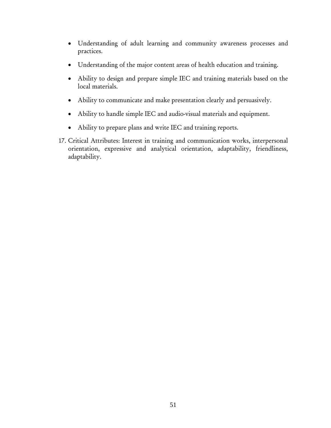- Understanding of adult learning and community awareness processes and practices.
- Understanding of the major content areas of health education and training.
- Ability to design and prepare simple IEC and training materials based on the local materials.
- Ability to communicate and make presentation clearly and persuasively.
- Ability to handle simple IEC and audio-visual materials and equipment.
- Ability to prepare plans and write IEC and training reports.
- 17. Critical Attributes: Interest in training and communication works, interpersonal orientation, expressive and analytical orientation, adaptability, friendliness, adaptability.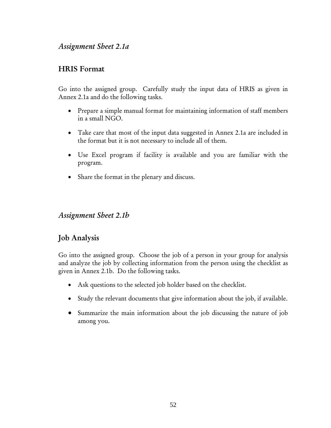## *Assignment Sheet 2.1a*

## HRIS Format

Go into the assigned group. Carefully study the input data of HRIS as given in Annex 2.1a and do the following tasks.

- Prepare a simple manual format for maintaining information of staff members in a small NGO.
- Take care that most of the input data suggested in Annex 2.1a are included in the format but it is not necessary to include all of them.
- Use Excel program if facility is available and you are familiar with the program.
- Share the format in the plenary and discuss.

## *Assignment Sheet 2.1b*

## Job Analysis

Go into the assigned group. Choose the job of a person in your group for analysis and analyze the job by collecting information from the person using the checklist as given in Annex 2.1b. Do the following tasks.

- Ask questions to the selected job holder based on the checklist.
- Study the relevant documents that give information about the job, if available.
- Summarize the main information about the job discussing the nature of job among you.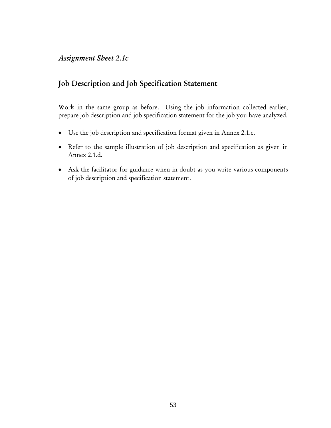## *Assignment Sheet 2.1c*

## Job Description and Job Specification Statement

Work in the same group as before. Using the job information collected earlier; prepare job description and job specification statement for the job you have analyzed.

- Use the job description and specification format given in Annex 2.1.c.
- Refer to the sample illustration of job description and specification as given in Annex 2.1.d.
- Ask the facilitator for guidance when in doubt as you write various components of job description and specification statement.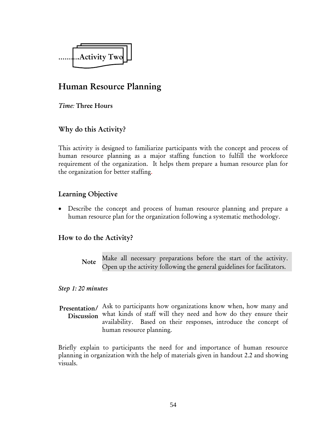

# Human Resource Planning

*Time:* Three Hours

## Why do this Activity?

This activity is designed to familiarize participants with the concept and process of human resource planning as a major staffing function to fulfill the workforce requirement of the organization. It helps them prepare a human resource plan for the organization for better staffing.

## Learning Objective

• Describe the concept and process of human resource planning and prepare a human resource plan for the organization following a systematic methodology.

### How to do the Activity?

Make all necessary preparations before the start of the activity. Open up the activity following the general guidelines for facilitators. Note

*Step 1: 20 minutes* 

Presentation/ Ask to participants how organizations know when, how many and Discussion what kinds of staff will they need and how do they ensure their availability. Based on their responses, introduce the concept of human resource planning.

Briefly explain to participants the need for and importance of human resource planning in organization with the help of materials given in handout 2.2 and showing visuals.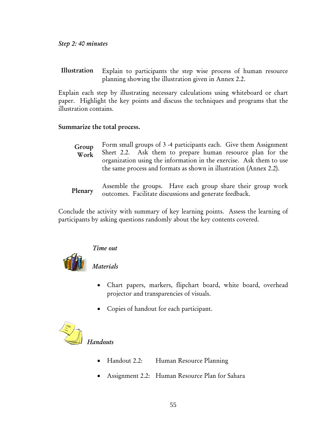Explain to participants the step wise process of human resource planning showing the illustration given in Annex 2.2. Illustration

Explain each step by illustrating necessary calculations using whiteboard or chart paper. Highlight the key points and discuss the techniques and programs that the illustration contains.

#### Summarize the total process.

- Form small groups of 3 -4 participants each. Give them Assignment Sheet 2.2. Ask them to prepare human resource plan for the organization using the information in the exercise. Ask them to use the same process and formats as shown in illustration (Annex 2.2). Group Work
- Assemble the groups. Have each group share their group work outcomes. Facilitate discussions and generate feedback. Plenary

Conclude the activity with summary of key learning points. Assess the learning of participants by asking questions randomly about the key contents covered.



#### *Time out*

*Materials* 

- Chart papers, markers, flipchart board, white board, overhead projector and transparencies of visuals.
- Copies of handout for each participant.



## *Handouts*

- Handout 2.2: Human Resource Planning
- Assignment 2.2: Human Resource Plan for Sahara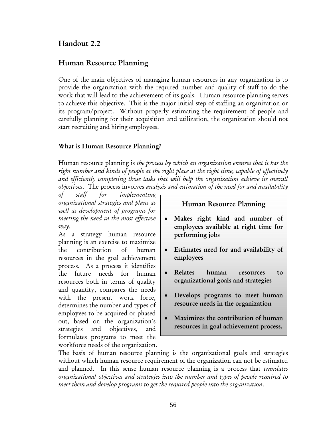## Handout 2.2

## Human Resource Planning

One of the main objectives of managing human resources in any organization is to provide the organization with the required number and quality of staff to do the work that will lead to the achievement of its goals. Human resource planning serves to achieve this objective. This is the major initial step of staffing an organization or its program/project. Without properly estimating the requirement of people and carefully planning for their acquisition and utilization, the organization should not start recruiting and hiring employees.

### What is Human Resource Planning?

Human resource planning is *the process by which an organization ensures that it has the right number and kinds of people at the right place at the right time, capable of effectively and efficiently completing those tasks that will help the organization achieve its overall objectives*. The process involves *analysis and estimation of the need for and availability* 

*of staff for implementing organizational strategies and plans as well as development of programs for meeting the need in the most effective way.*

As a strategy human resource planning is an exercise to maximize the contribution of human resources in the goal achievement process. As a process it identifies the future needs for human resources both in terms of quality and quantity, compares the needs with the present work force, determines the number and types of employees to be acquired or phased out, based on the organization's strategies and objectives, and formulates programs to meet the workforce needs of the organization.

### Human Resource Planning

- Makes right kind and number of employees available at right time for performing jobs
- Estimates need for and availability of employees
- Relates human resources to organizational goals and strategies
- Develops programs to meet human resource needs in the organization
- Maximizes the contribution of human resources in goal achievement process.

The basis of human resource planning is the organizational goals and strategies without which human resource requirement of the organization can not be estimated and planned. In this sense human resource planning is a process that *translates organizational objectives and strategies into the number and types of people required to meet them and develop programs to get the required people into the organization*.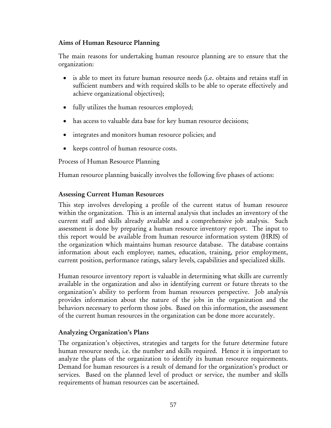#### Aims of Human Resource Planning

The main reasons for undertaking human resource planning are to ensure that the organization:

- is able to meet its future human resource needs (i.e. obtains and retains staff in sufficient numbers and with required skills to be able to operate effectively and achieve organizational objectives);
- fully utilizes the human resources employed;
- has access to valuable data base for key human resource decisions;
- integrates and monitors human resource policies; and
- keeps control of human resource costs.

Process of Human Resource Planning

Human resource planning basically involves the following five phases of actions:

### Assessing Current Human Resources

This step involves developing a profile of the current status of human resource within the organization. This is an internal analysis that includes an inventory of the current staff and skills already available and a comprehensive job analysis. Such assessment is done by preparing a human resource inventory report. The input to this report would be available from human resource information system (HRIS) of the organization which maintains human resource database. The database contains information about each employee; names, education, training, prior employment, current position, performance ratings, salary levels, capabilities and specialized skills.

Human resource inventory report is valuable in determining what skills are currently available in the organization and also in identifying current or future threats to the organization's ability to perform from human resources perspective. Job analysis provides information about the nature of the jobs in the organization and the behaviors necessary to perform those jobs. Based on this information, the assessment of the current human resources in the organization can be done more accurately.

### Analyzing Organization's Plans

The organization's objectives, strategies and targets for the future determine future human resource needs, i.e. the number and skills required. Hence it is important to analyze the plans of the organization to identify its human resource requirements. Demand for human resources is a result of demand for the organization's product or services. Based on the planned level of product or service, the number and skills requirements of human resources can be ascertained.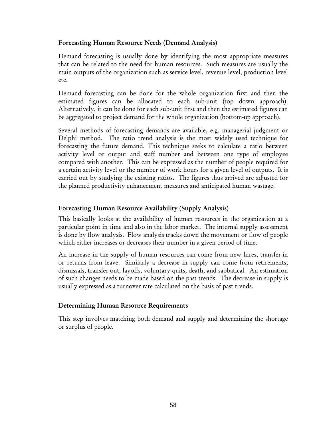#### Forecasting Human Resource Needs (Demand Analysis)

Demand forecasting is usually done by identifying the most appropriate measures that can be related to the need for human resources. Such measures are usually the main outputs of the organization such as service level, revenue level, production level etc.

Demand forecasting can be done for the whole organization first and then the estimated figures can be allocated to each sub-unit (top down approach). Alternatively, it can be done for each sub-unit first and then the estimated figures can be aggregated to project demand for the whole organization (bottom-up approach).

Several methods of forecasting demands are available, e.g. managerial judgment or Delphi method. The ratio trend analysis is the most widely used technique for forecasting the future demand. This technique seeks to calculate a ratio between activity level or output and staff number and between one type of employee compared with another. This can be expressed as the number of people required for a certain activity level or the number of work hours for a given level of outputs. It is carried out by studying the existing ratios. The figures thus arrived are adjusted for the planned productivity enhancement measures and anticipated human wastage.

### Forecasting Human Resource Availability (Supply Analysis)

This basically looks at the availability of human resources in the organization at a particular point in time and also in the labor market. The internal supply assessment is done by flow analysis. Flow analysis tracks down the movement or flow of people which either increases or decreases their number in a given period of time.

An increase in the supply of human resources can come from new hires, transfer-in or returns from leave. Similarly a decrease in supply can come from retirements, dismissals, transfer-out, layoffs, voluntary quits, death, and sabbatical. An estimation of such changes needs to be made based on the past trends. The decrease in supply is usually expressed as a turnover rate calculated on the basis of past trends.

### Determining Human Resource Requirements

This step involves matching both demand and supply and determining the shortage or surplus of people.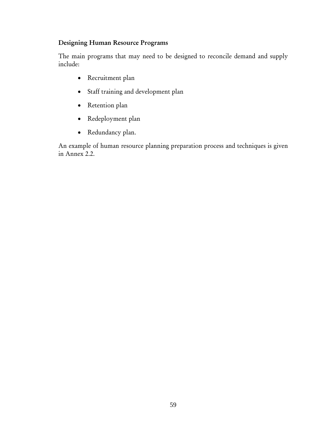### Designing Human Resource Programs

The main programs that may need to be designed to reconcile demand and supply include:

- Recruitment plan
- Staff training and development plan
- Retention plan
- Redeployment plan
- Redundancy plan.

An example of human resource planning preparation process and techniques is given in Annex 2.2.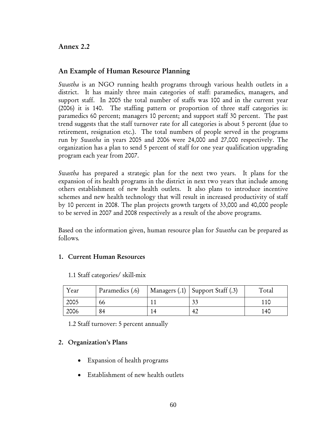Annex 2.2

### An Example of Human Resource Planning

*Swastha* is an NGO running health programs through various health outlets in a district. It has mainly three main categories of staff: paramedics, managers, and support staff. In 2005 the total number of staffs was 100 and in the current year (2006) it is 140. The staffing pattern or proportion of three staff categories is: paramedics 60 percent; managers 10 percent; and support staff 30 percent. The past trend suggests that the staff turnover rate for all categories is about 5 percent (due to retirement, resignation etc.). The total numbers of people served in the programs run by *Swastha* in years 2005 and 2006 were 24,000 and 27,000 respectively. The organization has a plan to send 5 percent of staff for one year qualification upgrading program each year from 2007.

*Swastha* has prepared a strategic plan for the next two years. It plans for the expansion of its health programs in the district in next two years that include among others establishment of new health outlets. It also plans to introduce incentive schemes and new health technology that will result in increased productivity of staff by 10 percent in 2008. The plan projects growth targets of 33,000 and 40,000 people to be served in 2007 and 2008 respectively as a result of the above programs.

Based on the information given, human resource plan for *Swastha* can be prepared as follows*.* 

### 1. Current Human Resources

| Year | Paramedics (.6) | Managers $(.1)$ Support Staff $(.3)$ | Total |
|------|-----------------|--------------------------------------|-------|
| 2005 | 66              |                                      |       |
| 2006 | 84              |                                      | 140   |

1.1 Staff categories/ skill-mix

1.2 Staff turnover: 5 percent annually

#### 2. Organization's Plans

- Expansion of health programs
- Establishment of new health outlets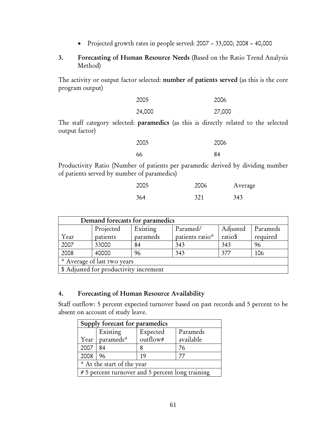• Projected growth rates in people served: 2007 – 33,000; 2008 – 40,000

#### 3. Forecasting of Human Resource Needs (Based on the Ratio Trend Analysis Method)

The activity or output factor selected: number of patients served (as this is the core program output)

| 2005   | 2006   |
|--------|--------|
| 24,000 | 27,000 |

The staff category selected: paramedics (as this is directly related to the selected output factor)

| 2005 | 2006 |
|------|------|
| 66   | 84   |

Productivity Ratio (Number of patients per paramedic derived by dividing number of patients served by number of paramedics)

| 2005 | 2006 | Average |
|------|------|---------|
| 364  | 321  | 343     |

| Demand forecasts for paramedics        |           |          |                 |          |          |
|----------------------------------------|-----------|----------|-----------------|----------|----------|
|                                        | Projected | Existing | Paramed/        | Adjusted | Parameds |
| Year                                   | patients  | parameds | patients ratio* | ratio\$  | required |
| 2007                                   | 33000     | 84       | 343             | 343      | 96       |
| 2008                                   | 40000     | 96       | 343             | 377      | 106      |
| * Average of last two years            |           |          |                 |          |          |
| \$ Adjusted for productivity increment |           |          |                 |          |          |

#### 4. Forecasting of Human Resource Availability

Staff outflow: 5 percent expected turnover based on past records and 5 percent to be absent on account of study leave.

| Supply forecast for paramedics                   |           |          |           |
|--------------------------------------------------|-----------|----------|-----------|
|                                                  | Existing  | Expected | Parameds  |
| Year                                             | parameds* | outflow# | available |
| 2007                                             | 84        |          | 76        |
| 2008                                             | 96        | 19       | 77        |
| * At the start of the year                       |           |          |           |
| # 5 percent turnover and 5 percent long training |           |          |           |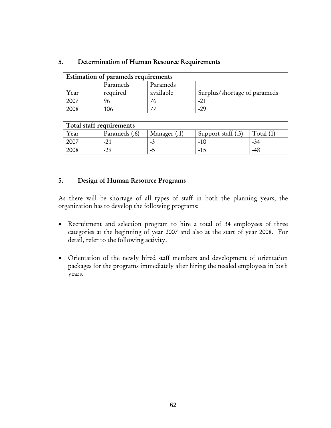| Estimation of parameds requirements |                          |                       |                              |             |
|-------------------------------------|--------------------------|-----------------------|------------------------------|-------------|
| Year                                | Parameds<br>required     | Parameds<br>available | Surplus/shortage of parameds |             |
| 2007                                | 96                       | 76                    | $-21$                        |             |
| 2008                                | 106                      | 77                    | $-29$                        |             |
|                                     |                          |                       |                              |             |
|                                     | Total staff requirements |                       |                              |             |
| Year                                | Parameds (.6)            | Manager $(.1)$        | Support staff $(.3)$         | Total $(1)$ |
| 2007                                | $-21$                    | $-3$                  | $-10$                        | $-34$       |
| 2008                                | $-29$                    | -5                    | $-15$                        | $-48$       |

#### 5. Determination of Human Resource Requirements

#### 5. Design of Human Resource Programs

As there will be shortage of all types of staff in both the planning years, the organization has to develop the following programs:

- Recruitment and selection program to hire a total of 34 employees of three categories at the beginning of year 2007 and also at the start of year 2008. For detail, refer to the following activity.
- Orientation of the newly hired staff members and development of orientation packages for the programs immediately after hiring the needed employees in both years.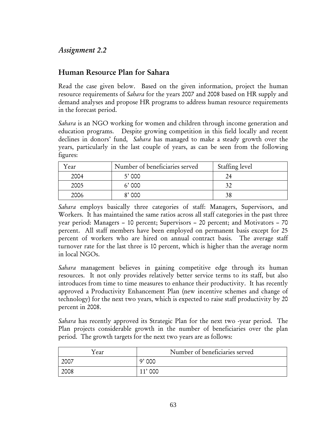## *Assignment 2.2*

## Human Resource Plan for Sahara

Read the case given below. Based on the given information, project the human resource requirements of *Sahara* for the years 2007 and 2008 based on HR supply and demand analyses and propose HR programs to address human resource requirements in the forecast period.

*Sahara* is an NGO working for women and children through income generation and education programs. Despite growing competition in this field locally and recent declines in donors' fund, *Sahara* has managed to make a steady growth over the years, particularly in the last couple of years, as can be seen from the following figures:

| Year | Number of beneficiaries served | Staffing level |
|------|--------------------------------|----------------|
| 2004 | 5'000                          |                |
| 2005 | 6'000                          |                |
| 2006 | $8'$ 000                       |                |

*Sahara* employs basically three categories of staff: Managers, Supervisors, and Workers. It has maintained the same ratios across all staff categories in the past three year period: Managers – 10 percent; Supervisors – 20 percent; and Motivators – 70 percent. All staff members have been employed on permanent basis except for 25 percent of workers who are hired on annual contract basis. The average staff turnover rate for the last three is 10 percent, which is higher than the average norm in local NGOs.

*Sahara* management believes in gaining competitive edge through its human resources. It not only provides relatively better service terms to its staff, but also introduces from time to time measures to enhance their productivity. It has recently approved a Productivity Enhancement Plan (new incentive schemes and change of technology) for the next two years, which is expected to raise staff productivity by 20 percent in 2008.

*Sahara* has recently approved its Strategic Plan for the next two -year period. The Plan projects considerable growth in the number of beneficiaries over the plan period. The growth targets for the next two years are as follows:

| Year | Number of beneficiaries served |  |
|------|--------------------------------|--|
| 2007 | 9'000                          |  |
| 2008 |                                |  |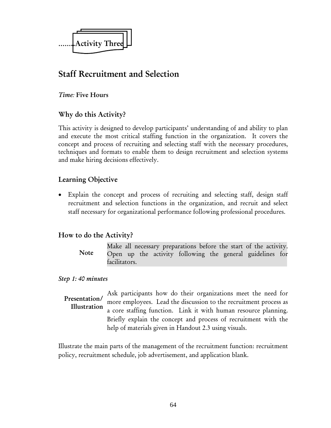

# Staff Recruitment and Selection

### *Time:* Five Hours

## Why do this Activity?

This activity is designed to develop participants' understanding of and ability to plan and execute the most critical staffing function in the organization. It covers the concept and process of recruiting and selecting staff with the necessary procedures, techniques and formats to enable them to design recruitment and selection systems and make hiring decisions effectively.

## Learning Objective

• Explain the concept and process of recruiting and selecting staff, design staff recruitment and selection functions in the organization, and recruit and select staff necessary for organizational performance following professional procedures.

## How to do the Activity?

Make all necessary preparations before the start of the activity. Open up the activity following the general guidelines for facilitators. **Note** 

### *Step 1: 40 minutes*

Ask participants how do their organizations meet the need for more employees. Lead the discussion to the recruitment process as a core staffing function. Link it with human resource planning. Briefly explain the concept and process of recruitment with the help of materials given in Handout 2.3 using visuals. Presentation/ Illustration

Illustrate the main parts of the management of the recruitment function: recruitment policy, recruitment schedule, job advertisement, and application blank.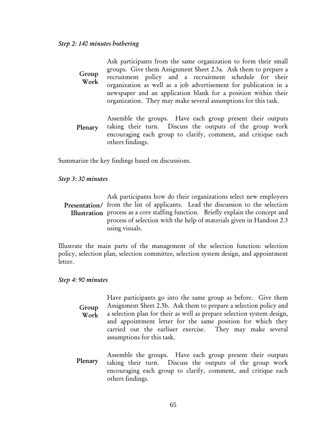| Group<br>Work | Ask participants from the same organization to form their small<br>groups. Give them Assignment Sheet 2.3a. Ask them to prepare a<br>recruitment policy and a recruitment schedule for their<br>organization as well as a job advertisement for publication in a<br>newspaper and an application blank for a position within their<br>organization. They may make several assumptions for this task. |
|---------------|------------------------------------------------------------------------------------------------------------------------------------------------------------------------------------------------------------------------------------------------------------------------------------------------------------------------------------------------------------------------------------------------------|
| Plenary       | Assemble the groups. Have each group present their outputs<br>taking their turn. Discuss the outputs of the group work<br>encouraging each group to clarify, comment, and critique each                                                                                                                                                                                                              |

Summarize the key findings based on discussions.

others findings.

#### *Step 3: 30 minutes*

#### Ask participants how do their organizations select new employees Presentation/ from the list of applicants. Lead the discussion to the selection Illustration process as a core staffing function. Briefly explain the concept and process of selection with the help of materials given in Handout 2.3 using visuals.

Illustrate the main parts of the management of the selection function: selection policy, selection plan, selection committee, selection system design, and appointment letter.

#### *Step 4: 90 minutes*

Have participants go into the same group as before. Give them Assignment Sheet 2.3b. Ask them to prepare a selection policy and a selection plan for their as well as prepare selection system design, and appointment letter for the same position for which they carried out the earliuer exercise. They may make several assumptions for this task. Group Work

Assemble the groups. Have each group present their outputs taking their turn. Discuss the outputs of the group work encouraging each group to clarify, comment, and critique each others findings. Plenary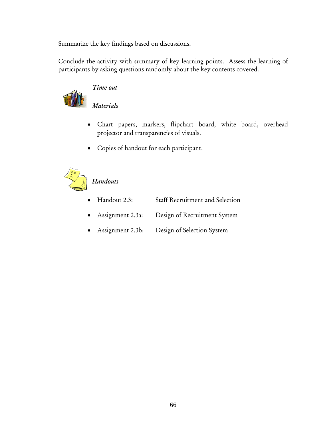Summarize the key findings based on discussions.

Conclude the activity with summary of key learning points. Assess the learning of participants by asking questions randomly about the key contents covered.



# *Time out*

*Materials* 

- Chart papers, markers, flipchart board, white board, overhead projector and transparencies of visuals.
- Copies of handout for each participant.



# *Handouts*

- Handout 2.3: Staff Recruitment and Selection
- Assignment 2.3a: Design of Recruitment System
- Assignment 2.3b: Design of Selection System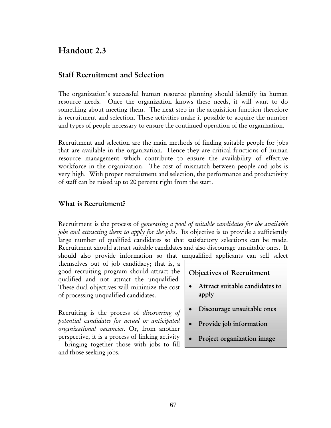# Handout 2.3

## Staff Recruitment and Selection

The organization's successful human resource planning should identify its human resource needs. Once the organization knows these needs, it will want to do something about meeting them. The next step in the acquisition function therefore is recruitment and selection. These activities make it possible to acquire the number and types of people necessary to ensure the continued operation of the organization.

Recruitment and selection are the main methods of finding suitable people for jobs that are available in the organization. Hence they are critical functions of human resource management which contribute to ensure the availability of effective workforce in the organization. The cost of mismatch between people and jobs is very high. With proper recruitment and selection, the performance and productivity of staff can be raised up to 20 percent right from the start.

#### What is Recruitment?

Recruitment is the process of *generating a pool of suitable candidates for the available jobs and attracting them to apply for the jobs*. Its objective is to provide a sufficiently large number of qualified candidates so that satisfactory selections can be made. Recruitment should attract suitable candidates and also discourage unsuitable ones. It should also provide information so that unqualified applicants can self select

themselves out of job candidacy; that is, a good recruiting program should attract the qualified and not attract the unqualified. These dual objectives will minimize the cost of processing unqualified candidates.

Recruiting is the process of *discovering of potential candidates for actual or anticipated organizational vacancies*. Or, from another perspective, it is a process of linking activity – bringing together those with jobs to fill and those seeking jobs.

- Objectives of Recruitment
- Attract suitable candidates to apply
- Discourage unsuitable ones
- Provide job information
- Project organization image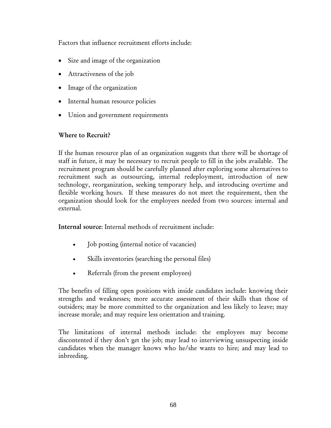Factors that influence recruitment efforts include:

- Size and image of the organization
- Attractiveness of the job
- Image of the organization
- Internal human resource policies
- Union and government requirements

## Where to Recruit?

If the human resource plan of an organization suggests that there will be shortage of staff in future, it may be necessary to recruit people to fill in the jobs available. The recruitment program should be carefully planned after exploring some alternatives to recruitment such as outsourcing, internal redeployment, introduction of new technology, reorganization, seeking temporary help, and introducing overtime and flexible working hours. If these measures do not meet the requirement, then the organization should look for the employees needed from two sources: internal and external.

Internal source: Internal methods of recruitment include:

- Job posting (internal notice of vacancies)
- Skills inventories (searching the personal files)
- Referrals (from the present employees)

The benefits of filling open positions with inside candidates include: knowing their strengths and weaknesses; more accurate assessment of their skills than those of outsiders; may be more committed to the organization and less likely to leave; may increase morale; and may require less orientation and training.

The limitations of internal methods include: the employees may become discontented if they don't get the job; may lead to interviewing unsuspecting inside candidates when the manager knows who he/she wants to hire; and may lead to inbreeding.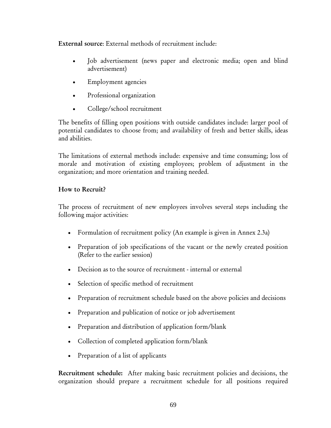External source: External methods of recruitment include:

- Job advertisement (news paper and electronic media; open and blind advertisement)
- Employment agencies
- Professional organization
- College/school recruitment

The benefits of filling open positions with outside candidates include: larger pool of potential candidates to choose from; and availability of fresh and better skills, ideas and abilities.

The limitations of external methods include: expensive and time consuming; loss of morale and motivation of existing employees; problem of adjustment in the organization; and more orientation and training needed.

## How to Recruit?

The process of recruitment of new employees involves several steps including the following major activities:

- Formulation of recruitment policy (An example is given in Annex 2.3a)
- Preparation of job specifications of the vacant or the newly created position (Refer to the earlier session)
- Decision as to the source of recruitment internal or external
- Selection of specific method of recruitment
- Preparation of recruitment schedule based on the above policies and decisions
- Preparation and publication of notice or job advertisement
- Preparation and distribution of application form/blank
- Collection of completed application form/blank
- Preparation of a list of applicants

Recruitment schedule: After making basic recruitment policies and decisions, the organization should prepare a recruitment schedule for all positions required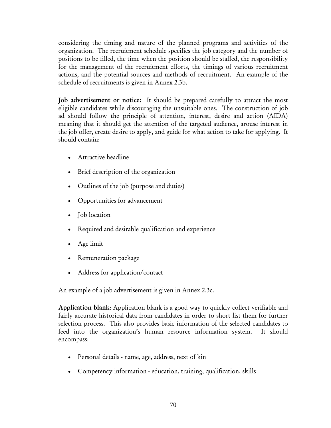considering the timing and nature of the planned programs and activities of the organization. The recruitment schedule specifies the job category and the number of positions to be filled, the time when the position should be staffed, the responsibility for the management of the recruitment efforts, the timings of various recruitment actions, and the potential sources and methods of recruitment. An example of the schedule of recruitments is given in Annex 2.3b.

Job advertisement or notice: It should be prepared carefully to attract the most eligible candidates while discouraging the unsuitable ones. The construction of job ad should follow the principle of attention, interest, desire and action (AIDA) meaning that it should get the attention of the targeted audience, arouse interest in the job offer, create desire to apply, and guide for what action to take for applying. It should contain:

- Attractive headline
- Brief description of the organization
- Outlines of the job (purpose and duties)
- Opportunities for advancement
- Job location
- Required and desirable qualification and experience
- Age limit
- Remuneration package
- Address for application/contact

An example of a job advertisement is given in Annex 2.3c.

Application blank: Application blank is a good way to quickly collect verifiable and fairly accurate historical data from candidates in order to short list them for further selection process. This also provides basic information of the selected candidates to feed into the organization's human resource information system. It should encompass:

- Personal details name, age, address, next of kin
- Competency information education, training, qualification, skills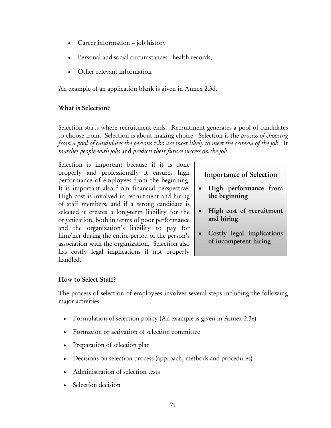- Career information job history
- Personal and social circumstances health records,
- Other relevant information

An example of an application blank is given in Annex 2.3d.

#### What is Selection?

Selection starts where recruitment ends. Recruitment generates a pool of candidates to choose from. Selection is about making choice. Selection is the *process of choosing from a pool of candidates the persons who are most likely to meet the criteria of the job*. It *matches people with jobs* and *predicts their future success on the job*.

Selection is important because if it is done properly and professionally it ensures high performance of employees from the beginning. It is important also from financial perspective. High cost is involved in recruitment and hiring of staff members, and if a wrong candidate is selected it creates a long-term liability for the organization, both in terms of poor performance and the organization's liability to pay for him/her during the entire period of the person's association with the organization. Selection also has costly legal implications if not properly handled.

### Importance of Selection

- High performance from the beginning
- High cost of recruitment and hiring
- Costly legal implications of incompetent hiring

### How to Select Staff?

The process of selection of employees involves several steps including the following major activities:

- Formulation of selection policy (An example is given in Annex 2.3e)
- Formation or activation of selection committee
- Preparation of selection plan
- Decisions on selection process (approach, methods and procedures)
- Administration of selection tests
- Selection decision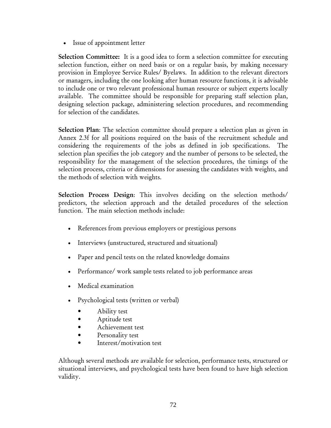• Issue of appointment letter

Selection Committee: It is a good idea to form a selection committee for executing selection function, either on need basis or on a regular basis, by making necessary provision in Employee Service Rules/ Byelaws. In addition to the relevant directors or managers, including the one looking after human resource functions, it is advisable to include one or two relevant professional human resource or subject experts locally available. The committee should be responsible for preparing staff selection plan, designing selection package, administering selection procedures, and recommending for selection of the candidates.

Selection Plan: The selection committee should prepare a selection plan as given in Annex 2.3f for all positions required on the basis of the recruitment schedule and considering the requirements of the jobs as defined in job specifications. The selection plan specifies the job category and the number of persons to be selected, the responsibility for the management of the selection procedures, the timings of the selection process, criteria or dimensions for assessing the candidates with weights, and the methods of selection with weights.

Selection Process Design: This involves deciding on the selection methods/ predictors, the selection approach and the detailed procedures of the selection function. The main selection methods include:

- References from previous employers or prestigious persons
- Interviews (unstructured, structured and situational)
- Paper and pencil tests on the related knowledge domains
- Performance/ work sample tests related to job performance areas
- Medical examination
- Psychological tests (written or verbal)
	- Ability test
	- Aptitude test
	- Achievement test
	- Personality test
	- Interest/motivation test

Although several methods are available for selection, performance tests, structured or situational interviews, and psychological tests have been found to have high selection validity.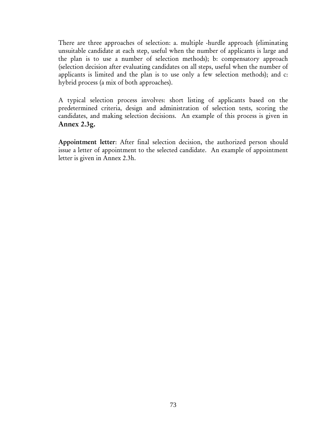There are three approaches of selection: a. multiple -hurdle approach (eliminating unsuitable candidate at each step, useful when the number of applicants is large and the plan is to use a number of selection methods); b: compensatory approach (selection decision after evaluating candidates on all steps, useful when the number of applicants is limited and the plan is to use only a few selection methods); and c: hybrid process (a mix of both approaches).

A typical selection process involves: short listing of applicants based on the predetermined criteria, design and administration of selection tests, scoring the candidates, and making selection decisions. An example of this process is given in Annex 2.3g.

Appointment letter: After final selection decision, the authorized person should issue a letter of appointment to the selected candidate. An example of appointment letter is given in Annex 2.3h.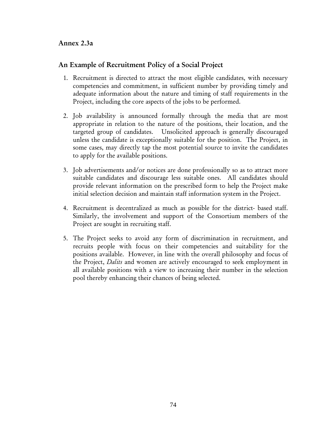### Annex 2.3a

## An Example of Recruitment Policy of a Social Project

- 1. Recruitment is directed to attract the most eligible candidates, with necessary competencies and commitment, in sufficient number by providing timely and adequate information about the nature and timing of staff requirements in the Project, including the core aspects of the jobs to be performed.
- 2. Job availability is announced formally through the media that are most appropriate in relation to the nature of the positions, their location, and the targeted group of candidates. Unsolicited approach is generally discouraged unless the candidate is exceptionally suitable for the position. The Project, in some cases, may directly tap the most potential source to invite the candidates to apply for the available positions.
- 3. Job advertisements and/or notices are done professionally so as to attract more suitable candidates and discourage less suitable ones. All candidates should provide relevant information on the prescribed form to help the Project make initial selection decision and maintain staff information system in the Project.
- 4. Recruitment is decentralized as much as possible for the district- based staff. Similarly, the involvement and support of the Consortium members of the Project are sought in recruiting staff.
- 5. The Project seeks to avoid any form of discrimination in recruitment, and recruits people with focus on their competencies and suitability for the positions available. However, in line with the overall philosophy and focus of the Project, *Dalits* and women are actively encouraged to seek employment in all available positions with a view to increasing their number in the selection pool thereby enhancing their chances of being selected.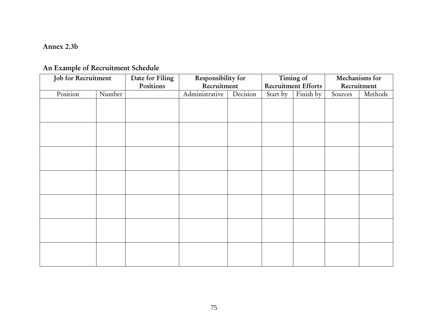#### Annex 2.3b

# An Example of Recruitment Schedule

| Job for Recruitment |        | Date for Filing | Responsibility for |          | Timing of |                            | Mechanisms for |         |
|---------------------|--------|-----------------|--------------------|----------|-----------|----------------------------|----------------|---------|
|                     |        | Positions       | Recruitment        |          |           | <b>Recruitment Efforts</b> | Recruitment    |         |
| Position            | Number |                 | Administrative     | Decision | Start by  | Finish by                  | Sources        | Methods |
|                     |        |                 |                    |          |           |                            |                |         |
|                     |        |                 |                    |          |           |                            |                |         |
|                     |        |                 |                    |          |           |                            |                |         |
|                     |        |                 |                    |          |           |                            |                |         |
|                     |        |                 |                    |          |           |                            |                |         |
|                     |        |                 |                    |          |           |                            |                |         |
|                     |        |                 |                    |          |           |                            |                |         |
|                     |        |                 |                    |          |           |                            |                |         |
|                     |        |                 |                    |          |           |                            |                |         |
|                     |        |                 |                    |          |           |                            |                |         |
|                     |        |                 |                    |          |           |                            |                |         |
|                     |        |                 |                    |          |           |                            |                |         |
|                     |        |                 |                    |          |           |                            |                |         |
|                     |        |                 |                    |          |           |                            |                |         |
|                     |        |                 |                    |          |           |                            |                |         |
|                     |        |                 |                    |          |           |                            |                |         |
|                     |        |                 |                    |          |           |                            |                |         |
|                     |        |                 |                    |          |           |                            |                |         |
|                     |        |                 |                    |          |           |                            |                |         |
|                     |        |                 |                    |          |           |                            |                |         |
|                     |        |                 |                    |          |           |                            |                |         |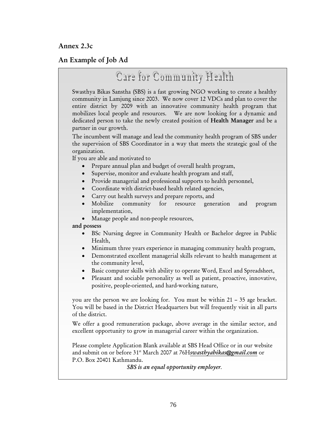Annex 2.3c

## An Example of Job Ad

# Care for Community Health

Swasthya Bikas Sanstha (SBS) is a fast growing NGO working to create a healthy community in Lamjung since 2003. We now cover 12 VDCs and plan to cover the entire district by 2009 with an innovative community health program that mobilizes local people and resources. We are now looking for a dynamic and dedicated person to take the newly created position of Health Manager and be a partner in our growth.

The incumbent will manage and lead the community health program of SBS under the supervision of SBS Coordinator in a way that meets the strategic goal of the organization.

If you are able and motivated to

- Prepare annual plan and budget of overall health program,
- Supervise, monitor and evaluate health program and staff,
- Provide managerial and professional supports to health personnel,
- Coordinate with district-based health related agencies,
- Carry out health surveys and prepare reports, and
- Mobilize community for resource generation and program implementation,
- Manage people and non-people resources,

and possess

- BSc Nursing degree in Community Health or Bachelor degree in Public Health,
- Minimum three years experience in managing community health program,
- Demonstrated excellent managerial skills relevant to health management at the community level,
- Basic computer skills with ability to operate Word, Excel and Spreadsheet,
- Pleasant and sociable personality as well as patient, proactive, innovative, positive, people-oriented, and hard-working nature,

you are the person we are looking for. You must be within 21 – 35 age bracket. You will be based in the District Headquarters but will frequently visit in all parts of the district.

We offer a good remuneration package, above average in the similar sector, and excellent opportunity to grow in managerial career within the organization.

Please complete Application Blank available at SBS Head Office or in our website and submit on or before 31st March 2007 at 76H*swasthyabikas@gmail.com* or P.O. Box 20401 Kathmandu.

*SBS is an equal opportunity employer.*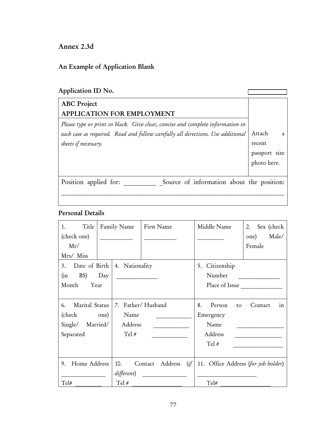Annex 2.3d

# An Example of Application Blank

| Application ID No.                                                                                                                                                                        |                                                       |
|-------------------------------------------------------------------------------------------------------------------------------------------------------------------------------------------|-------------------------------------------------------|
| <b>ABC</b> Project<br><b>APPLICATION FOR EMPLOYMENT</b>                                                                                                                                   |                                                       |
| Please type or print in black. Give clear, concise and complete information in<br>each case as required. Read and follow carefully all directions. Use additional<br>sheets if necessary. | Attach<br>a<br>recent<br>passport size<br>photo here. |
| Source of information about the position:<br>Position applied for:                                                                                                                        |                                                       |

# Personal Details

| Title<br>1.          | Family Name       |         | First Name |      | Middle Name<br>2. Sex (check        |       |
|----------------------|-------------------|---------|------------|------|-------------------------------------|-------|
| (check one)          |                   |         |            |      | one)                                | Male/ |
| Mr/                  |                   |         |            |      | Female                              |       |
| Mrs/ Miss            |                   |         |            |      |                                     |       |
| 3. Date of Birth     | 4. Nationality    |         |            |      | Citizenship<br>5.                   |       |
| BS) Day<br>(in       |                   |         |            |      | Number                              |       |
| Month<br>Year        |                   |         |            |      | Place of Issue                      |       |
|                      |                   |         |            |      |                                     |       |
| Marital Status<br>6. | 7. Father/Husband |         |            |      | Person<br>8.<br>Contact<br>to       | in    |
| (check one)          | Name              |         |            |      | Emergency                           |       |
| Single/ Married/     | Address           |         |            |      | Name                                |       |
| Separated            | $Tel \#$          |         |            |      | Address                             |       |
|                      |                   |         |            |      | Tel #                               |       |
|                      |                   |         |            |      |                                     |       |
| Home Address<br>9.   | 10.               | Contact | Address    | (if) | 11. Office Address (for job holder) |       |
|                      | different)        |         |            |      |                                     |       |
| Tel#                 | Tel #             |         |            |      | Tel#                                |       |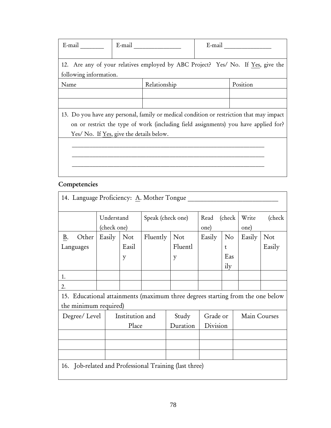| E-mail                                   | E-mail       | E-mail $\qquad \qquad \qquad$                                                            |
|------------------------------------------|--------------|------------------------------------------------------------------------------------------|
| following information.                   |              | 12. Are any of your relatives employed by ABC Project? Yes/ No. If Yes, give the         |
| Name                                     | Relationship | Position                                                                                 |
|                                          |              |                                                                                          |
|                                          |              |                                                                                          |
|                                          |              | 13. Do you have any personal, family or medical condition or restriction that may impact |
|                                          |              | on or restrict the type of work (including field assignments) you have applied for?      |
| Yes/ No. If Yes, give the details below. |              |                                                                                          |
|                                          |              |                                                                                          |
|                                          |              |                                                                                          |
|                                          |              |                                                                                          |
|                                          |              |                                                                                          |

# Competencies

| 14. Language Proficiency: A. Mother Tongue                                                                             |                                          |                   |                   |                     |                         |                                        |               |               |
|------------------------------------------------------------------------------------------------------------------------|------------------------------------------|-------------------|-------------------|---------------------|-------------------------|----------------------------------------|---------------|---------------|
|                                                                                                                        | Understand<br>(check one)                |                   | Speak (check one) |                     | (check)<br>Read<br>one) |                                        | Write<br>one) | (check)       |
| Other<br>B.<br>Languages<br>1.<br>2.<br>15. Educational attainments (maximum three degrees starting from the one below | Easily                                   | Not<br>Easil<br>y | Fluently          | Not<br>Fluentl<br>y | Easily                  | $\rm No$<br>$\mathbf{t}$<br>Eas<br>ily | Easily        | Not<br>Easily |
| the minimum required)                                                                                                  |                                          |                   |                   |                     |                         |                                        |               |               |
|                                                                                                                        | Institution and<br>Degree/Level<br>Place |                   |                   | Study<br>Duration   | Grade or<br>Division    |                                        | Main Courses  |               |
|                                                                                                                        |                                          |                   |                   |                     |                         |                                        |               |               |
|                                                                                                                        |                                          |                   |                   |                     |                         |                                        |               |               |
|                                                                                                                        |                                          |                   |                   |                     |                         |                                        |               |               |
| 16. Job-related and Professional Training (last three)                                                                 |                                          |                   |                   |                     |                         |                                        |               |               |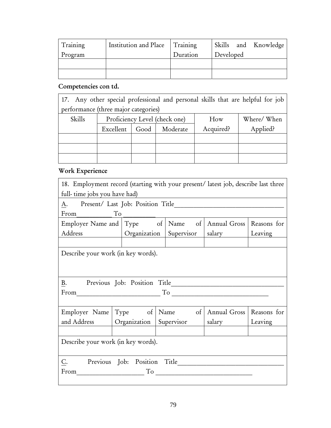| Training | Institution and Place | Training | Skills and Knowledge |  |
|----------|-----------------------|----------|----------------------|--|
| Program  |                       | Duration | Developed            |  |
|          |                       |          |                      |  |
|          |                       |          |                      |  |

## Competencies con td.

17. Any other special professional and personal skills that are helpful for job performance (three major categories)

| Skills | Proficiency Level (check one) |                  |  | How       | Where/When |
|--------|-------------------------------|------------------|--|-----------|------------|
|        | Excellent                     | Good<br>Moderate |  | Acquired? | Applied?   |
|        |                               |                  |  |           |            |
|        |                               |                  |  |           |            |
|        |                               |                  |  |           |            |

# Work Experience

| 18. Employment record (starting with your present/latest job, describe last three                             |                           |  |                                 |                            |         |  |  |
|---------------------------------------------------------------------------------------------------------------|---------------------------|--|---------------------------------|----------------------------|---------|--|--|
| full- time jobs you have had)                                                                                 |                           |  |                                 |                            |         |  |  |
| А.                                                                                                            |                           |  |                                 |                            |         |  |  |
| From<br>To                                                                                                    |                           |  |                                 |                            |         |  |  |
| Employer Name and Type of Name of Annual Gross Reasons for                                                    |                           |  |                                 |                            |         |  |  |
| Address                                                                                                       | Organization   Supervisor |  |                                 | salary                     | Leaving |  |  |
|                                                                                                               |                           |  |                                 |                            |         |  |  |
| Describe your work (in key words).                                                                            |                           |  |                                 |                            |         |  |  |
|                                                                                                               |                           |  |                                 |                            |         |  |  |
|                                                                                                               |                           |  |                                 |                            |         |  |  |
| Β.                                                                                                            |                           |  |                                 |                            |         |  |  |
| From The Commission of the Commission of the Commission of the Commission of the Commission of the Commission |                           |  |                                 |                            |         |  |  |
|                                                                                                               |                           |  |                                 |                            |         |  |  |
| Employer Name                                                                                                 | $Type$ of                 |  | Name $\qquad \qquad$ of $\vert$ | Annual Gross   Reasons for |         |  |  |
| and Address                                                                                                   |                           |  | Organization Supervisor         | salary                     | Leaving |  |  |
|                                                                                                               |                           |  |                                 |                            |         |  |  |
| Describe your work (in key words).                                                                            |                           |  |                                 |                            |         |  |  |
|                                                                                                               |                           |  |                                 |                            |         |  |  |
| C.                                                                                                            |                           |  |                                 |                            |         |  |  |
| From                                                                                                          |                           |  |                                 | To                         |         |  |  |
|                                                                                                               |                           |  |                                 |                            |         |  |  |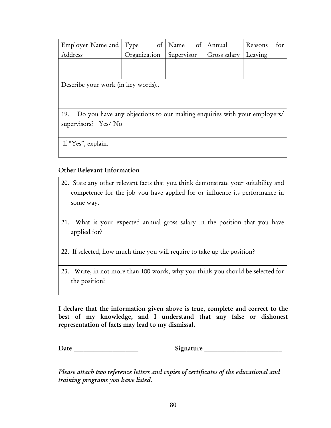| Employer Name and Type |                                              | of   Name of   Annual | Reasons<br>tor |
|------------------------|----------------------------------------------|-----------------------|----------------|
| Address                | Organization Supervisor Gross salary Leaving |                       |                |
|                        |                                              |                       |                |
|                        |                                              |                       |                |

Describe your work (in key words)..

19. Do you have any objections to our making enquiries with your employers/ supervisors? Yes/ No

If "Yes", explain.

#### Other Relevant Information

- 20. State any other relevant facts that you think demonstrate your suitability and competence for the job you have applied for or influence its performance in some way.
- 21. What is your expected annual gross salary in the position that you have applied for?
- 22. If selected, how much time you will require to take up the position?
- 23. Write, in not more than 100 words, why you think you should be selected for the position?

I declare that the information given above is true, complete and correct to the best of my knowledge, and I understand that any false or dishonest representation of facts may lead to my dismissal.

Date \_\_\_\_\_\_\_\_\_\_\_\_\_\_\_\_\_\_\_\_ Signature \_\_\_\_\_\_\_\_\_\_\_\_\_\_\_\_\_\_\_\_\_\_\_\_

*Please attach two reference letters and copies of certificates of the educational and training programs you have listed.*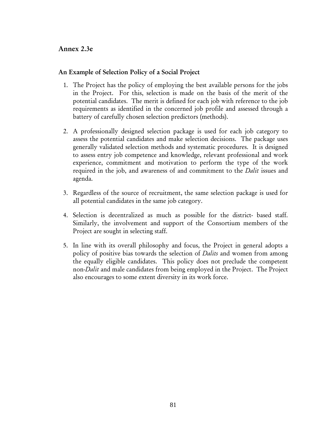#### Annex 2.3e

#### An Example of Selection Policy of a Social Project

- 1. The Project has the policy of employing the best available persons for the jobs in the Project. For this, selection is made on the basis of the merit of the potential candidates. The merit is defined for each job with reference to the job requirements as identified in the concerned job profile and assessed through a battery of carefully chosen selection predictors (methods).
- 2. A professionally designed selection package is used for each job category to assess the potential candidates and make selection decisions. The package uses generally validated selection methods and systematic procedures. It is designed to assess entry job competence and knowledge, relevant professional and work experience, commitment and motivation to perform the type of the work required in the job, and awareness of and commitment to the *Dalit* issues and agenda.
- 3. Regardless of the source of recruitment, the same selection package is used for all potential candidates in the same job category.
- 4. Selection is decentralized as much as possible for the district- based staff. Similarly, the involvement and support of the Consortium members of the Project are sought in selecting staff.
- 5. In line with its overall philosophy and focus, the Project in general adopts a policy of positive bias towards the selection of *Dalits* and women from among the equally eligible candidates. This policy does not preclude the competent non-*Dalit* and male candidates from being employed in the Project. The Project also encourages to some extent diversity in its work force.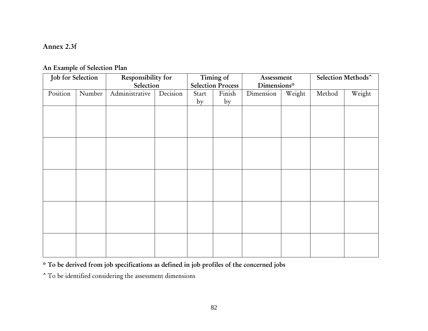#### Annex 2.3f

## An Example of Selection Plan

| Job for Selection |        | Responsibility for | Timing of |       | Assessment               |             | Selection Methods^ |        |        |
|-------------------|--------|--------------------|-----------|-------|--------------------------|-------------|--------------------|--------|--------|
|                   |        | Selection          |           |       | <b>Selection Process</b> | Dimensions* |                    |        |        |
| Position          | Number | Administrative     | Decision  | Start | Finish                   | Dimension   | Weight             | Method | Weight |
|                   |        |                    |           | by    | by                       |             |                    |        |        |
|                   |        |                    |           |       |                          |             |                    |        |        |
|                   |        |                    |           |       |                          |             |                    |        |        |
|                   |        |                    |           |       |                          |             |                    |        |        |
|                   |        |                    |           |       |                          |             |                    |        |        |
|                   |        |                    |           |       |                          |             |                    |        |        |
|                   |        |                    |           |       |                          |             |                    |        |        |
|                   |        |                    |           |       |                          |             |                    |        |        |
|                   |        |                    |           |       |                          |             |                    |        |        |
|                   |        |                    |           |       |                          |             |                    |        |        |
|                   |        |                    |           |       |                          |             |                    |        |        |
|                   |        |                    |           |       |                          |             |                    |        |        |
|                   |        |                    |           |       |                          |             |                    |        |        |
|                   |        |                    |           |       |                          |             |                    |        |        |
|                   |        |                    |           |       |                          |             |                    |        |        |
|                   |        |                    |           |       |                          |             |                    |        |        |
|                   |        |                    |           |       |                          |             |                    |        |        |
|                   |        |                    |           |       |                          |             |                    |        |        |
|                   |        |                    |           |       |                          |             |                    |        |        |
|                   |        |                    |           |       |                          |             |                    |        |        |

\* To be derived from job specifications as defined in job profiles of the concerned jobs

^ To be identified considering the assessment dimensions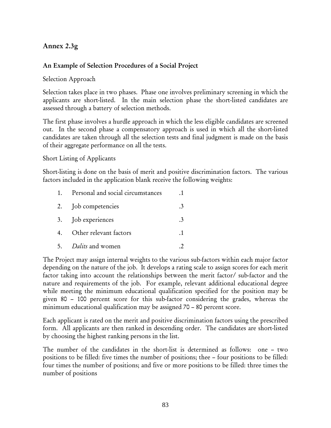# Annex 2.3g

## An Example of Selection Procedures of a Social Project

### Selection Approach

Selection takes place in two phases. Phase one involves preliminary screening in which the applicants are short-listed. In the main selection phase the short-listed candidates are assessed through a battery of selection methods.

The first phase involves a hurdle approach in which the less eligible candidates are screened out. In the second phase a compensatory approach is used in which all the short-listed candidates are taken through all the selection tests and final judgment is made on the basis of their aggregate performance on all the tests.

#### Short Listing of Applicants

Short-listing is done on the basis of merit and positive discrimination factors. The various factors included in the application blank receive the following weights:

| 1. | Personal and social circumstances |  |
|----|-----------------------------------|--|
|    | 2. Job competencies               |  |
|    | 3. Job experiences                |  |
| 4. | Other relevant factors            |  |
|    | 5. Dalits and women               |  |

The Project may assign internal weights to the various sub-factors within each major factor depending on the nature of the job. It develops a rating scale to assign scores for each merit factor taking into account the relationships between the merit factor/ sub-factor and the nature and requirements of the job. For example, relevant additional educational degree while meeting the minimum educational qualification specified for the position may be given 80 – 100 percent score for this sub-factor considering the grades, whereas the minimum educational qualification may be assigned 70 – 80 percent score.

Each applicant is rated on the merit and positive discrimination factors using the prescribed form. All applicants are then ranked in descending order. The candidates are short-listed by choosing the highest ranking persons in the list.

The number of the candidates in the short-list is determined as follows: one – two positions to be filled: five times the number of positions; thee – four positions to be filled: four times the number of positions; and five or more positions to be filled: three times the number of positions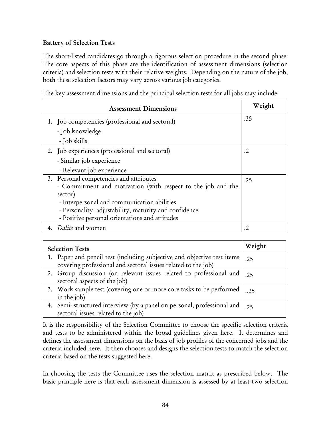## Battery of Selection Tests

The short-listed candidates go through a rigorous selection procedure in the second phase. The core aspects of this phase are the identification of assessment dimensions (selection criteria) and selection tests with their relative weights. Depending on the nature of the job, both these selection factors may vary across various job categories.

The key assessment dimensions and the principal selection tests for all jobs may include:

| <b>Assessment Dimensions</b>                                 | Weight     |
|--------------------------------------------------------------|------------|
| 1. Job competencies (professional and sectoral)              | .35        |
| - Job knowledge                                              |            |
| - Job skills                                                 |            |
| 2. Job experiences (professional and sectoral)               | $\cdot$ .2 |
| - Similar job experience                                     |            |
| - Relevant job experience                                    |            |
| 3. Personal competencies and attributes                      | .25        |
| - Commitment and motivation (with respect to the job and the |            |
| sector)                                                      |            |
| - Interpersonal and communication abilities                  |            |
| - Personality: adjustability, maturity and confidence        |            |
| - Positive personal orientations and attitudes               |            |
| 4. Dalits and women                                          | $\cdot$    |

| <b>Selection Tests</b>                                                                                                                   | Weight |
|------------------------------------------------------------------------------------------------------------------------------------------|--------|
| 1. Paper and pencil test (including subjective and objective test items<br>covering professional and sectoral issues related to the job) | .25    |
| 2. Group discussion (on relevant issues related to professional and<br>sectoral aspects of the job)                                      | .25    |
| 3. Work sample test (covering one or more core tasks to be performed  <br>in the job)                                                    | .25    |
| 4. Semi-structured interview (by a panel on personal, professional and  <br>sectoral issues related to the job)                          | .25    |

It is the responsibility of the Selection Committee to choose the specific selection criteria and tests to be administered within the broad guidelines given here. It determines and defines the assessment dimensions on the basis of job profiles of the concerned jobs and the criteria included here. It then chooses and designs the selection tests to match the selection criteria based on the tests suggested here.

In choosing the tests the Committee uses the selection matrix as prescribed below. The basic principle here is that each assessment dimension is assessed by at least two selection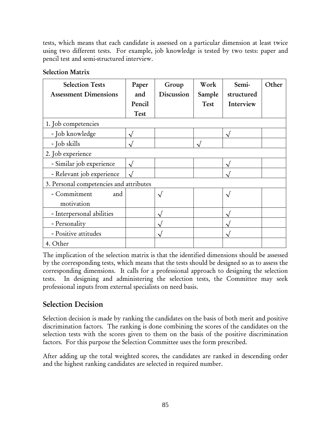tests, which means that each candidate is assessed on a particular dimension at least twice using two different tests. For example, job knowledge is tested by two tests: paper and pencil test and semi-structured interview.

| <b>Selection Tests</b>                  | Paper      | Group      | Work   | Semi-             | Other |
|-----------------------------------------|------------|------------|--------|-------------------|-------|
| <b>Assessment Dimensions</b>            | and        | Discussion | Sample | structured        |       |
|                                         | Pencil     |            | Test   | Interview         |       |
|                                         | Test       |            |        |                   |       |
| 1. Job competencies                     |            |            |        |                   |       |
| - Job knowledge                         |            |            |        | N                 |       |
| $-Job$ skills                           |            |            |        |                   |       |
| 2. Job experience                       |            |            |        |                   |       |
| - Similar job experience                | $\sqrt{ }$ |            |        | $\sqrt{ }$        |       |
| - Relevant job experience               |            |            |        |                   |       |
| 3. Personal competencies and attributes |            |            |        |                   |       |
| - Commitment<br>and                     |            |            |        | $\overline{\vee}$ |       |
| motivation                              |            |            |        |                   |       |
| - Interpersonal abilities               |            |            |        | N                 |       |
| - Personality                           |            |            |        |                   |       |
| - Positive attitudes                    |            |            |        | Ν                 |       |
| 4. Other                                |            |            |        |                   |       |

The implication of the selection matrix is that the identified dimensions should be assessed by the corresponding tests, which means that the tests should be designed so as to assess the corresponding dimensions. It calls for a professional approach to designing the selection tests. In designing and administering the selection tests, the Committee may seek professional inputs from external specialists on need basis.

# Selection Decision

Selection decision is made by ranking the candidates on the basis of both merit and positive discrimination factors. The ranking is done combining the scores of the candidates on the selection tests with the scores given to them on the basis of the positive discrimination factors. For this purpose the Selection Committee uses the form prescribed.

After adding up the total weighted scores, the candidates are ranked in descending order and the highest ranking candidates are selected in required number.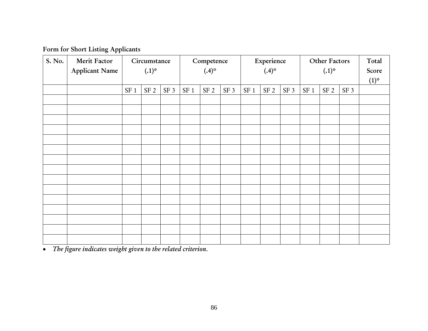Form for Short Listing Applicants

| S. No. | Merit Factor<br><b>Applicant Name</b> | Circumstance<br>$(.1)^{*}$ |                 | Competence<br>$(.4)^{*}$ |                 |                 | Experience<br>$(.4)^{*}$ |                 |                 | Other Factors<br>$(.1)^{*}$ |                 |      | Total<br>Score<br>$(1)^{*}$ |  |
|--------|---------------------------------------|----------------------------|-----------------|--------------------------|-----------------|-----------------|--------------------------|-----------------|-----------------|-----------------------------|-----------------|------|-----------------------------|--|
|        |                                       | $SF\ 1$                    | SF <sub>2</sub> | SF <sub>3</sub>          | SF <sub>1</sub> | SF <sub>2</sub> | SF <sub>3</sub>          | SF <sub>1</sub> | SF <sub>2</sub> | SF <sub>3</sub>             | SF <sub>1</sub> | SF 2 | SF <sub>3</sub>             |  |
|        |                                       |                            |                 |                          |                 |                 |                          |                 |                 |                             |                 |      |                             |  |
|        |                                       |                            |                 |                          |                 |                 |                          |                 |                 |                             |                 |      |                             |  |
|        |                                       |                            |                 |                          |                 |                 |                          |                 |                 |                             |                 |      |                             |  |
|        |                                       |                            |                 |                          |                 |                 |                          |                 |                 |                             |                 |      |                             |  |
|        |                                       |                            |                 |                          |                 |                 |                          |                 |                 |                             |                 |      |                             |  |
|        |                                       |                            |                 |                          |                 |                 |                          |                 |                 |                             |                 |      |                             |  |
|        |                                       |                            |                 |                          |                 |                 |                          |                 |                 |                             |                 |      |                             |  |
|        |                                       |                            |                 |                          |                 |                 |                          |                 |                 |                             |                 |      |                             |  |
|        |                                       |                            |                 |                          |                 |                 |                          |                 |                 |                             |                 |      |                             |  |
|        |                                       |                            |                 |                          |                 |                 |                          |                 |                 |                             |                 |      |                             |  |
|        |                                       |                            |                 |                          |                 |                 |                          |                 |                 |                             |                 |      |                             |  |
|        |                                       |                            |                 |                          |                 |                 |                          |                 |                 |                             |                 |      |                             |  |
|        |                                       |                            |                 |                          |                 |                 |                          |                 |                 |                             |                 |      |                             |  |
|        |                                       |                            |                 |                          |                 |                 |                          |                 |                 |                             |                 |      |                             |  |

• *The figure indicates weight given to the related criterion.*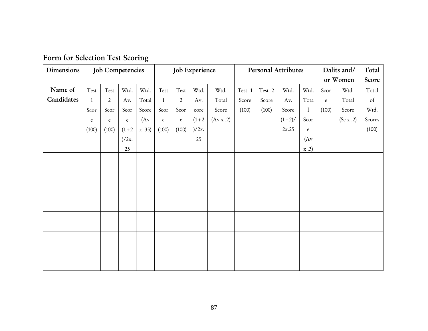| Dimensions |              | <b>Job Competencies</b>        |            |       | Job Experience                 |                                |         |           | <b>Personal Attributes</b> |        |          | Dalits and/                           | Total       |           |        |
|------------|--------------|--------------------------------|------------|-------|--------------------------------|--------------------------------|---------|-----------|----------------------------|--------|----------|---------------------------------------|-------------|-----------|--------|
|            |              |                                |            |       |                                |                                |         |           |                            |        |          | or Women                              | Score       |           |        |
| Name of    | Test         | $\operatorname{\mathsf{Test}}$ | Wtd.       | Wtd.  | $\operatorname{\mathsf{Test}}$ | $\operatorname{\mathsf{Test}}$ | Wtd.    | Wtd.      | Test 1                     | Test 2 | Wtd.     | Wtd.                                  | Scor        | Wtd.      | Total  |
| Candidates | $\mathbf{1}$ | $\overline{2}$                 | Av.        | Total | $\mathbf{1}$                   | $\overline{2}$                 | Av.     | Total     | Score                      | Score  | Av.      | Tota                                  | $\mathbf e$ | Total     | of     |
|            | Scor         | Scor                           | Scor       | Score | Scor                           | Scor                           | core    | Score     | (100)                      | (100)  | Score    | $\mathbf{1}$                          | (100)       | Score     | Wtd.   |
|            | e            | $\mathbf{e}$                   | $\epsilon$ | (Av)  | $\epsilon$                     | $\rm e$                        | $(1+2)$ | (Av x .2) |                            |        | $(1+2)/$ | Scor                                  |             | (Sc x .2) | Scores |
|            | (100)        | (100)                          | $(1+2)$    | x.35) | (100)                          | (100)                          | )/2x.   |           |                            |        | 2x.25    | $\mathbf{e}% _{t}\left( t_{0}\right)$ |             |           | (100)  |
|            |              |                                | )/2x.      |       |                                |                                | 25      |           |                            |        |          | (Av)                                  |             |           |        |
|            |              |                                | 25         |       |                                |                                |         |           |                            |        |          | $\mathbf{x}.3)$                       |             |           |        |
|            |              |                                |            |       |                                |                                |         |           |                            |        |          |                                       |             |           |        |
|            |              |                                |            |       |                                |                                |         |           |                            |        |          |                                       |             |           |        |
|            |              |                                |            |       |                                |                                |         |           |                            |        |          |                                       |             |           |        |
|            |              |                                |            |       |                                |                                |         |           |                            |        |          |                                       |             |           |        |
|            |              |                                |            |       |                                |                                |         |           |                            |        |          |                                       |             |           |        |
|            |              |                                |            |       |                                |                                |         |           |                            |        |          |                                       |             |           |        |
|            |              |                                |            |       |                                |                                |         |           |                            |        |          |                                       |             |           |        |
|            |              |                                |            |       |                                |                                |         |           |                            |        |          |                                       |             |           |        |
|            |              |                                |            |       |                                |                                |         |           |                            |        |          |                                       |             |           |        |
|            |              |                                |            |       |                                |                                |         |           |                            |        |          |                                       |             |           |        |
|            |              |                                |            |       |                                |                                |         |           |                            |        |          |                                       |             |           |        |
|            |              |                                |            |       |                                |                                |         |           |                            |        |          |                                       |             |           |        |

# Form for Selection Test Scoring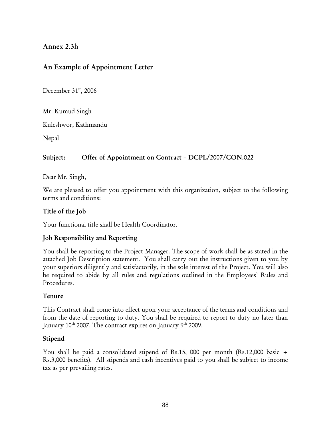## Annex 2.3h

# An Example of Appointment Letter

December  $31<sup>st</sup>$ , 2006

Mr. Kumud Singh

Kuleshwor, Kathmandu

Nepal

## Subject: Offer of Appointment on Contract – DCPL/2007/CON.022

Dear Mr. Singh,

We are pleased to offer you appointment with this organization, subject to the following terms and conditions:

#### Title of the Job

Your functional title shall be Health Coordinator.

### Job Responsibility and Reporting

You shall be reporting to the Project Manager. The scope of work shall be as stated in the attached Job Description statement. You shall carry out the instructions given to you by your superiors diligently and satisfactorily, in the sole interest of the Project. You will also be required to abide by all rules and regulations outlined in the Employees' Rules and Procedures.

### Tenure

This Contract shall come into effect upon your acceptance of the terms and conditions and from the date of reporting to duty. You shall be required to report to duty no later than January 10<sup>th</sup> 2007. The contract expires on January 9<sup>th</sup> 2009.

### Stipend

You shall be paid a consolidated stipend of Rs.15, 000 per month (Rs.12,000 basic + Rs.3,000 benefits). All stipends and cash incentives paid to you shall be subject to income tax as per prevailing rates.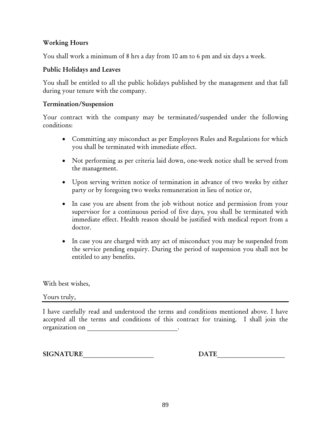#### Working Hours

You shall work a minimum of 8 hrs a day from 10 am to 6 pm and six days a week.

#### Public Holidays and Leaves

You shall be entitled to all the public holidays published by the management and that fall during your tenure with the company.

#### Termination/Suspension

Your contract with the company may be terminated/suspended under the following conditions:

- Committing any misconduct as per Employees Rules and Regulations for which you shall be terminated with immediate effect.
- Not performing as per criteria laid down, one-week notice shall be served from the management.
- Upon serving written notice of termination in advance of two weeks by either party or by foregoing two weeks remuneration in lieu of notice or,
- In case you are absent from the job without notice and permission from your supervisor for a continuous period of five days, you shall be terminated with immediate effect. Health reason should be justified with medical report from a doctor.
- In case you are charged with any act of misconduct you may be suspended from the service pending enquiry. During the period of suspension you shall not be entitled to any benefits.

With best wishes,

Yours truly,

I have carefully read and understood the terms and conditions mentioned above. I have accepted all the terms and conditions of this contract for training. I shall join the organization on exercise that the contract of the contract of the contract of the contract of the contract of the contract of the contract of the contract of the contract of the contract of the contract of the contract of

SIGNATURE DATE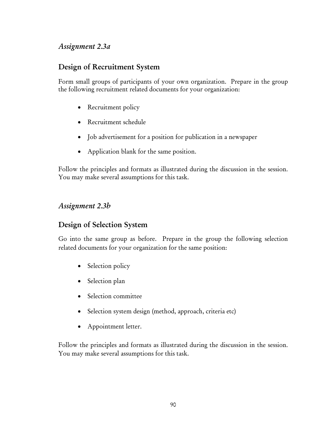# *Assignment 2.3a*

# Design of Recruitment System

Form small groups of participants of your own organization. Prepare in the group the following recruitment related documents for your organization:

- Recruitment policy
- Recruitment schedule
- Job advertisement for a position for publication in a newspaper
- Application blank for the same position.

Follow the principles and formats as illustrated during the discussion in the session. You may make several assumptions for this task.

# *Assignment 2.3b*

# Design of Selection System

Go into the same group as before. Prepare in the group the following selection related documents for your organization for the same position:

- Selection policy
- Selection plan
- Selection committee
- Selection system design (method, approach, criteria etc)
- Appointment letter.

Follow the principles and formats as illustrated during the discussion in the session. You may make several assumptions for this task.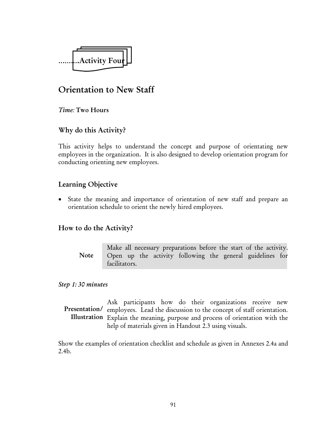

# Orientation to New Staff

*Time:* Two Hours

# Why do this Activity?

This activity helps to understand the concept and purpose of orientating new employees in the organization. It is also designed to develop orientation program for conducting orienting new employees.

# Learning Objective

• State the meaning and importance of orientation of new staff and prepare an orientation schedule to orient the newly hired employees.

# How to do the Activity?

Make all necessary preparations before the start of the activity. Open up the activity following the general guidelines for facilitators. Note

#### *Step 1: 30 minutes*

Ask participants how do their organizations receive new Presentation/ employees. Lead the discussion to the concept of staff orientation. Illustration Explain the meaning, purpose and process of orientation with the help of materials given in Handout 2.3 using visuals.

Show the examples of orientation checklist and schedule as given in Annexes 2.4a and 2.4b.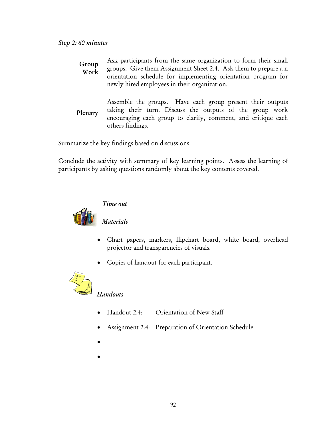| Group<br>Work | Ask participants from the same organization to form their small<br>groups. Give them Assignment Sheet 2.4. Ask them to prepare a n<br>orientation schedule for implementing orientation program for<br>newly hired employees in their organization. |
|---------------|-----------------------------------------------------------------------------------------------------------------------------------------------------------------------------------------------------------------------------------------------------|
| Plenary       | Assemble the groups. Have each group present their outputs<br>taking their turn. Discuss the outputs of the group work<br>encouraging each group to clarify, comment, and critique each<br>others findings.                                         |

Summarize the key findings based on discussions.

Conclude the activity with summary of key learning points. Assess the learning of participants by asking questions randomly about the key contents covered.



## *Time out*

*Materials* 

- Chart papers, markers, flipchart board, white board, overhead projector and transparencies of visuals.
- Copies of handout for each participant.



# *Handouts*

- Handout 2.4: Orientation of New Staff
- Assignment 2.4: Preparation of Orientation Schedule
- •
- •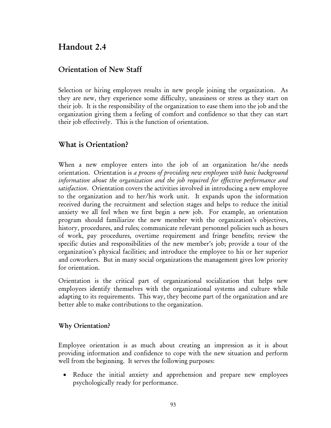# Handout 2.4

# Orientation of New Staff

Selection or hiring employees results in new people joining the organization. As they are new, they experience some difficulty, uneasiness or stress as they start on their job. It is the responsibility of the organization to ease them into the job and the organization giving them a feeling of comfort and confidence so that they can start their job effectively. This is the function of orientation.

# What is Orientation?

When a new employee enters into the job of an organization he/she needs orientation. Orientation is *a process of providing new employees with basic background information about the organization and the job required for effective performance and satisfaction*. Orientation covers the activities involved in introducing a new employee to the organization and to her/his work unit. It expands upon the information received during the recruitment and selection stages and helps to reduce the initial anxiety we all feel when we first begin a new job. For example, an orientation program should familiarize the new member with the organization's objectives, history, procedures, and rules; communicate relevant personnel policies such as hours of work, pay procedures, overtime requirement and fringe benefits; review the specific duties and responsibilities of the new member's job; provide a tour of the organization's physical facilities; and introduce the employee to his or her superior and coworkers. But in many social organizations the management gives low priority for orientation.

Orientation is the critical part of organizational socialization that helps new employees identify themselves with the organizational systems and culture while adapting to its requirements. This way, they become part of the organization and are better able to make contributions to the organization.

#### Why Orientation?

Employee orientation is as much about creating an impression as it is about providing information and confidence to cope with the new situation and perform well from the beginning. It serves the following purposes:

• Reduce the initial anxiety and apprehension and prepare new employees psychologically ready for performance.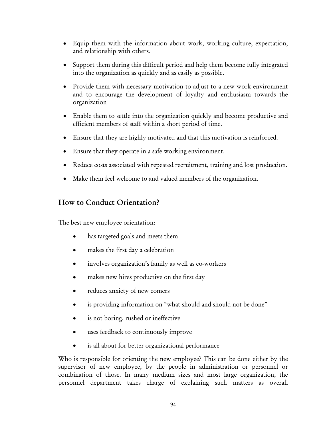- Equip them with the information about work, working culture, expectation, and relationship with others.
- Support them during this difficult period and help them become fully integrated into the organization as quickly and as easily as possible.
- Provide them with necessary motivation to adjust to a new work environment and to encourage the development of loyalty and enthusiasm towards the organization
- Enable them to settle into the organization quickly and become productive and efficient members of staff within a short period of time.
- Ensure that they are highly motivated and that this motivation is reinforced.
- Ensure that they operate in a safe working environment.
- Reduce costs associated with repeated recruitment, training and lost production.
- Make them feel welcome to and valued members of the organization.

# How to Conduct Orientation?

The best new employee orientation:

- has targeted goals and meets them
- makes the first day a celebration
- involves organization's family as well as co-workers
- makes new hires productive on the first day
- reduces anxiety of new comers
- is providing information on "what should and should not be done"
- is not boring, rushed or ineffective
- uses feedback to continuously improve
- is all about for better organizational performance

Who is responsible for orienting the new employee? This can be done either by the supervisor of new employee, by the people in administration or personnel or combination of those. In many medium sizes and most large organization, the personnel department takes charge of explaining such matters as overall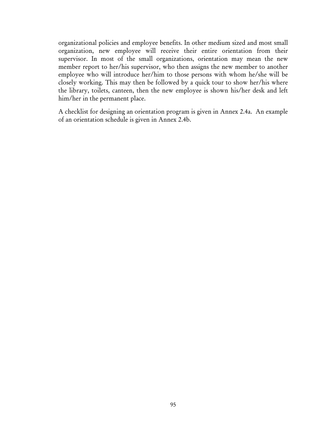organizational policies and employee benefits. In other medium sized and most small organization, new employee will receive their entire orientation from their supervisor. In most of the small organizations, orientation may mean the new member report to her/his supervisor, who then assigns the new member to another employee who will introduce her/him to those persons with whom he/she will be closely working. This may then be followed by a quick tour to show her/his where the library, toilets, canteen, then the new employee is shown his/her desk and left him/her in the permanent place.

A checklist for designing an orientation program is given in Annex 2.4a. An example of an orientation schedule is given in Annex 2.4b.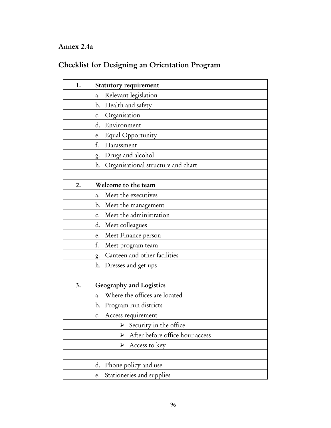# Annex 2.4a

# Checklist for Designing an Orientation Program

| 1. | Statutory requirement                    |
|----|------------------------------------------|
|    | Relevant legislation<br>a.               |
|    | Health and safety<br>b.                  |
|    | Organisation<br>c.                       |
|    | d.<br>Environment                        |
|    | Equal Opportunity<br>e.                  |
|    | f.<br>Harassment                         |
|    | Drugs and alcohol<br>g.                  |
|    | Organisational structure and chart<br>h. |
|    |                                          |
| 2. | Welcome to the team                      |
|    | Meet the executives<br>a.                |
|    | Meet the management<br>b.                |
|    | Meet the administration<br>c.            |
|    | Meet colleagues<br>d.                    |
|    | Meet Finance person<br>e.                |
|    | f.<br>Meet program team                  |
|    | Canteen and other facilities<br>g.       |
|    | h.<br>Dresses and get ups                |
|    |                                          |
| 3. | Geography and Logistics                  |
|    | Where the offices are located<br>a.      |
|    | Program run districts<br>b.              |
|    | Access requirement<br>$\mathsf{c}$ .     |
|    | Security in the office                   |
|    | After before office hour access<br>➤     |
|    | Access to key<br>➤                       |
|    |                                          |
|    | Phone policy and use<br>d.               |
|    | Stationeries and supplies<br>e.          |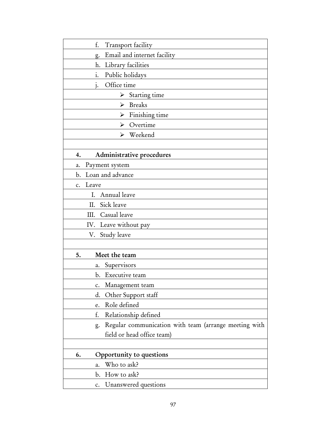| f.<br>Transport facility                                    |
|-------------------------------------------------------------|
| Email and internet facility<br>g.                           |
| h.<br>Library facilities                                    |
| i.<br>Public holidays                                       |
| Office time<br>1.                                           |
| Starting time<br>➤                                          |
| <b>Breaks</b><br>➤                                          |
| Finishing time<br>➤                                         |
| $\triangleright$ Overtime                                   |
| $\triangleright$ Weekend                                    |
|                                                             |
| Administrative procedures<br>4.                             |
| Payment system<br>a.                                        |
| Loan and advance<br>b.                                      |
| Leave<br>$\mathbf{C}$ .                                     |
| Annual leave<br>I.                                          |
| Sick leave<br>П.                                            |
| Casual leave<br>Ш.                                          |
| IV. Leave without pay                                       |
| V. Study leave                                              |
|                                                             |
| Meet the team<br>5.                                         |
| Supervisors<br>a.                                           |
| Executive team<br>b.                                        |
| Management team<br>$\mathbf{c}$ .                           |
| Other Support staff<br>d.                                   |
| Role defined<br>e.                                          |
| f.<br>Relationship defined                                  |
| Regular communication with team (arrange meeting with<br>g. |
| field or head office team)                                  |
|                                                             |
| Opportunity to questions<br>6.                              |
| Who to ask?<br>a.                                           |
| How to ask?<br>b.                                           |
| Unanswered questions<br>c.                                  |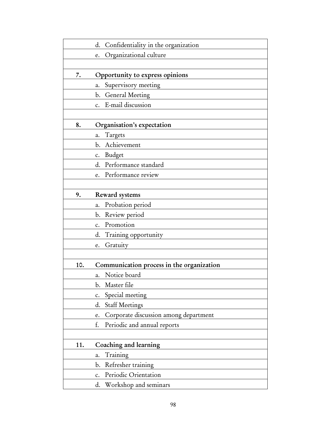|     | Confidentiality in the organization<br>d.   |
|-----|---------------------------------------------|
|     | Organizational culture<br>e.                |
|     |                                             |
| 7.  | Opportunity to express opinions             |
|     | Supervisory meeting<br>a.                   |
|     | <b>General Meeting</b><br>b.                |
|     | E-mail discussion<br>c.                     |
|     |                                             |
| 8.  | Organisation's expectation                  |
|     | Targets<br>a.                               |
|     | Achievement<br>b.                           |
|     | <b>Budget</b><br>c.                         |
|     | Performance standard<br>d.                  |
|     | Performance review<br>e.                    |
|     |                                             |
| 9.  | Reward systems                              |
|     | Probation period<br>a.                      |
|     | Review period<br>b.                         |
|     | Promotion<br>c.                             |
|     | Training opportunity<br>d.                  |
|     | Gratuity<br>e.                              |
|     |                                             |
| 10. | Communication process in the organization   |
|     | Notice board<br>a.                          |
|     | Master file<br>b.                           |
|     | Special meeting<br>$\mathbf{c}$ .           |
|     | <b>Staff Meetings</b><br>d.                 |
|     | Corporate discussion among department<br>e. |
|     | f.<br>Periodic and annual reports           |
|     |                                             |
| 11. | Coaching and learning                       |
|     | Training<br>a.                              |
|     | Refresher training<br>b.                    |
|     | Periodic Orientation<br>$\mathbf{c}$ .      |
|     | Workshop and seminars<br>d.                 |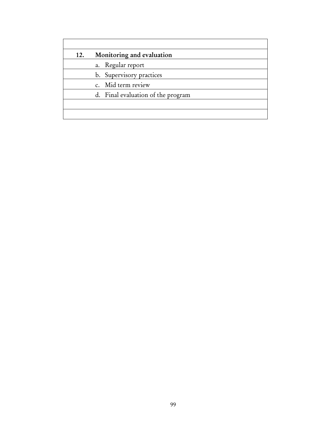| 12. | Monitoring and evaluation          |
|-----|------------------------------------|
|     | a. Regular report                  |
|     | b. Supervisory practices           |
|     | c. Mid term review                 |
|     | d. Final evaluation of the program |
|     |                                    |
|     |                                    |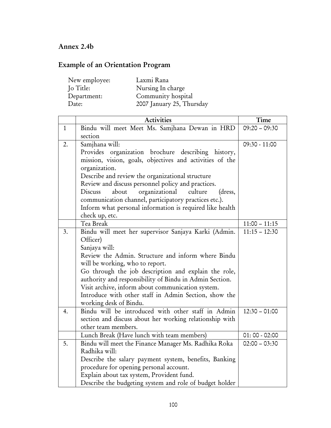# Annex 2.4b

# Example of an Orientation Program

| Laxmi Rana                |
|---------------------------|
| Nursing In charge         |
| Community hospital        |
| 2007 January 25, Thursday |
|                           |

|                | <b>Activities</b>                                                   | Time            |
|----------------|---------------------------------------------------------------------|-----------------|
| $\mathbf{1}$   | Bindu will meet Meet Ms. Samjhana Dewan in HRD                      | $09:20 - 09:30$ |
|                | section                                                             |                 |
| 2.             | Samjhana will:                                                      | $09:30 - 11:00$ |
|                | Provides organization brochure describing history,                  |                 |
|                | mission, vision, goals, objectives and activities of the            |                 |
|                | organization.                                                       |                 |
|                | Describe and review the organizational structure                    |                 |
|                | Review and discuss personnel policy and practices.                  |                 |
|                | about<br>organizational culture<br>Discuss<br>(dress,               |                 |
|                | communication channel, participatory practices etc.).               |                 |
|                | Inform what personal information is required like health            |                 |
|                | check up, etc.                                                      |                 |
|                | Tea Break                                                           | $11:00 - 11:15$ |
| 3.             | Bindu will meet her supervisor Sanjaya Karki (Admin.                | $11:15 - 12:30$ |
|                | Officer)                                                            |                 |
|                | Sanjaya will:<br>Review the Admin. Structure and inform where Bindu |                 |
|                | will be working, who to report.                                     |                 |
|                | Go through the job description and explain the role,                |                 |
|                | authority and responsibility of Bindu in Admin Section.             |                 |
|                | Visit archive, inform about communication system.                   |                 |
|                | Introduce with other staff in Admin Section, show the               |                 |
|                | working desk of Bindu.                                              |                 |
| 4.             | Bindu will be introduced with other staff in Admin                  | $12:30 - 01:00$ |
|                | section and discuss about her working relationship with             |                 |
|                | other team members.                                                 |                 |
|                | Lunch Break (Have lunch with team members)                          | $01:00 - 02:00$ |
| 5 <sub>1</sub> | Bindu will meet the Finance Manager Ms. Radhika Roka                | $02:00 - 03:30$ |
|                | Radhika will:                                                       |                 |
|                | Describe the salary payment system, benefits, Banking               |                 |
|                | procedure for opening personal account.                             |                 |
|                | Explain about tax system, Provident fund.                           |                 |
|                | Describe the budgeting system and role of budget holder             |                 |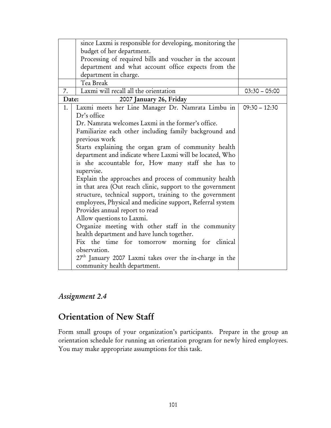|       | since Laxmi is responsible for developing, monitoring the           |                 |
|-------|---------------------------------------------------------------------|-----------------|
|       | budget of her department.                                           |                 |
|       | Processing of required bills and voucher in the account             |                 |
|       | department and what account office expects from the                 |                 |
|       | department in charge.                                               |                 |
|       | Tea Break                                                           |                 |
| 7.    | Laxmi will recall all the orientation                               | $03:30 - 05:00$ |
| Date: |                                                                     |                 |
| 1.    | Laxmi meets her Line Manager Dr. Namrata Limbu in                   | $09:30 - 12:30$ |
|       | Dr's office                                                         |                 |
|       | Dr. Namrata welcomes Laxmi in the former's office.                  |                 |
|       | Familiarize each other including family background and              |                 |
|       | previous work                                                       |                 |
|       | Starts explaining the organ gram of community health                |                 |
|       | department and indicate where Laxmi will be located, Who            |                 |
|       | is she accountable for, How many staff she has to                   |                 |
|       | supervise.                                                          |                 |
|       | Explain the approaches and process of community health              |                 |
|       | in that area (Out reach clinic, support to the government           |                 |
|       | structure, technical support, training to the government            |                 |
|       | employees, Physical and medicine support, Referral system           |                 |
|       | Provides annual report to read                                      |                 |
|       | Allow questions to Laxmi.                                           |                 |
|       | Organize meeting with other staff in the community                  |                 |
|       | health department and have lunch together.                          |                 |
|       | Fix the time for tomorrow morning for clinical                      |                 |
|       | observation.                                                        |                 |
|       | 27 <sup>th</sup> January 2007 Laxmi takes over the in-charge in the |                 |
|       | community health department.                                        |                 |

# *Assignment 2.4*

# Orientation of New Staff

Form small groups of your organization's participants. Prepare in the group an orientation schedule for running an orientation program for newly hired employees. You may make appropriate assumptions for this task.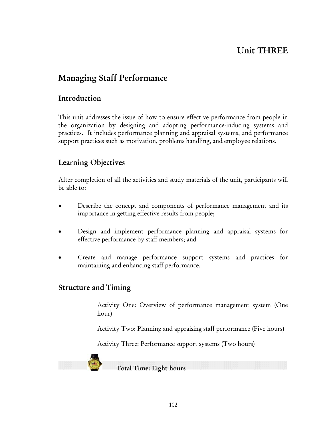# Unit THREE

# Managing Staff Performance

# Introduction

This unit addresses the issue of how to ensure effective performance from people in the organization by designing and adopting performance-inducing systems and practices. It includes performance planning and appraisal systems, and performance support practices such as motivation, problems handling, and employee relations.

# Learning Objectives

After completion of all the activities and study materials of the unit, participants will be able to:

- Describe the concept and components of performance management and its importance in getting effective results from people;
- Design and implement performance planning and appraisal systems for effective performance by staff members; and
- Create and manage performance support systems and practices for maintaining and enhancing staff performance.

# Structure and Timing

Activity One: Overview of performance management system (One hour)

Activity Two: Planning and appraising staff performance (Five hours)

Activity Three: Performance support systems (Two hours)



Total Time: Eight hours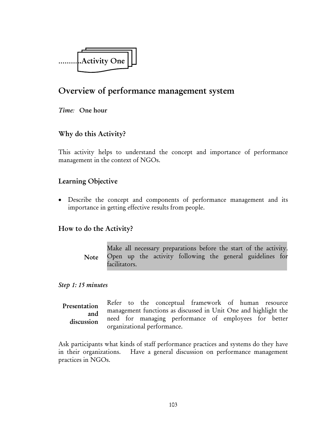

# Overview of performance management system

*Time:* One hour

# Why do this Activity?

This activity helps to understand the concept and importance of performance management in the context of NGOs.

## Learning Objective

• Describe the concept and components of performance management and its importance in getting effective results from people.

### How to do the Activity?

Make all necessary preparations before the start of the activity. Open up the activity following the general guidelines for facilitators. Note

#### *Step 1: 15 minutes*

Refer to the conceptual framework of human resource management functions as discussed in Unit One and highlight the need for managing performance of employees for better organizational performance. Presentation and discussion

Ask participants what kinds of staff performance practices and systems do they have in their organizations. Have a general discussion on performance management practices in NGOs.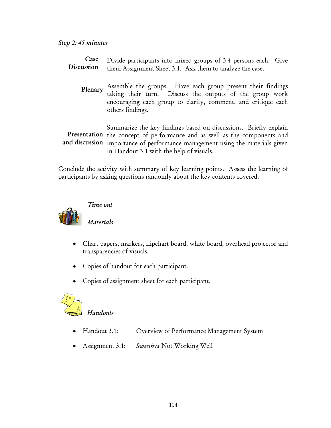| Case<br>Discussion | Divide participants into mixed groups of 3-4 persons each. Give<br>them Assignment Sheet 3.1. Ask them to analyze the case.                                                                                                                                                |
|--------------------|----------------------------------------------------------------------------------------------------------------------------------------------------------------------------------------------------------------------------------------------------------------------------|
| Plenary            | Assemble the groups. Have each group present their findings taking their turn. Discuss the outputs of the group work<br>encouraging each group to clarify, comment, and critique each<br>others findings.                                                                  |
|                    | Summarize the key findings based on discussions. Briefly explain<br>Presentation the concept of performance and as well as the components and<br>and discussion importance of performance management using the materials given<br>in Handout 3.1 with the help of visuals. |

Conclude the activity with summary of key learning points. Assess the learning of participants by asking questions randomly about the key contents covered.



### *Time out*

*Materials* 

- Chart papers, markers, flipchart board, white board, overhead projector and transparencies of visuals.
- Copies of handout for each participant.
- Copies of assignment sheet for each participant.



# *Handouts*

- Handout 3.1: Overview of Performance Management System
- Assignment 3.1: *Swasthya* Not Working Well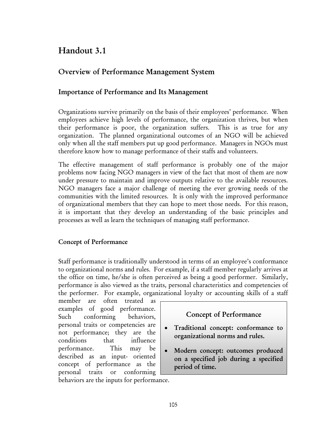# Handout 3.1

# Overview of Performance Management System

### Importance of Performance and Its Management

Organizations survive primarily on the basis of their employees' performance. When employees achieve high levels of performance, the organization thrives, but when their performance is poor, the organization suffers. This is as true for any organization. The planned organizational outcomes of an NGO will be achieved only when all the staff members put up good performance. Managers in NGOs must therefore know how to manage performance of their staffs and volunteers.

The effective management of staff performance is probably one of the major problems now facing NGO managers in view of the fact that most of them are now under pressure to maintain and improve outputs relative to the available resources. NGO managers face a major challenge of meeting the ever growing needs of the communities with the limited resources. It is only with the improved performance of organizational members that they can hope to meet those needs. For this reason, it is important that they develop an understanding of the basic principles and processes as well as learn the techniques of managing staff performance.

### Concept of Performance

Staff performance is traditionally understood in terms of an employee's conformance to organizational norms and rules. For example, if a staff member regularly arrives at the office on time, he/she is often perceived as being a good performer. Similarly, performance is also viewed as the traits, personal characteristics and competencies of the performer. For example, organizational loyalty or accounting skills of a staff

member are often treated as examples of good performance. Such conforming behaviors, personal traits or competencies are not performance; they are the conditions that influence performance. This may be described as an input- oriented concept of performance as the personal traits or conforming behaviors are the inputs for performance.

# Concept of Performance

- Traditional concept: conformance to organizational norms and rules.
- Modern concept: outcomes produced on a specified job during a specified period of time.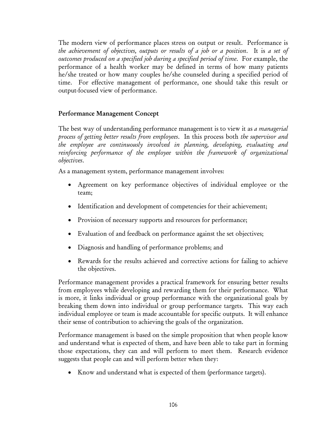The modern view of performance places stress on output or result. Performance is *the achievement of objectives, outputs or results of a job or a position*. It is *a set of outcomes produced on a specified job during a specified period of time*. For example, the performance of a health worker may be defined in terms of how many patients he/she treated or how many couples he/she counseled during a specified period of time. For effective management of performance, one should take this result or output-focused view of performance.

#### Performance Management Concept

The best way of understanding performance management is to view it as *a managerial process of getting better results from employees*. In this process both *the supervisor and the employee are continuously involved in planning, developing, evaluating and reinforcing performance of the employee within the framework of organizational objectives*.

As a management system, performance management involves:

- Agreement on key performance objectives of individual employee or the team;
- Identification and development of competencies for their achievement;
- Provision of necessary supports and resources for performance;
- Evaluation of and feedback on performance against the set objectives;
- Diagnosis and handling of performance problems; and
- Rewards for the results achieved and corrective actions for failing to achieve the objectives.

Performance management provides a practical framework for ensuring better results from employees while developing and rewarding them for their performance. What is more, it links individual or group performance with the organizational goals by breaking them down into individual or group performance targets. This way each individual employee or team is made accountable for specific outputs. It will enhance their sense of contribution to achieving the goals of the organization.

Performance management is based on the simple proposition that when people know and understand what is expected of them, and have been able to take part in forming those expectations, they can and will perform to meet them. Research evidence suggests that people can and will perform better when they:

• Know and understand what is expected of them (performance targets).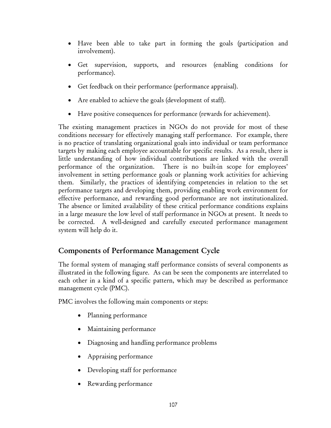- Have been able to take part in forming the goals (participation and involvement).
- Get supervision, supports, and resources (enabling conditions for performance).
- Get feedback on their performance (performance appraisal).
- Are enabled to achieve the goals (development of staff).
- Have positive consequences for performance (rewards for achievement).

The existing management practices in NGOs do not provide for most of these conditions necessary for effectively managing staff performance. For example, there is no practice of translating organizational goals into individual or team performance targets by making each employee accountable for specific results. As a result, there is little understanding of how individual contributions are linked with the overall performance of the organization. There is no built-in scope for employees' involvement in setting performance goals or planning work activities for achieving them. Similarly, the practices of identifying competencies in relation to the set performance targets and developing them, providing enabling work environment for effective performance, and rewarding good performance are not institutionalized. The absence or limited availability of these critical performance conditions explains in a large measure the low level of staff performance in NGOs at present. It needs to be corrected. A well-designed and carefully executed performance management system will help do it.

# Components of Performance Management Cycle

The formal system of managing staff performance consists of several components as illustrated in the following figure. As can be seen the components are interrelated to each other in a kind of a specific pattern, which may be described as performance management cycle (PMC).

PMC involves the following main components or steps:

- Planning performance
- Maintaining performance
- Diagnosing and handling performance problems
- Appraising performance
- Developing staff for performance
- Rewarding performance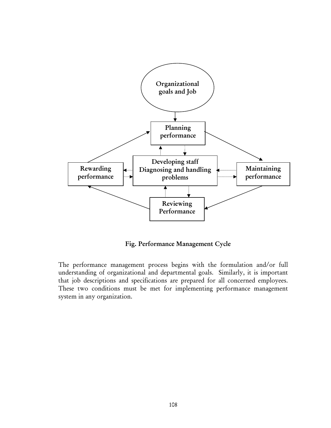

Fig. Performance Management Cycle

The performance management process begins with the formulation and/or full understanding of organizational and departmental goals. Similarly, it is important that job descriptions and specifications are prepared for all concerned employees. These two conditions must be met for implementing performance management system in any organization.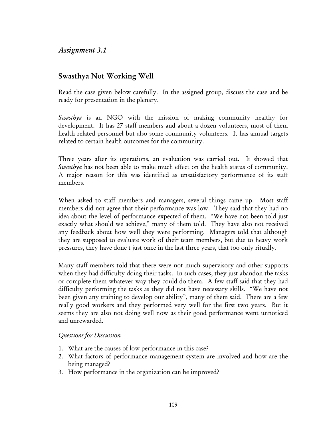# *Assignment 3.1*

# Swasthya Not Working Well

Read the case given below carefully. In the assigned group, discuss the case and be ready for presentation in the plenary.

*Swasthya* is an NGO with the mission of making community healthy for development. It has 27 staff members and about a dozen volunteers, most of them health related personnel but also some community volunteers. It has annual targets related to certain health outcomes for the community.

Three years after its operations, an evaluation was carried out. It showed that *Swasthya* has not been able to make much effect on the health status of community. A major reason for this was identified as unsatisfactory performance of its staff members.

When asked to staff members and managers, several things came up. Most staff members did not agree that their performance was low. They said that they had no idea about the level of performance expected of them. "We have not been told just exactly what should we achieve," many of them told. They have also not received any feedback about how well they were performing. Managers told that although they are supposed to evaluate work of their team members, but due to heavy work pressures, they have done t just once in the last three years, that too only ritually.

Many staff members told that there were not much supervisory and other supports when they had difficulty doing their tasks. In such cases, they just abandon the tasks or complete them whatever way they could do them. A few staff said that they had difficulty performing the tasks as they did not have necessary skills. "We have not been given any training to develop our ability", many of them said. There are a few really good workers and they performed very well for the first two years. But it seems they are also not doing well now as their good performance went unnoticed and unrewarded.

#### *Questions for Discussion*

- 1. What are the causes of low performance in this case?
- 2. What factors of performance management system are involved and how are the being managed?
- 3. How performance in the organization can be improved?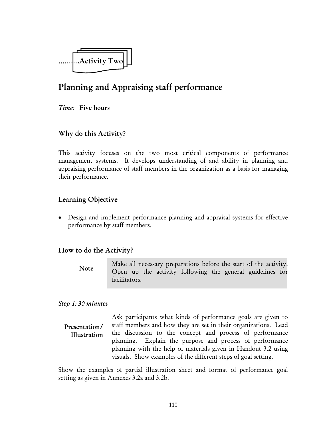

# Planning and Appraising staff performance

*Time:* Five hours

## Why do this Activity?

This activity focuses on the two most critical components of performance management systems. It develops understanding of and ability in planning and appraising performance of staff members in the organization as a basis for managing their performance.

## Learning Objective

• Design and implement performance planning and appraisal systems for effective performance by staff members.

### How to do the Activity?

Make all necessary preparations before the start of the activity. Open up the activity following the general guidelines for facilitators. Note

#### *Step 1: 30 minutes*

Ask participants what kinds of performance goals are given to staff members and how they are set in their organizations. Lead the discussion to the concept and process of performance planning. Explain the purpose and process of performance planning with the help of materials given in Handout 3.2 using visuals. Show examples of the different steps of goal setting. Presentation/ Illustration

Show the examples of partial illustration sheet and format of performance goal setting as given in Annexes 3.2a and 3.2b.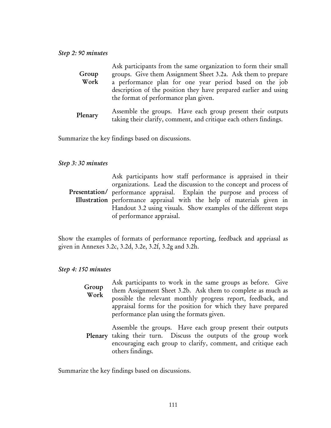| Group<br>Work | Ask participants from the same organization to form their small<br>groups. Give them Assignment Sheet 3.2a. Ask them to prepare<br>a performance plan for one year period based on the job<br>description of the position they have prepared earlier and using<br>the format of performance plan given. |
|---------------|---------------------------------------------------------------------------------------------------------------------------------------------------------------------------------------------------------------------------------------------------------------------------------------------------------|
| Plenary       | Assemble the groups. Have each group present their outputs<br>a chaireadh air albaithe ag munachta an 1 antaiscean ag alba an Condinada                                                                                                                                                                 |

taking their clarify, comment, and critique each others findings.

Summarize the key findings based on discussions.

#### *Step 3: 30 minutes*

| Ask participants how staff performance is appraised in their                    |
|---------------------------------------------------------------------------------|
| organizations. Lead the discussion to the concept and process of                |
| <b>Presentation</b> / performance appraisal. Explain the purpose and process of |
| Illustration performance appraisal with the help of materials given in          |
| Handout 3.2 using visuals. Show examples of the different steps                 |
| of performance appraisal.                                                       |

Show the examples of formats of performance reporting, feedback and appriasal as given in Annexes 3.2c, 3.2d, 3.2e, 3.2f, 3.2g and 3.2h.

#### *Step 4: 150 minutes*

| Group<br>Work | Ask participants to work in the same groups as before. Give<br>them Assignment Sheet 3.2b. Ask them to complete as much as<br>possible the relevant monthly progress report, feedback, and<br>appraisal forms for the position for which they have prepared<br>performance plan using the formats given. |
|---------------|----------------------------------------------------------------------------------------------------------------------------------------------------------------------------------------------------------------------------------------------------------------------------------------------------------|
|               | Assemble the groups. Have each group present their outputs<br>Plenary taking their turn. Discuss the outputs of the group work<br>encouraging each group to clarify, comment, and critique each<br>others findings.                                                                                      |

Summarize the key findings based on discussions.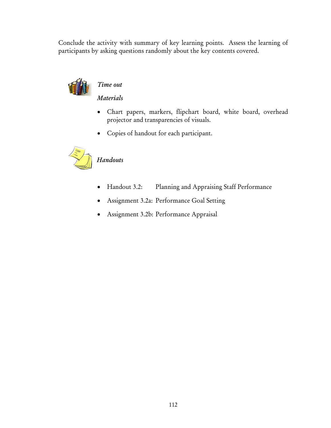Conclude the activity with summary of key learning points. Assess the learning of participants by asking questions randomly about the key contents covered.



# *Time out*

*Materials* 

- Chart papers, markers, flipchart board, white board, overhead projector and transparencies of visuals.
- Copies of handout for each participant.



# *Handouts*

- Handout 3.2: Planning and Appraising Staff Performance
- Assignment 3.2a: Performance Goal Setting
- Assignment 3.2b: Performance Appraisal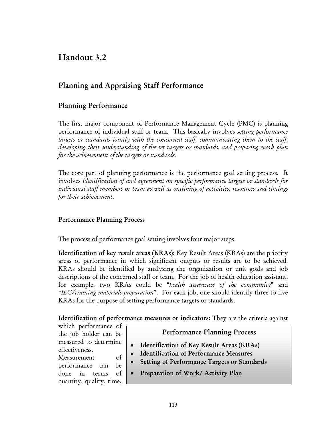# Handout 3.2

# Planning and Appraising Staff Performance

# Planning Performance

The first major component of Performance Management Cycle (PMC) is planning performance of individual staff or team. This basically involves *setting performance targets or standards jointly with the concerned staff, communicating them to the staff, developing their understanding of the set targets or standards, and preparing work plan for the achievement of the targets or standards*.

The core part of planning performance is the performance goal setting process. It involves *identification of and agreement on specific performance targets or standards for individual staff members or team as well as outlining of activities, resources and timings for their achievement*.

### Performance Planning Process

The process of performance goal setting involves four major steps.

Identification of key result areas (KRAs): Key Result Areas (KRAs) are the priority areas of performance in which significant outputs or results are to be achieved. KRAs should be identified by analyzing the organization or unit goals and job descriptions of the concerned staff or team. For the job of health education assistant, for example, two KRAs could be "*health awareness of the community*" and "*IEC/training materials preparation*". For each job, one should identify three to five KRAs for the purpose of setting performance targets or standards.

Identification of performance measures or indicators: They are the criteria against

which performance of the job holder can be measured to determine effectiveness.

Measurement of performance can be done in terms of quantity, quality, time,

### Performance Planning Process

- Identification of Key Result Areas (KRAs)
- Identification of Performance Measures
- Setting of Performance Targets or Standards
- Preparation of Work/ Activity Plan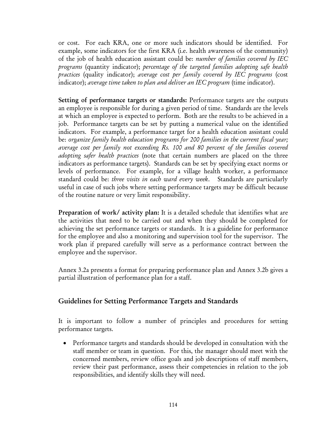or cost. For each KRA, one or more such indicators should be identified. For example, some indicators for the first KRA (i.e. health awareness of the community) of the job of health education assistant could be: *number of families covered by IEC programs* (quantity indicator); *percentage of the targeted families adopting safe health practices* (quality indicator); *average cost per family covered by IEC programs* (cost indicator); *average time taken to plan and deliver an IEC program* (time indicator).

Setting of performance targets or standards: Performance targets are the outputs an employee is responsible for during a given period of time. Standards are the levels at which an employee is expected to perform. Both are the results to be achieved in a job. Performance targets can be set by putting a numerical value on the identified indicators. For example, a performance target for a health education assistant could be: *organize family health education programs for 200 families in the current fiscal year; average cost per family not exceeding Rs. 100 and 80 percent of the families covered adopting safer health practices* (note that certain numbers are placed on the three indicators as performance targets). Standards can be set by specifying exact norms or levels of performance. For example, for a village health worker, a performance standard could be: *three visits in each ward every week*. Standards are particularly useful in case of such jobs where setting performance targets may be difficult because of the routine nature or very limit responsibility.

Preparation of work/ activity plan: It is a detailed schedule that identifies what are the activities that need to be carried out and when they should be completed for achieving the set performance targets or standards. It is a guideline for performance for the employee and also a monitoring and supervision tool for the supervisor. The work plan if prepared carefully will serve as a performance contract between the employee and the supervisor.

Annex 3.2a presents a format for preparing performance plan and Annex 3.2b gives a partial illustration of performance plan for a staff.

# Guidelines for Setting Performance Targets and Standards

It is important to follow a number of principles and procedures for setting performance targets.

• Performance targets and standards should be developed in consultation with the staff member or team in question. For this, the manager should meet with the concerned members, review office goals and job descriptions of staff members, review their past performance, assess their competencies in relation to the job responsibilities, and identify skills they will need.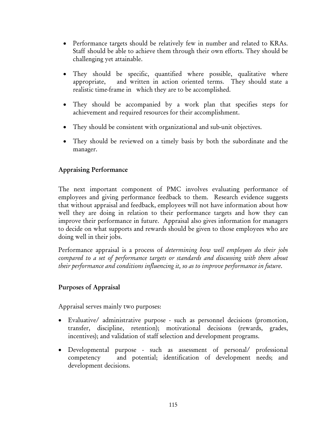- Performance targets should be relatively few in number and related to KRAs. Staff should be able to achieve them through their own efforts. They should be challenging yet attainable.
- They should be specific, quantified where possible, qualitative where appropriate, and written in action oriented terms. They should state a realistic time-frame in which they are to be accomplished.
- They should be accompanied by a work plan that specifies steps for achievement and required resources for their accomplishment.
- They should be consistent with organizational and sub-unit objectives.
- They should be reviewed on a timely basis by both the subordinate and the manager.

### Appraising Performance

The next important component of PMC involves evaluating performance of employees and giving performance feedback to them. Research evidence suggests that without appraisal and feedback, employees will not have information about how well they are doing in relation to their performance targets and how they can improve their performance in future. Appraisal also gives information for managers to decide on what supports and rewards should be given to those employees who are doing well in their jobs.

Performance appraisal is a process of *determining how well employees do their jobs compared to a set of performance targets or standards and discussing with them about their performance and conditions influencing it, so as to improve performance in future*.

### Purposes of Appraisal

Appraisal serves mainly two purposes:

- Evaluative/ administrative purpose such as personnel decisions (promotion, transfer, discipline, retention); motivational decisions (rewards, grades, incentives); and validation of staff selection and development programs.
- Developmental purpose such as assessment of personal/ professional competency and potential; identification of development needs; and development decisions.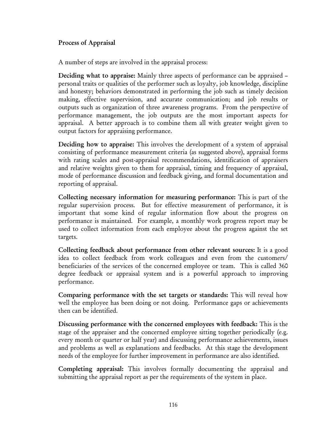### Process of Appraisal

A number of steps are involved in the appraisal process:

Deciding what to appraise: Mainly three aspects of performance can be appraised – personal traits or qualities of the performer such as loyalty, job knowledge, discipline and honesty; behaviors demonstrated in performing the job such as timely decision making, effective supervision, and accurate communication; and job results or outputs such as organization of three awareness programs. From the perspective of performance management, the job outputs are the most important aspects for appraisal. A better approach is to combine them all with greater weight given to output factors for appraising performance.

Deciding how to appraise: This involves the development of a system of appraisal consisting of performance measurement criteria (as suggested above), appraisal forms with rating scales and post-appraisal recommendations, identification of appraisers and relative weights given to them for appraisal, timing and frequency of appraisal, mode of performance discussion and feedback giving, and formal documentation and reporting of appraisal.

Collecting necessary information for measuring performance: This is part of the regular supervision process. But for effective measurement of performance, it is important that some kind of regular information flow about the progress on performance is maintained. For example, a monthly work progress report may be used to collect information from each employee about the progress against the set targets.

Collecting feedback about performance from other relevant sources: It is a good idea to collect feedback from work colleagues and even from the customers/ beneficiaries of the services of the concerned employee or team. This is called 360 degree feedback or appraisal system and is a powerful approach to improving performance.

Comparing performance with the set targets or standards: This will reveal how well the employee has been doing or not doing. Performance gaps or achievements then can be identified.

Discussing performance with the concerned employees with feedback: This is the stage of the appraiser and the concerned employee sitting together periodically (e.g. every month or quarter or half year) and discussing performance achievements, issues and problems as well as explanations and feedbacks. At this stage the development needs of the employee for further improvement in performance are also identified.

Completing appraisal: This involves formally documenting the appraisal and submitting the appraisal report as per the requirements of the system in place.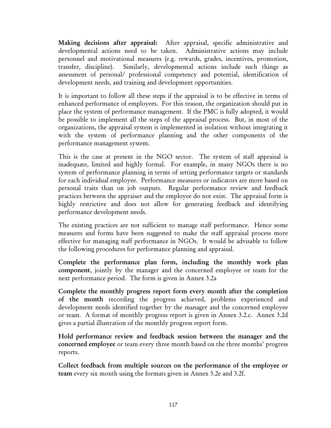Making decisions after appraisal: After appraisal, specific administrative and developmental actions need to be taken. Administrative actions may include personnel and motivational measures (e.g. rewards, grades, incentives, promotion, transfer, discipline). Similarly, developmental actions include such things as assessment of personal/ professional competency and potential, identification of development needs, and training and development opportunities.

It is important to follow all these steps if the appraisal is to be effective in terms of enhanced performance of employees. For this reason, the organization should put in place the system of performance management. If the PMC is fully adopted, it would be possible to implement all the steps of the appraisal process. But, in most of the organizations, the appraisal system is implemented in isolation without integrating it with the system of performance planning and the other components of the performance management system.

This is the case at present in the NGO sector. The system of staff appraisal is inadequate, limited and highly formal. For example, in many NGOs there is no system of performance planning in terms of setting performance targets or standards for each individual employee. Performance measures or indicators are more based on personal traits than on job outputs. Regular performance review and feedback practices between the appraiser and the employee do not exist. The appraisal form is highly restrictive and does not allow for generating feedback and identifying performance development needs.

The existing practices are not sufficient to manage staff performance. Hence some measures and forms have been suggested to make the staff appraisal process more effective for managing staff performance in NGOs. It would be advisable to follow the following procedures for performance planning and appraisal.

Complete the performance plan form, including the monthly work plan component, jointly by the manager and the concerned employee or team for the next performance period. The form is given in Annex 3.2a

Complete the monthly progress report form every month after the completion of the month recording the progress achieved, problems experienced and development needs identified together by the manager and the concerned employee or team. A format of monthly progress report is given in Annex 3.2.c. Annex 3.2d gives a partial illustration of the monthly progress report form.

Hold performance review and feedback session between the manager and the concerned employee or team every three month based on the three months' progress reports.

Collect feedback from multiple sources on the performance of the employee or team every six month using the formats given in Annex 3.2e and 3.2f.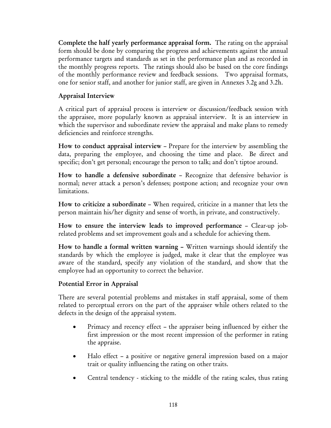Complete the half yearly performance appraisal form. The rating on the appraisal form should be done by comparing the progress and achievements against the annual performance targets and standards as set in the performance plan and as recorded in the monthly progress reports. The ratings should also be based on the core findings of the monthly performance review and feedback sessions. Two appraisal formats, one for senior staff, and another for junior staff, are given in Annexes 3.2g and 3.2h.

## Appraisal Interview

A critical part of appraisal process is interview or discussion/feedback session with the appraisee, more popularly known as appraisal interview. It is an interview in which the supervisor and subordinate review the appraisal and make plans to remedy deficiencies and reinforce strengths.

How to conduct appraisal interview – Prepare for the interview by assembling the data, preparing the employee, and choosing the time and place. Be direct and specific; don't get personal; encourage the person to talk; and don't tiptoe around.

How to handle a defensive subordinate – Recognize that defensive behavior is normal; never attack a person's defenses; postpone action; and recognize your own limitations.

How to criticize a subordinate – When required, criticize in a manner that lets the person maintain his/her dignity and sense of worth, in private, and constructively.

How to ensure the interview leads to improved performance – Clear-up jobrelated problems and set improvement goals and a schedule for achieving them.

How to handle a formal written warning – Written warnings should identify the standards by which the employee is judged, make it clear that the employee was aware of the standard, specify any violation of the standard, and show that the employee had an opportunity to correct the behavior.

### Potential Error in Appraisal

There are several potential problems and mistakes in staff appraisal, some of them related to perceptual errors on the part of the appraiser while others related to the defects in the design of the appraisal system.

- Primacy and recency effect the appraiser being influenced by either the first impression or the most recent impression of the performer in rating the appraise.
- Halo effect a positive or negative general impression based on a major trait or quality influencing the rating on other traits.
- Central tendency sticking to the middle of the rating scales, thus rating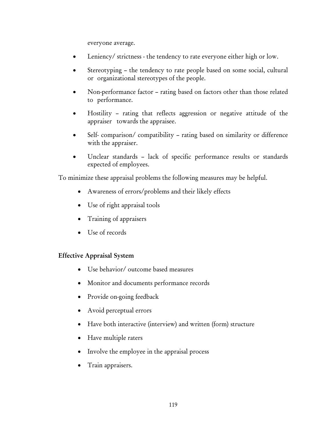everyone average.

- Leniency/ strictness the tendency to rate everyone either high or low.
- Stereotyping the tendency to rate people based on some social, cultural or organizational stereotypes of the people.
- Non-performance factor rating based on factors other than those related to performance.
- Hostility rating that reflects aggression or negative attitude of the appraiser towards the appraisee.
- Self- comparison/ compatibility rating based on similarity or difference with the appraiser.
- Unclear standards lack of specific performance results or standards expected of employees.

To minimize these appraisal problems the following measures may be helpful.

- Awareness of errors/problems and their likely effects
- Use of right appraisal tools
- Training of appraisers
- Use of records

#### Effective Appraisal System

- Use behavior/ outcome based measures
- Monitor and documents performance records
- Provide on-going feedback
- Avoid perceptual errors
- Have both interactive (interview) and written (form) structure
- Have multiple raters
- Involve the employee in the appraisal process
- Train appraisers.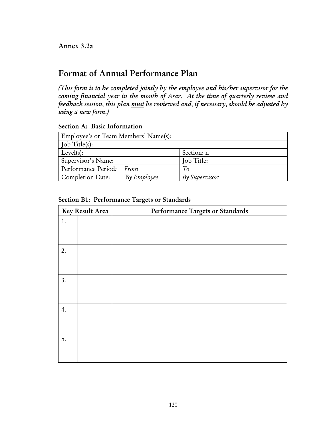# Format of Annual Performance Plan

*(This form is to be completed jointly by the employee and his/her supervisor for the coming financial year in the month of Asar. At the time of quarterly review and feedback session, this plan must be reviewed and, if necessary, should be adjusted by using a new form.)* 

Section A: Basic Information

| Employee's or Team Members' Name(s):       |                       |  |  |  |  |  |  |
|--------------------------------------------|-----------------------|--|--|--|--|--|--|
| Job Title(s):                              |                       |  |  |  |  |  |  |
| Level(s):                                  | Section: n            |  |  |  |  |  |  |
| Supervisor's Name:                         | Job Title:            |  |  |  |  |  |  |
| Performance Period: From                   | To                    |  |  |  |  |  |  |
| $By \mathit{Employee}$<br>Completion Date: | <b>By Supervisor:</b> |  |  |  |  |  |  |

|    | Key Result Area | Performance Targets or Standards |
|----|-----------------|----------------------------------|
| 1. |                 |                                  |
| 2. |                 |                                  |
|    |                 |                                  |
| 3. |                 |                                  |
| 4. |                 |                                  |
| 5. |                 |                                  |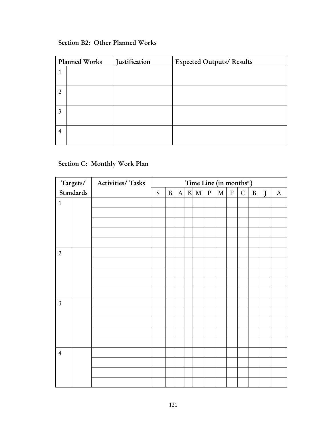## Section B2: Other Planned Works

|                | Planned Works | Justification | <b>Expected Outputs/ Results</b> |
|----------------|---------------|---------------|----------------------------------|
|                |               |               |                                  |
|                |               |               |                                  |
| $\overline{2}$ |               |               |                                  |
|                |               |               |                                  |
| 3              |               |               |                                  |
|                |               |               |                                  |
| $\overline{4}$ |               |               |                                  |
|                |               |               |                                  |

# Section C: Monthly Work Plan

|                |           | Targets/   Activities/ Tasks | Time Line (in months*) |              |              |  |     |           |         |              |              |              |         |              |
|----------------|-----------|------------------------------|------------------------|--------------|--------------|--|-----|-----------|---------|--------------|--------------|--------------|---------|--------------|
|                | Standards |                              | S                      | $\, {\bf B}$ | $\mathbf{A}$ |  | K M | ${\bf P}$ | $\bf M$ | $\, {\bf F}$ | $\mathsf{C}$ | $\, {\bf B}$ | $\bf J$ | $\mathbf{A}$ |
| $\mathbf{1}$   |           |                              |                        |              |              |  |     |           |         |              |              |              |         |              |
|                |           |                              |                        |              |              |  |     |           |         |              |              |              |         |              |
|                |           |                              |                        |              |              |  |     |           |         |              |              |              |         |              |
|                |           |                              |                        |              |              |  |     |           |         |              |              |              |         |              |
|                |           |                              |                        |              |              |  |     |           |         |              |              |              |         |              |
| $\overline{2}$ |           |                              |                        |              |              |  |     |           |         |              |              |              |         |              |
|                |           |                              |                        |              |              |  |     |           |         |              |              |              |         |              |
|                |           |                              |                        |              |              |  |     |           |         |              |              |              |         |              |
|                |           |                              |                        |              |              |  |     |           |         |              |              |              |         |              |
|                |           |                              |                        |              |              |  |     |           |         |              |              |              |         |              |
| $\mathfrak{Z}$ |           |                              |                        |              |              |  |     |           |         |              |              |              |         |              |
|                |           |                              |                        |              |              |  |     |           |         |              |              |              |         |              |
|                |           |                              |                        |              |              |  |     |           |         |              |              |              |         |              |
|                |           |                              |                        |              |              |  |     |           |         |              |              |              |         |              |
|                |           |                              |                        |              |              |  |     |           |         |              |              |              |         |              |
| $\overline{4}$ |           |                              |                        |              |              |  |     |           |         |              |              |              |         |              |
|                |           |                              |                        |              |              |  |     |           |         |              |              |              |         |              |
|                |           |                              |                        |              |              |  |     |           |         |              |              |              |         |              |
|                |           |                              |                        |              |              |  |     |           |         |              |              |              |         |              |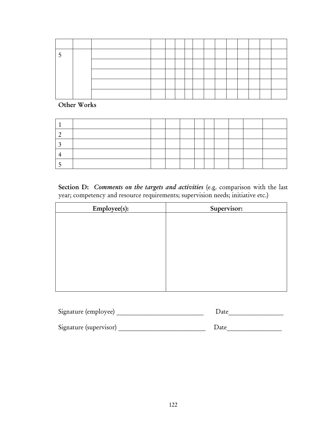Other Works

Section D: *Comments on the targets and activities* (e.g. comparison with the last year; competency and resource requirements; supervision needs; initiative etc.)

| Employee(s): | Supervisor: |
|--------------|-------------|
|              |             |
|              |             |
|              |             |
|              |             |
|              |             |
|              |             |
|              |             |
|              |             |

| Signature (employee)   | Date |
|------------------------|------|
| Signature (supervisor) | Date |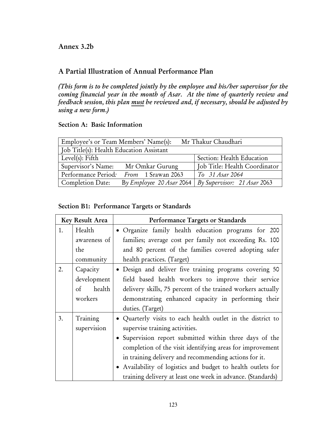### Annex 3.2b

# A Partial Illustration of Annual Performance Plan

*(This form is to be completed jointly by the employee and his/her supervisor for the coming financial year in the month of Asar. At the time of quarterly review and feedback session, this plan must be reviewed and, if necessary, should be adjusted by using a new form.)* 

#### Section A: Basic Information

| Mr Thakur Chaudhari<br>Employee's or Team Members' Name(s):       |                               |  |  |  |  |  |  |
|-------------------------------------------------------------------|-------------------------------|--|--|--|--|--|--|
| Job Title(s): Health Education Assistant                          |                               |  |  |  |  |  |  |
| Level(s): Fifth                                                   | Section: Health Education     |  |  |  |  |  |  |
| Supervisor's Name:<br>Mr Omkar Gurung                             | Job Title: Health Coordinator |  |  |  |  |  |  |
| Performance Period:<br><i>From</i> 1 Srawan 2063                  | To 31 Asar 2064               |  |  |  |  |  |  |
| <b>Completion Date:</b><br>By <i>Employee</i> 20 <i>Asar</i> 2064 | By Supervisor: 21 Asar 2063   |  |  |  |  |  |  |

### Section B1: Performance Targets or Standards

|    | Key Result Area | Performance Targets or Standards                             |
|----|-----------------|--------------------------------------------------------------|
| 1. | Health          | • Organize family health education programs for 200          |
|    | awareness of    | families; average cost per family not exceeding Rs. 100      |
|    | the             | and 80 percent of the families covered adopting safer        |
|    | community       | health practices. (Target)                                   |
| 2. | Capacity        | · Design and deliver five training programs covering 50      |
|    | development     | field based health workers to improve their service          |
|    | health<br>of    | delivery skills, 75 percent of the trained workers actually  |
|    | workers         | demonstrating enhanced capacity in performing their          |
|    |                 | duties. (Target)                                             |
| 3. | Training        | • Quarterly visits to each health outlet in the district to  |
|    | supervision     | supervise training activities.                               |
|    |                 | • Supervision report submitted within three days of the      |
|    |                 | completion of the visit identifying areas for improvement    |
|    |                 | in training delivery and recommending actions for it.        |
|    |                 | • Availability of logistics and budget to health outlets for |
|    |                 | training delivery at least one week in advance. (Standards)  |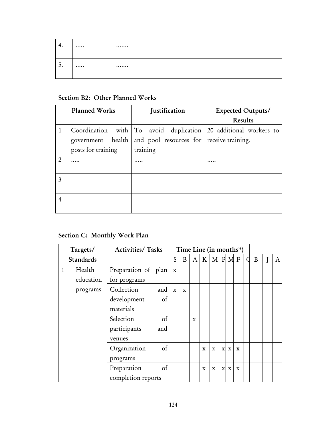| 4. | <br> |
|----|------|
| 5. | <br> |

# Section B2: Other Planned Works

|                | Planned Works      | <b>Justification</b>                     | <b>Expected Outputs/</b>                                        |  |  |  |
|----------------|--------------------|------------------------------------------|-----------------------------------------------------------------|--|--|--|
|                |                    |                                          | <b>Results</b>                                                  |  |  |  |
|                |                    |                                          | Coordination with To avoid duplication 20 additional workers to |  |  |  |
|                | government health  | and pool resources for receive training. |                                                                 |  |  |  |
|                | posts for training | training                                 |                                                                 |  |  |  |
| $\overline{2}$ |                    |                                          |                                                                 |  |  |  |
| 3              |                    |                                          |                                                                 |  |  |  |
| $\overline{4}$ |                    |                                          |                                                                 |  |  |  |

# Section C: Monthly Work Plan

|              | Targets/  | <b>Activities/ Tasks</b> |     | Time Line (in months $\ddot{r}$ ) |             |              |              |             |              |             |   |   |   |   |
|--------------|-----------|--------------------------|-----|-----------------------------------|-------------|--------------|--------------|-------------|--------------|-------------|---|---|---|---|
|              | Standards |                          |     | S                                 | B           | $\mathbf{A}$ | K            |             |              | $M$ P M F   |   | C | B | A |
| $\mathbf{1}$ | Health    | Preparation of plan      |     | $\mathbf x$                       |             |              |              |             |              |             |   |   |   |   |
|              | education | for programs             |     |                                   |             |              |              |             |              |             |   |   |   |   |
|              | programs  | Collection               | and | $\mathbf X$                       | $\mathbf x$ |              |              |             |              |             |   |   |   |   |
|              |           | development              | of  |                                   |             |              |              |             |              |             |   |   |   |   |
|              |           | materials                |     |                                   |             |              |              |             |              |             |   |   |   |   |
|              |           | Selection                | of  |                                   |             | $\mathbf x$  |              |             |              |             |   |   |   |   |
|              |           | participants             | and |                                   |             |              |              |             |              |             |   |   |   |   |
|              |           | venues                   |     |                                   |             |              |              |             |              |             |   |   |   |   |
|              |           | Organization             | of  |                                   |             |              | $\mathbf{x}$ | $\mathbf x$ | $\mathbf{x}$ | $\mathbf x$ | X |   |   |   |
|              |           | programs                 |     |                                   |             |              |              |             |              |             |   |   |   |   |
|              |           | Preparation              | of  |                                   |             |              | X            | $\mathbf x$ | $\mathbf x$  | $\mathbf X$ | X |   |   |   |
|              |           | completion reports       |     |                                   |             |              |              |             |              |             |   |   |   |   |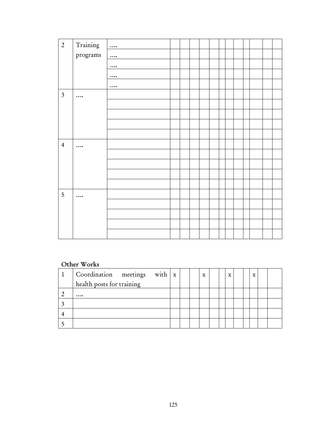| $\overline{2}$ | Training | $\cdots$ |  |  |  |  |  |  |
|----------------|----------|----------|--|--|--|--|--|--|
|                | programs | $\cdots$ |  |  |  |  |  |  |
|                |          | $\cdots$ |  |  |  |  |  |  |
|                |          | $\cdots$ |  |  |  |  |  |  |
|                |          | $\cdots$ |  |  |  |  |  |  |
| $\mathfrak{Z}$ | $\cdots$ |          |  |  |  |  |  |  |
|                |          |          |  |  |  |  |  |  |
|                |          |          |  |  |  |  |  |  |
|                |          |          |  |  |  |  |  |  |
|                |          |          |  |  |  |  |  |  |
| $\overline{4}$ | $\cdots$ |          |  |  |  |  |  |  |
|                |          |          |  |  |  |  |  |  |
|                |          |          |  |  |  |  |  |  |
|                |          |          |  |  |  |  |  |  |
|                |          |          |  |  |  |  |  |  |
| 5              | $\cdots$ |          |  |  |  |  |  |  |
|                |          |          |  |  |  |  |  |  |
|                |          |          |  |  |  |  |  |  |
|                |          |          |  |  |  |  |  |  |
|                |          |          |  |  |  |  |  |  |

# Other Works

| $\vert$ Coordination meetings with $\vert x \vert$ |  | X |  | $\mathbf{x}$ |  | $\mathbf x$ |  |
|----------------------------------------------------|--|---|--|--------------|--|-------------|--|
| health posts for training                          |  |   |  |              |  |             |  |
|                                                    |  |   |  |              |  |             |  |
|                                                    |  |   |  |              |  |             |  |
|                                                    |  |   |  |              |  |             |  |
|                                                    |  |   |  |              |  |             |  |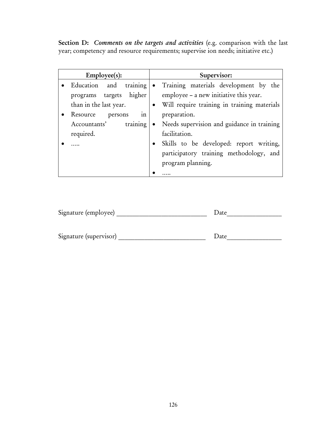Section D: *Comments on the targets and activities* (e.g. comparison with the last year; competency and resource requirements; supervise ion needs; initiative etc.)

| Employee(s):                     | Supervisor:                                             |
|----------------------------------|---------------------------------------------------------|
| Education and training $\bullet$ | Training materials development by the                   |
| programs targets higher          | employee - a new initiative this year.                  |
| than in the last year.           | Will require training in training materials             |
| Resource<br>persons<br>1n        | preparation.                                            |
| training<br>Accountants'         | Needs supervision and guidance in training<br>$\bullet$ |
| required.                        | facilitation.                                           |
|                                  | Skills to be developed: report writing,<br>$\bullet$    |
|                                  | participatory training methodology, and                 |
|                                  | program planning.                                       |
|                                  |                                                         |

| Signature (employee)   | Date |
|------------------------|------|
|                        |      |
| Signature (supervisor) | Date |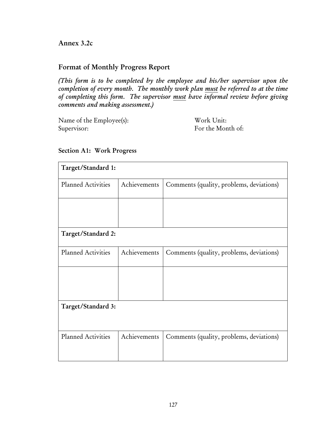Annex 3.2c

## Format of Monthly Progress Report

*(This form is to be completed by the employee and his/her supervisor upon the completion of every month. The monthly work plan must be referred to at the time of completing this form. The supervisor must have informal review before giving comments and making assessment.)* 

Name of the Employee(s): Work Unit: Supervisor: For the Month of:

| Target/Standard 1:        |              |                                          |
|---------------------------|--------------|------------------------------------------|
| <b>Planned Activities</b> | Achievements | Comments (quality, problems, deviations) |
|                           |              |                                          |
|                           |              |                                          |
| Target/Standard 2:        |              |                                          |
| <b>Planned Activities</b> | Achievements | Comments (quality, problems, deviations) |
|                           |              |                                          |
|                           |              |                                          |
| Target/Standard 3:        |              |                                          |
|                           |              |                                          |
| <b>Planned Activities</b> | Achievements | Comments (quality, problems, deviations) |
|                           |              |                                          |

### Section A1: Work Progress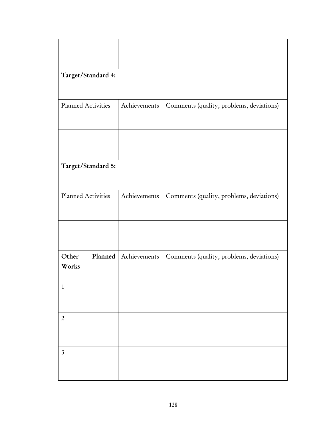| Target/Standard 4:        |              |                                          |
|---------------------------|--------------|------------------------------------------|
|                           |              |                                          |
| Planned Activities        | Achievements | Comments (quality, problems, deviations) |
|                           |              |                                          |
| Target/Standard 5:        |              |                                          |
| Planned Activities        | Achievements | Comments (quality, problems, deviations) |
|                           |              |                                          |
| Other<br>Planned<br>Works | Achievements | Comments (quality, problems, deviations) |
| $\mathbf{1}$              |              |                                          |
| $\overline{2}$            |              |                                          |
| $\mathfrak{Z}$            |              |                                          |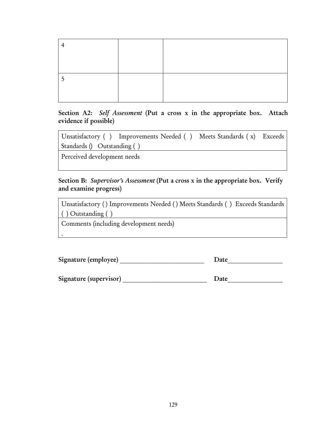Section A2: *Self Assessment* (Put a cross x in the appropriate box. Attach evidence if possible)

| Unsatisfactory () Improvements Needed () Meets Standards (x) Exceeds |  |  |
|----------------------------------------------------------------------|--|--|
| Standards () Outstanding ()                                          |  |  |

Perceived development needs

.

Section B: *Supervisor's Assessment* (Put a cross x in the appropriate box. Verify and examine progress)

| Unsatisfactory () Improvements Needed () Meets Standards () Exceeds Standards |  |
|-------------------------------------------------------------------------------|--|
| $( )$ Outstanding $( )$                                                       |  |
|                                                                               |  |

Comments (including development needs)

| Signature (employee)   | Date |
|------------------------|------|
| Signature (supervisor) | Date |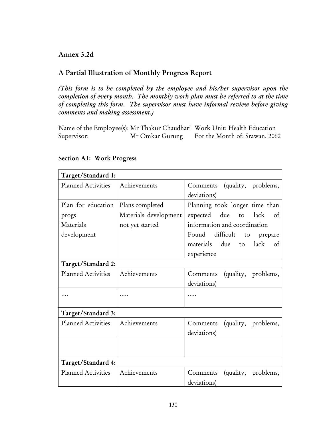### Annex 3.2d

# A Partial Illustration of Monthly Progress Report

*(This form is to be completed by the employee and his/her supervisor upon the completion of every month. The monthly work plan must be referred to at the time of completing this form. The supervisor must have informal review before giving comments and making assessment.)* 

Name of the Employee(s): Mr Thakur Chaudhari Work Unit: Health Education Supervisor: Mr Omkar Gurung For the Month of: Srawan, 2062

| Target/Standard 1:        |                       |                                 |
|---------------------------|-----------------------|---------------------------------|
| Planned Activities        | Achievements          | Comments (quality, problems,    |
|                           |                       | deviations)                     |
| Plan for education        | Plans completed       | Planning took longer time than  |
| progs                     | Materials development | expected due to lack<br>of      |
| Materials                 | not yet started       | information and coordination    |
| development               |                       | Found difficult to prepare      |
|                           |                       | materials due to lack of        |
|                           |                       | experience                      |
| Target/Standard 2:        |                       |                                 |
| <b>Planned Activities</b> | Achievements          | Comments (quality, problems,    |
|                           |                       | deviations)                     |
|                           |                       |                                 |
|                           |                       |                                 |
| Target/Standard 3:        |                       |                                 |
| Planned Activities        | Achievements          | Comments (quality, problems,    |
|                           |                       | deviations)                     |
|                           |                       |                                 |
|                           |                       |                                 |
| Target/Standard 4:        |                       |                                 |
| <b>Planned Activities</b> | Achievements          | (quality, problems,<br>Comments |
|                           |                       | deviations)                     |

#### Section A1: Work Progress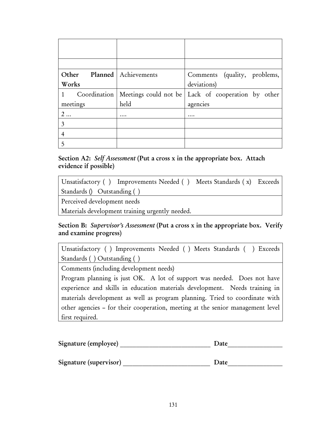| Other          | Planned   Achievements               | Comments (quality, problems, |
|----------------|--------------------------------------|------------------------------|
| Works          |                                      | deviations)                  |
| $\mathbf{1}$   | Coordination   Meetings could not be | Lack of cooperation by other |
| meetings       | held                                 | agencies                     |
| 2              | $\cdots$                             | .                            |
| 3              |                                      |                              |
| $\overline{4}$ |                                      |                              |
| 5              |                                      |                              |

Section A2: *Self Assessment* (Put a cross x in the appropriate box. Attach evidence if possible)

Unsatisfactory ( ) Improvements Needed ( ) Meets Standards ( x) Exceeds Standards () Outstanding ( )

Perceived development needs

Materials development training urgently needed.

## Section B: Supervisor's Assessment (Put a cross x in the appropriate box. Verify and examine progress)

Unsatisfactory ( ) Improvements Needed ( ) Meets Standards ( ) Exceeds Standards ( ) Outstanding ( )

Comments (including development needs)

Program planning is just OK. A lot of support was needed. Does not have experience and skills in education materials development. Needs training in materials development as well as program planning. Tried to coordinate with other agencies – for their cooperation, meeting at the senior management level first required.

| Signature (employee)   | Date |
|------------------------|------|
|                        |      |
| Signature (supervisor) | Date |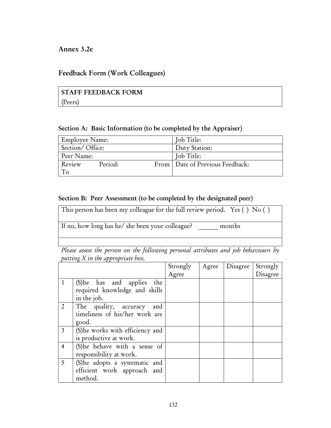### Annex 3.2e

### Feedback Form (Work Colleagues)

# STAFF FEEDBACK FORM (Peers)

#### Section A: Basic Information (to be completed by the Appraiser)

| <b>Employee Name:</b> |         | Job Title:                        |  |  |
|-----------------------|---------|-----------------------------------|--|--|
| Section/Office:       |         | Duty Station:                     |  |  |
| Peer Name:            |         | Job Title:                        |  |  |
| Review                | Period: | From   Date of Previous Feedback: |  |  |
|                       |         |                                   |  |  |

#### Section B: Peer Assessment (to be completed by the designated peer)

This person has been my colleague for the full review period. Yes ( ) No ( )

If no, how long has he/ she been your colleague? \_\_\_\_\_\_ months

*Please assess the person on the following personal attributes and job behaviours by putting X in the appropriate box.* 

|                |                                                                            | Strongly | Agree | Disagree | Strongly |
|----------------|----------------------------------------------------------------------------|----------|-------|----------|----------|
|                |                                                                            | Agree    |       |          | Disagree |
| 1              | (S) he has and applies the<br>required knowledge and skills<br>in the job. |          |       |          |          |
| $\overline{2}$ | The quality, accuracy<br>and<br>timeliness of his/her work are<br>good.    |          |       |          |          |
| $\mathfrak{Z}$ | (S) he works with efficiency and<br>is productive at work.                 |          |       |          |          |
| 4              | (S)he behave with a sense of<br>responsibility at work.                    |          |       |          |          |
| 5              | (S)he adopts a systematic and<br>efficient work approach and<br>method.    |          |       |          |          |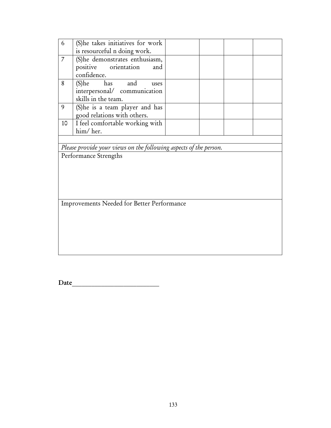| 6  | (S) he takes initiatives for work |  |  |
|----|-----------------------------------|--|--|
|    | is resourceful n doing work.      |  |  |
|    | (S) he demonstrates enthusiasm,   |  |  |
|    | positive orientation and          |  |  |
|    | confidence.                       |  |  |
| 8  | (S)he has and<br>uses             |  |  |
|    | interpersonal/ communication      |  |  |
|    | skills in the team.               |  |  |
| 9  | (S) he is a team player and has   |  |  |
|    | good relations with others.       |  |  |
| 10 | I feel comfortable working with   |  |  |
|    | him/her.                          |  |  |

*Please provide your views on the following aspects of the person.* 

Performance Strengths

Improvements Needed for Better Performance

Date\_\_\_\_\_\_\_\_\_\_\_\_\_\_\_\_\_\_\_\_\_\_\_\_\_\_\_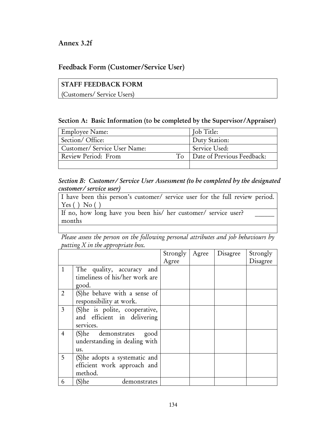### Annex 3.2f

## Feedback Form (Customer/Service User)

# STAFF FEEDBACK FORM

(Customers/ Service Users)

#### Section A: Basic Information (to be completed by the Supervisor/Appraiser)

| Employee Name:                      | Job Title:                 |
|-------------------------------------|----------------------------|
| Section/Office:                     | Duty Station:              |
| Customer/Service User Name:         | Service Used:              |
| $T_{\Omega}$<br>Review Period: From | Date of Previous Feedback: |
|                                     |                            |

## *Section B: Customer/ Service User Assessment (to be completed by the designated customer/ service user)*

| I have been this person's customer/ service user for the full review period. |  |  |  |  |
|------------------------------------------------------------------------------|--|--|--|--|
| Yes() No()                                                                   |  |  |  |  |
|                                                                              |  |  |  |  |

If no, how long have you been his/ her customer/ service user? months

*Please assess the person on the following personal attributes and job behaviours by putting X in the appropriate box.* 

|                |                                | Strongly | Agree | Disagree | Strongly |
|----------------|--------------------------------|----------|-------|----------|----------|
|                |                                | Agree    |       |          | Disagree |
| $\mathbf{1}$   | The quality, accuracy and      |          |       |          |          |
|                | timeliness of his/her work are |          |       |          |          |
|                | good.                          |          |       |          |          |
| $\overline{2}$ | (S)he behave with a sense of   |          |       |          |          |
|                | responsibility at work.        |          |       |          |          |
| $\overline{3}$ | (S)he is polite, cooperative,  |          |       |          |          |
|                | and efficient in delivering    |          |       |          |          |
|                | services.                      |          |       |          |          |
| $\overline{4}$ | (S)he demonstrates<br>good     |          |       |          |          |
|                | understanding in dealing with  |          |       |          |          |
|                | us.                            |          |       |          |          |
| 5              | (S)he adopts a systematic and  |          |       |          |          |
|                | efficient work approach and    |          |       |          |          |
|                | method.                        |          |       |          |          |
| 6              | 'S)he<br>demonstrates          |          |       |          |          |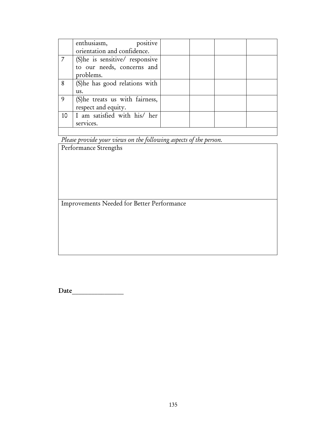|    | enthusiasm, positive            |  |  |
|----|---------------------------------|--|--|
|    | orientation and confidence.     |  |  |
|    | (S) he is sensitive/ responsive |  |  |
|    | to our needs, concerns and      |  |  |
|    | problems.                       |  |  |
| 8  | (S) he has good relations with  |  |  |
|    | us.                             |  |  |
| 9  | (S) he treats us with fairness, |  |  |
|    | respect and equity.             |  |  |
| 10 | I am satisfied with his/ her    |  |  |
|    | services.                       |  |  |
|    |                                 |  |  |

*Please provide your views on the following aspects of the person.* 

Performance Strengths

Improvements Needed for Better Performance

Date  $\Box$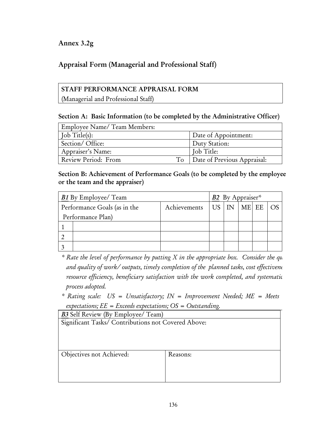# Annex 3.2g

# Appraisal Form (Managerial and Professional Staff)

## STAFF PERFORMANCE APPRAISAL FORM

(Managerial and Professional Staff)

### Section A: Basic Information (to be completed by the Administrative Officer)

| Employee Name/ Team Members: |                             |
|------------------------------|-----------------------------|
| $\int$ ob Title(s):          | Date of Appointment:        |
| Section/Office:              | Duty Station:               |
| Appraiser's Name:            | Job Title:                  |
| Review Period: From<br>To    | Date of Previous Appraisal: |

### Section B: Achievement of Performance Goals (to be completed by the employee or the team and the appraiser)

| <b>B1</b> By Employee/ Team<br>B2 By Appraiser* |                   |  |  |                      |       |             |
|-------------------------------------------------|-------------------|--|--|----------------------|-------|-------------|
| Performance Goals (as in the<br>Achievements    |                   |  |  | $US$ $\overline{IN}$ | ME EE | $O_{\rm S}$ |
|                                                 | Performance Plan) |  |  |                      |       |             |
|                                                 |                   |  |  |                      |       |             |
|                                                 |                   |  |  |                      |       |             |
|                                                 |                   |  |  |                      |       |             |

- *\* Rate the level of performance by putting X in the appropriate box. Consider the qu and quality of work/ outputs, timely completion of the planned tasks, cost effectivene resource efficiency, beneficiary satisfaction with the work completed, and systematic process adopted.*
- *\* Rating scale: US = Unsatisfactory; IN = Improvement Needed; ME = Meets expectations; EE = Exceeds expectations; OS = Outstanding.*

| <b>B3</b> Self Review (By Employee/ Team)           |          |  |  |  |  |  |
|-----------------------------------------------------|----------|--|--|--|--|--|
| Significant Tasks/ Contributions not Covered Above: |          |  |  |  |  |  |
|                                                     |          |  |  |  |  |  |
|                                                     |          |  |  |  |  |  |
|                                                     |          |  |  |  |  |  |
| Objectives not Achieved:                            | Reasons: |  |  |  |  |  |
|                                                     |          |  |  |  |  |  |
|                                                     |          |  |  |  |  |  |
|                                                     |          |  |  |  |  |  |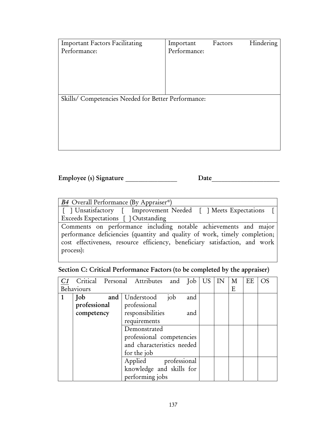| <b>Important Factors Facilitating</b>               | Important    | Factors | Hindering |
|-----------------------------------------------------|--------------|---------|-----------|
| Performance:                                        | Performance: |         |           |
|                                                     |              |         |           |
|                                                     |              |         |           |
|                                                     |              |         |           |
|                                                     |              |         |           |
| Skills/ Competencies Needed for Better Performance: |              |         |           |
|                                                     |              |         |           |
|                                                     |              |         |           |
|                                                     |              |         |           |
|                                                     |              |         |           |
|                                                     |              |         |           |
|                                                     |              |         |           |

| Employee (s) Signature | Date |
|------------------------|------|
|                        |      |

| B4 Overall Performance (By Appraiser*)                                      |
|-----------------------------------------------------------------------------|
| [ ] Unsatisfactory [ Improvement Needed [ ] Meets Expectations [            |
| Exceeds Expectations [] Outstanding                                         |
| Comments on performance including notable achievements and major            |
| performance deficiencies (quantity and quality of work, timely completion;  |
| cost effectiveness, resource efficiency, beneficiary satisfaction, and work |
| process):                                                                   |
|                                                                             |

# Section C: Critical Performance Factors (to be completed by the appraiser)

|            |              |  |  | Critical Personal Attributes and Job |     |     | US | IN | М | EE | <b>OS</b> |
|------------|--------------|--|--|--------------------------------------|-----|-----|----|----|---|----|-----------|
| Behaviours |              |  |  |                                      |     |     | E  |    |   |    |           |
|            | Job          |  |  | and   Understood                     | job | and |    |    |   |    |           |
|            | professional |  |  | professional                         |     |     |    |    |   |    |           |
|            | competency   |  |  | responsibilities                     |     | and |    |    |   |    |           |
|            |              |  |  | requirements                         |     |     |    |    |   |    |           |
|            |              |  |  | Demonstrated                         |     |     |    |    |   |    |           |
|            |              |  |  | professional competencies            |     |     |    |    |   |    |           |
|            |              |  |  | and characteristics needed           |     |     |    |    |   |    |           |
|            |              |  |  | for the job                          |     |     |    |    |   |    |           |
|            |              |  |  | Applied professional                 |     |     |    |    |   |    |           |
|            |              |  |  | knowledge and skills for             |     |     |    |    |   |    |           |
|            |              |  |  | performing jobs                      |     |     |    |    |   |    |           |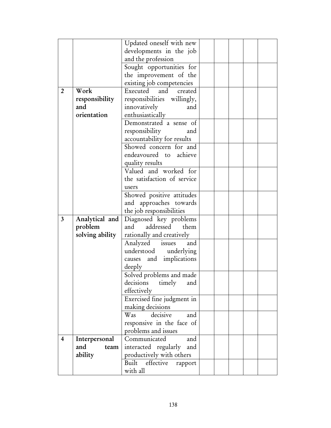|                |                      | Updated oneself with new                                |  |  |  |
|----------------|----------------------|---------------------------------------------------------|--|--|--|
|                |                      | developments in the job                                 |  |  |  |
|                |                      | and the profession                                      |  |  |  |
|                |                      | Sought opportunities for                                |  |  |  |
|                |                      | the improvement of the                                  |  |  |  |
|                |                      | existing job competencies                               |  |  |  |
| $\overline{2}$ | Work                 | Executed<br>and<br>created                              |  |  |  |
|                | responsibility       | responsibilities willingly,                             |  |  |  |
|                | and                  | innovatively<br>and                                     |  |  |  |
|                | orientation          | enthusiastically                                        |  |  |  |
|                |                      | Demonstrated a sense of                                 |  |  |  |
|                |                      | responsibility<br>and                                   |  |  |  |
|                |                      | accountability for results                              |  |  |  |
|                |                      | Showed concern for and                                  |  |  |  |
|                |                      | endeavoured to achieve                                  |  |  |  |
|                |                      | quality results                                         |  |  |  |
|                |                      | Valued and worked for                                   |  |  |  |
|                |                      | the satisfaction of service                             |  |  |  |
|                |                      | users                                                   |  |  |  |
|                |                      | Showed positive attitudes                               |  |  |  |
|                |                      | and approaches towards                                  |  |  |  |
|                |                      | the job responsibilities                                |  |  |  |
| $\mathbf{3}$   | Analytical and       | Diagnosed key problems                                  |  |  |  |
|                | problem              | addressed<br>them<br>and                                |  |  |  |
|                | solving ability      | rationally and creatively                               |  |  |  |
|                |                      | Analyzed issues<br>and                                  |  |  |  |
|                |                      | understood underlying                                   |  |  |  |
|                |                      | causes and implications                                 |  |  |  |
|                |                      | deeply                                                  |  |  |  |
|                |                      | Solved problems and made                                |  |  |  |
|                |                      | decisions<br>timely<br>and                              |  |  |  |
|                |                      | effectively                                             |  |  |  |
|                |                      | Exercised fine judgment in                              |  |  |  |
|                |                      | making decisions                                        |  |  |  |
|                |                      | decisive<br>Was<br>and                                  |  |  |  |
|                |                      |                                                         |  |  |  |
|                |                      | responsive in the face of<br>problems and issues        |  |  |  |
| $\overline{4}$ |                      | Communicated<br>and                                     |  |  |  |
|                | Interpersonal<br>and |                                                         |  |  |  |
|                | team<br>ability      | interacted regularly<br>and<br>productively with others |  |  |  |
|                |                      |                                                         |  |  |  |
|                |                      |                                                         |  |  |  |
|                |                      | Built effective<br>rapport<br>with all                  |  |  |  |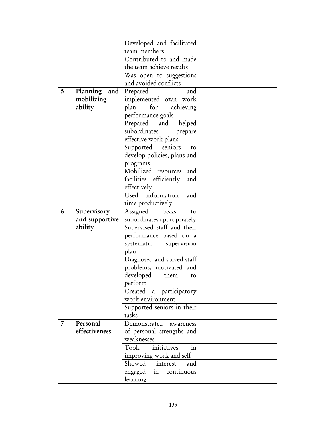|   |                 | Developed and facilitated                  |  |  |  |
|---|-----------------|--------------------------------------------|--|--|--|
|   |                 | team members                               |  |  |  |
|   |                 | Contributed to and made                    |  |  |  |
|   |                 | the team achieve results                   |  |  |  |
|   |                 | Was open to suggestions                    |  |  |  |
|   |                 | and avoided conflicts                      |  |  |  |
| 5 | Planning<br>and | Prepared<br>and                            |  |  |  |
|   | mobilizing      | implemented own work                       |  |  |  |
|   | ability         | for<br>plan<br>achieving                   |  |  |  |
|   |                 | performance goals                          |  |  |  |
|   |                 | Prepared and helped                        |  |  |  |
|   |                 | subordinates<br>prepare                    |  |  |  |
|   |                 | effective work plans                       |  |  |  |
|   |                 | Supported seniors<br>to                    |  |  |  |
|   |                 | develop policies, plans and                |  |  |  |
|   |                 | programs                                   |  |  |  |
|   |                 | Mobilized resources<br>and                 |  |  |  |
|   |                 | facilities efficiently<br>and              |  |  |  |
|   |                 | effectively                                |  |  |  |
|   |                 | Used information<br>and                    |  |  |  |
|   |                 | time productively                          |  |  |  |
| 6 | Supervisory     | tasks<br>Assigned<br>to                    |  |  |  |
|   | and supportive  | subordinates appropriately                 |  |  |  |
|   | ability         | Supervised staff and their                 |  |  |  |
|   |                 | performance based on a                     |  |  |  |
|   |                 | systematic supervision                     |  |  |  |
|   |                 | plan                                       |  |  |  |
|   |                 | Diagnosed and solved staff                 |  |  |  |
|   |                 | problems, motivated and                    |  |  |  |
|   |                 | developed<br>them<br>to                    |  |  |  |
|   |                 | perform                                    |  |  |  |
|   |                 | Created a participatory                    |  |  |  |
|   |                 | work environment                           |  |  |  |
|   |                 | Supported seniors in their                 |  |  |  |
|   |                 | tasks                                      |  |  |  |
| 7 | Personal        | Demonstrated awareness                     |  |  |  |
|   | effectiveness   | of personal strengths and<br>weaknesses    |  |  |  |
|   |                 | $\operatorname{in}$<br>Took<br>initiatives |  |  |  |
|   |                 | improving work and self                    |  |  |  |
|   |                 |                                            |  |  |  |
|   |                 | Showed interest<br>and                     |  |  |  |
|   |                 | engaged in continuous                      |  |  |  |
|   |                 | learning                                   |  |  |  |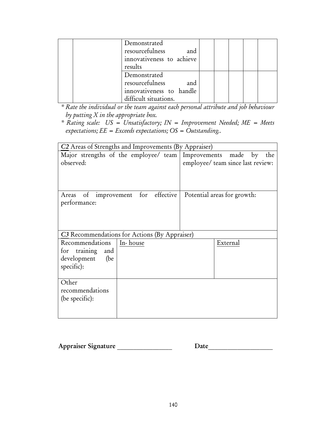| Demonstrated<br>resourcefulness<br>and<br>innovativeness to achieve<br>results              |  |  |  |
|---------------------------------------------------------------------------------------------|--|--|--|
| Demonstrated<br>resourcefulness<br>and<br>innovativeness to handle<br>difficult situations. |  |  |  |

*\* Rate the individual or the team against each personal attribute and job behaviour by putting X in the appropriate box.* 

*\* Rating scale: US = Unsatisfactory; IN = Improvement Needed; ME = Meets expectations; EE = Exceeds expectations; OS = Outstanding..* 

|                     | C2 Areas of Strengths and Improvements (By Appraiser) |                                                                |
|---------------------|-------------------------------------------------------|----------------------------------------------------------------|
|                     |                                                       | Major strengths of the employee/ team Improvements made by the |
| observed:           |                                                       | employee/ team since last review:                              |
|                     |                                                       |                                                                |
|                     |                                                       |                                                                |
|                     |                                                       |                                                                |
| performance:        | Areas of improvement for effective                    | Potential areas for growth:                                    |
|                     |                                                       |                                                                |
|                     |                                                       |                                                                |
|                     |                                                       |                                                                |
|                     | C3 Recommendations for Actions (By Appraiser)         |                                                                |
| Recommendations     | In-house                                              | External                                                       |
| for training<br>and |                                                       |                                                                |
| development (be     |                                                       |                                                                |
| specific):          |                                                       |                                                                |
| Other               |                                                       |                                                                |
| recommendations     |                                                       |                                                                |
| (be specific):      |                                                       |                                                                |
|                     |                                                       |                                                                |
|                     |                                                       |                                                                |

| Appraiser Signature | Date |
|---------------------|------|
|                     |      |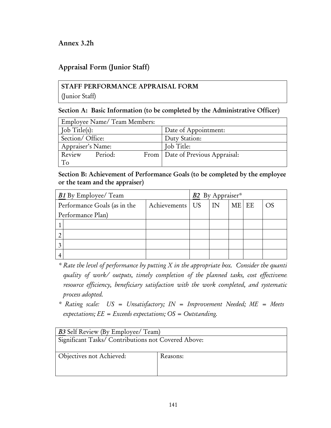## Annex 3.2h

## Appraisal Form (Junior Staff)

## STAFF PERFORMANCE APPRAISAL FORM

(Junior Staff)

#### Section A: Basic Information (to be completed by the Administrative Officer)

| Employee Name/ Team Members: |  |  |                                    |  |  |
|------------------------------|--|--|------------------------------------|--|--|
| $\int$ Job Title(s):         |  |  | Date of Appointment:               |  |  |
| Section/Office:              |  |  | Duty Station:                      |  |  |
| Appraiser's Name:            |  |  | Job Title:                         |  |  |
| Review Period:               |  |  | From   Date of Previous Appraisal: |  |  |
| To                           |  |  |                                    |  |  |

#### Section B: Achievement of Performance Goals (to be completed by the employee or the team and the appraiser)

| <b>B1</b> By Employee/ Team  |                   |  | B2 By Appraiser*        |       |  |    |
|------------------------------|-------------------|--|-------------------------|-------|--|----|
| Performance Goals (as in the | Achievements   US |  | $\overline{\mathsf{I}}$ | ME EE |  | OS |
| Performance Plan)            |                   |  |                         |       |  |    |
|                              |                   |  |                         |       |  |    |
|                              |                   |  |                         |       |  |    |
|                              |                   |  |                         |       |  |    |
|                              |                   |  |                         |       |  |    |

- *\* Rate the level of performance by putting X in the appropriate box. Consider the quanti quality of work/ outputs, timely completion of the planned tasks, cost effectivenes resource efficiency, beneficiary satisfaction with the work completed, and systematic process adopted.*
- *\* Rating scale: US = Unsatisfactory; IN = Improvement Needed; ME = Meets expectations; EE = Exceeds expectations; OS = Outstanding.*

| <b>B3</b> Self Review (By Employee/ Team)           |          |  |  |
|-----------------------------------------------------|----------|--|--|
| Significant Tasks/ Contributions not Covered Above: |          |  |  |
|                                                     |          |  |  |
| Objectives not Achieved:                            | Reasons: |  |  |
|                                                     |          |  |  |
|                                                     |          |  |  |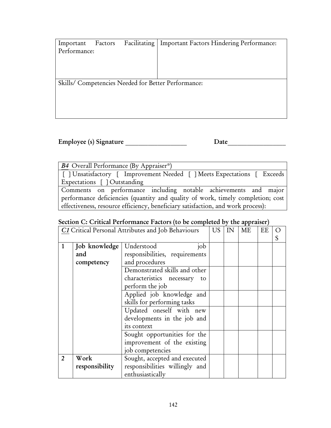| Important<br>Performance: | Factors | Facilitating   Important Factors Hindering Performance: |
|---------------------------|---------|---------------------------------------------------------|
|                           |         |                                                         |
|                           |         |                                                         |
|                           |         | Skills/ Competencies Needed for Better Performance:     |
|                           |         |                                                         |
|                           |         |                                                         |
|                           |         |                                                         |

Employee (s) Signature \_\_\_\_\_\_\_\_\_\_\_\_\_\_\_\_\_\_\_ Date\_\_\_\_\_\_\_\_\_\_\_\_\_\_\_\_\_\_

| B4 Overall Performance (By Appraiser*)                                           |
|----------------------------------------------------------------------------------|
| [ ] Unsatisfactory [ Improvement Needed [ ] Meets Expectations [ Exceeds         |
| Expectations [] Outstanding                                                      |
| Comments on performance including notable achievements and major                 |
| performance deficiencies (quantity and quality of work, timely completion; cost  |
| effectiveness, resource efficiency, beneficiary satisfaction, and work process): |

## Section C: Critical Performance Factors (to be completed by the appraiser)

|                |                                    | C1 Critical Personal Attributes and Job Behaviours                                                                                                                                                                                                                                                                                                                                 | <b>US</b> | IN | ME | EE |  |
|----------------|------------------------------------|------------------------------------------------------------------------------------------------------------------------------------------------------------------------------------------------------------------------------------------------------------------------------------------------------------------------------------------------------------------------------------|-----------|----|----|----|--|
| 1              | Job knowledge<br>and<br>competency | Understood<br>job<br>responsibilities, requirements<br>and procedures<br>Demonstrated skills and other<br>characteristics necessary to<br>perform the job<br>Applied job knowledge and<br>skills for performing tasks<br>Updated oneself with new<br>developments in the job and<br>its context<br>Sought opportunities for the<br>improvement of the existing<br>job competencies |           |    |    |    |  |
| $\overline{2}$ | Work<br>responsibility             | Sought, accepted and executed<br>responsibilities willingly and<br>enthusiastically                                                                                                                                                                                                                                                                                                |           |    |    |    |  |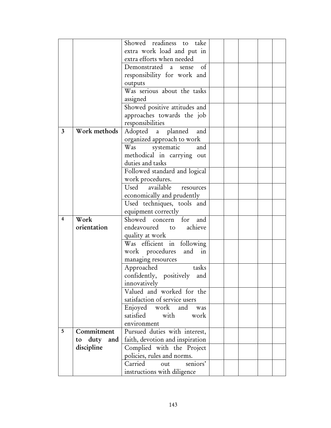|                         |                | Showed readiness to take                                  |  |  |  |
|-------------------------|----------------|-----------------------------------------------------------|--|--|--|
|                         |                | extra work load and put in                                |  |  |  |
|                         |                | extra efforts when needed                                 |  |  |  |
|                         |                | Demonstrated a sense<br>of                                |  |  |  |
|                         |                | responsibility for work and                               |  |  |  |
|                         |                | outputs                                                   |  |  |  |
|                         |                | Was serious about the tasks                               |  |  |  |
|                         |                | assigned                                                  |  |  |  |
|                         |                | Showed positive attitudes and                             |  |  |  |
|                         |                | approaches towards the job                                |  |  |  |
|                         |                | responsibilities                                          |  |  |  |
| $\mathbf{3}$            | Work methods   | Adopted a planned and                                     |  |  |  |
|                         |                | organized approach to work                                |  |  |  |
|                         |                | Was systematic<br>and                                     |  |  |  |
|                         |                | methodical in carrying out                                |  |  |  |
|                         |                | duties and tasks                                          |  |  |  |
|                         |                | Followed standard and logical                             |  |  |  |
|                         |                | work procedures.                                          |  |  |  |
|                         |                | Used available<br>resources                               |  |  |  |
|                         |                | economically and prudently                                |  |  |  |
|                         |                | Used techniques, tools and                                |  |  |  |
|                         |                | equipment correctly                                       |  |  |  |
| $\overline{\mathbf{4}}$ | Work           | Showed concern<br>for<br>and                              |  |  |  |
|                         | orientation    | endeavoured to achieve                                    |  |  |  |
|                         |                | quality at work                                           |  |  |  |
|                         |                | Was efficient in following                                |  |  |  |
|                         |                | work procedures and in                                    |  |  |  |
|                         |                | managing resources                                        |  |  |  |
|                         |                | Approached<br>tasks                                       |  |  |  |
|                         |                | confidently, positively<br>and                            |  |  |  |
|                         |                | innovatively                                              |  |  |  |
|                         |                | Valued and worked for the                                 |  |  |  |
|                         |                | satisfaction of service users                             |  |  |  |
|                         |                | Enjoyed work and<br>was                                   |  |  |  |
|                         |                | satisfied with<br>work                                    |  |  |  |
|                         |                | environment                                               |  |  |  |
|                         |                |                                                           |  |  |  |
| $5\phantom{.0}$         | Commitment     | Pursued duties with interest,                             |  |  |  |
|                         | to duty<br>and | faith, devotion and inspiration                           |  |  |  |
|                         | discipline     | Complied with the Project                                 |  |  |  |
|                         |                | policies, rules and norms.                                |  |  |  |
|                         |                | Carried<br>seniors'<br>out<br>instructions with diligence |  |  |  |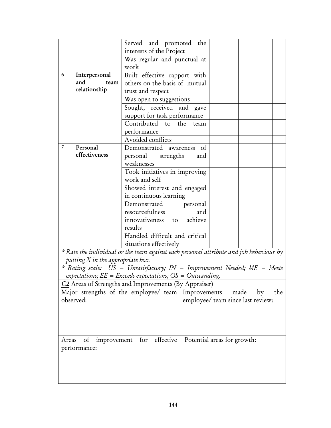|                |                                     | Served and promoted the                                                                |                                   |  |  |      |    |     |
|----------------|-------------------------------------|----------------------------------------------------------------------------------------|-----------------------------------|--|--|------|----|-----|
|                |                                     | interests of the Project                                                               |                                   |  |  |      |    |     |
|                |                                     | Was regular and punctual at                                                            |                                   |  |  |      |    |     |
|                |                                     | work                                                                                   |                                   |  |  |      |    |     |
| 6              | Interpersonal                       |                                                                                        | Built effective rapport with      |  |  |      |    |     |
|                | and<br>team                         |                                                                                        | others on the basis of mutual     |  |  |      |    |     |
|                | relationship                        | trust and respect                                                                      |                                   |  |  |      |    |     |
|                |                                     | Was open to suggestions                                                                |                                   |  |  |      |    |     |
|                |                                     | Sought, received and gave                                                              |                                   |  |  |      |    |     |
|                |                                     | support for task performance                                                           |                                   |  |  |      |    |     |
|                |                                     | Contributed to the                                                                     | team                              |  |  |      |    |     |
|                |                                     | performance                                                                            |                                   |  |  |      |    |     |
|                |                                     | Avoided conflicts                                                                      |                                   |  |  |      |    |     |
| $\overline{7}$ | Personal                            | Demonstrated awareness of                                                              |                                   |  |  |      |    |     |
|                | effectiveness                       | personal strengths                                                                     | and                               |  |  |      |    |     |
|                |                                     | weaknesses                                                                             |                                   |  |  |      |    |     |
|                |                                     | Took initiatives in improving                                                          |                                   |  |  |      |    |     |
|                |                                     | work and self                                                                          |                                   |  |  |      |    |     |
|                |                                     | Showed interest and engaged                                                            |                                   |  |  |      |    |     |
|                |                                     | in continuous learning                                                                 |                                   |  |  |      |    |     |
|                |                                     | Demonstrated                                                                           | personal                          |  |  |      |    |     |
|                |                                     | resourcefulness                                                                        | and                               |  |  |      |    |     |
|                |                                     | innovativeness to achieve                                                              |                                   |  |  |      |    |     |
|                |                                     | results                                                                                |                                   |  |  |      |    |     |
|                |                                     | Handled difficult and critical                                                         |                                   |  |  |      |    |     |
|                |                                     | situations effectively                                                                 |                                   |  |  |      |    |     |
|                |                                     | * Rate the individual or the team against each personal attribute and job behaviour by |                                   |  |  |      |    |     |
|                | putting $X$ in the appropriate box. |                                                                                        |                                   |  |  |      |    |     |
|                |                                     | * Rating scale: US = Unsatisfactory; IN = Improvement Needed; ME = Meets               |                                   |  |  |      |    |     |
|                |                                     | expectations; $EE = Exceeds expectations; OS = Outstanding.$                           |                                   |  |  |      |    |     |
|                |                                     | C <sub>2</sub> Areas of Strengths and Improvements (By Appraiser)                      |                                   |  |  |      |    |     |
|                |                                     | Major strengths of the employee/ team   Improvements                                   |                                   |  |  | made | by | the |
|                | observed:                           |                                                                                        | employee/ team since last review: |  |  |      |    |     |
|                |                                     |                                                                                        |                                   |  |  |      |    |     |
|                |                                     |                                                                                        |                                   |  |  |      |    |     |
|                |                                     |                                                                                        |                                   |  |  |      |    |     |
|                |                                     |                                                                                        |                                   |  |  |      |    |     |
| Areas          | of<br>improvement                   | for effective                                                                          | Potential areas for growth:       |  |  |      |    |     |
|                | performance:                        |                                                                                        |                                   |  |  |      |    |     |
|                |                                     |                                                                                        |                                   |  |  |      |    |     |
|                |                                     |                                                                                        |                                   |  |  |      |    |     |
|                |                                     |                                                                                        |                                   |  |  |      |    |     |
|                |                                     |                                                                                        |                                   |  |  |      |    |     |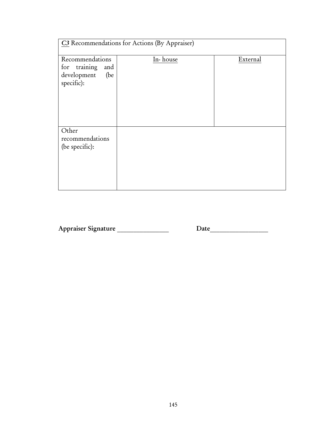| C3 Recommendations for Actions (By Appraiser)                              |          |          |  |  |
|----------------------------------------------------------------------------|----------|----------|--|--|
| Recommendations<br>for training<br>and<br>development<br>(be<br>specific): | In-house | External |  |  |
| Other<br>recommendations<br>(be specific):                                 |          |          |  |  |

Appraiser Signature \_\_\_\_\_\_\_\_\_\_\_\_\_\_\_\_\_\_\_\_\_ Date\_\_\_\_\_\_\_\_\_\_\_\_\_\_\_\_\_\_\_\_\_\_\_\_\_\_\_\_\_\_\_\_\_\_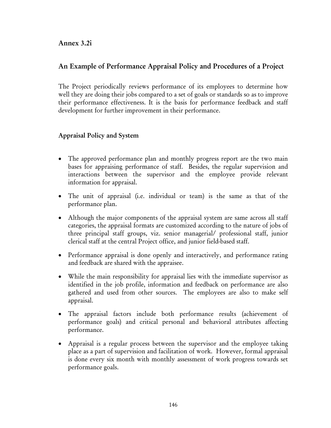#### Annex 3.2i

## An Example of Performance Appraisal Policy and Procedures of a Project

The Project periodically reviews performance of its employees to determine how well they are doing their jobs compared to a set of goals or standards so as to improve their performance effectiveness. It is the basis for performance feedback and staff development for further improvement in their performance.

#### Appraisal Policy and System

- The approved performance plan and monthly progress report are the two main bases for appraising performance of staff. Besides, the regular supervision and interactions between the supervisor and the employee provide relevant information for appraisal.
- The unit of appraisal (i.e. individual or team) is the same as that of the performance plan.
- Although the major components of the appraisal system are same across all staff categories, the appraisal formats are customized according to the nature of jobs of three principal staff groups, viz. senior managerial/ professional staff, junior clerical staff at the central Project office, and junior field-based staff.
- Performance appraisal is done openly and interactively, and performance rating and feedback are shared with the appraisee.
- While the main responsibility for appraisal lies with the immediate supervisor as identified in the job profile, information and feedback on performance are also gathered and used from other sources. The employees are also to make self appraisal.
- The appraisal factors include both performance results (achievement of performance goals) and critical personal and behavioral attributes affecting performance.
- Appraisal is a regular process between the supervisor and the employee taking place as a part of supervision and facilitation of work. However, formal appraisal is done every six month with monthly assessment of work progress towards set performance goals.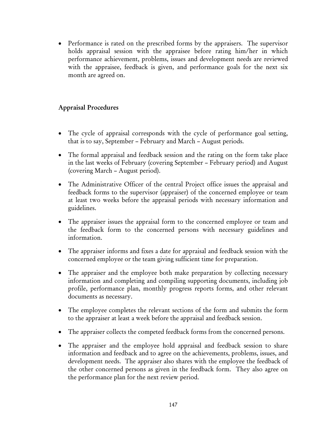• Performance is rated on the prescribed forms by the appraisers. The supervisor holds appraisal session with the appraisee before rating him/her in which performance achievement, problems, issues and development needs are reviewed with the appraisee, feedback is given, and performance goals for the next six month are agreed on.

#### Appraisal Procedures

- The cycle of appraisal corresponds with the cycle of performance goal setting, that is to say, September – February and March – August periods.
- The formal appraisal and feedback session and the rating on the form take place in the last weeks of February (covering September – February period) and August (covering March – August period).
- The Administrative Officer of the central Project office issues the appraisal and feedback forms to the supervisor (appraiser) of the concerned employee or team at least two weeks before the appraisal periods with necessary information and guidelines.
- The appraiser issues the appraisal form to the concerned employee or team and the feedback form to the concerned persons with necessary guidelines and information.
- The appraiser informs and fixes a date for appraisal and feedback session with the concerned employee or the team giving sufficient time for preparation.
- The appraiser and the employee both make preparation by collecting necessary information and completing and compiling supporting documents, including job profile, performance plan, monthly progress reports forms, and other relevant documents as necessary.
- The employee completes the relevant sections of the form and submits the form to the appraiser at least a week before the appraisal and feedback session.
- The appraiser collects the competed feedback forms from the concerned persons.
- The appraiser and the employee hold appraisal and feedback session to share information and feedback and to agree on the achievements, problems, issues, and development needs. The appraiser also shares with the employee the feedback of the other concerned persons as given in the feedback form. They also agree on the performance plan for the next review period.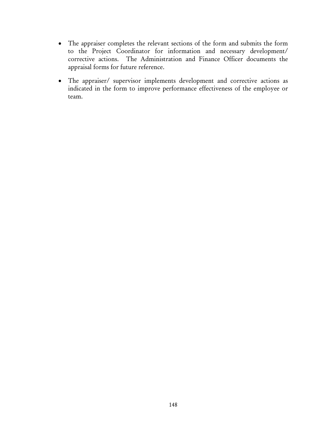- The appraiser completes the relevant sections of the form and submits the form to the Project Coordinator for information and necessary development/ corrective actions. The Administration and Finance Officer documents the appraisal forms for future reference.
- The appraiser/ supervisor implements development and corrective actions as indicated in the form to improve performance effectiveness of the employee or team.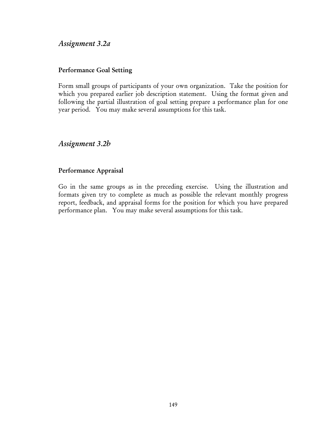#### *Assignment 3.2a*

#### Performance Goal Setting

Form small groups of participants of your own organization. Take the position for which you prepared earlier job description statement. Using the format given and following the partial illustration of goal setting prepare a performance plan for one year period. You may make several assumptions for this task.

## *Assignment 3.2b*

#### Performance Appraisal

Go in the same groups as in the preceding exercise. Using the illustration and formats given try to complete as much as possible the relevant monthly progress report, feedback, and appraisal forms for the position for which you have prepared performance plan. You may make several assumptions for this task.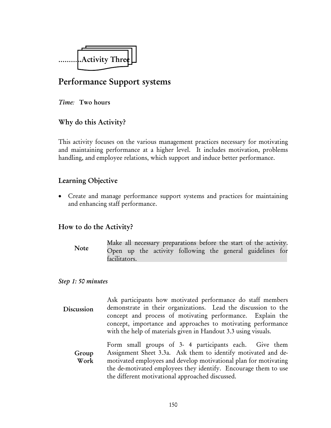

## Performance Support systems

*Time:* Two hours

## Why do this Activity?

This activity focuses on the various management practices necessary for motivating and maintaining performance at a higher level. It includes motivation, problems handling, and employee relations, which support and induce better performance.

## Learning Objective

• Create and manage performance support systems and practices for maintaining and enhancing staff performance.

## How to do the Activity?

Make all necessary preparations before the start of the activity. Open up the activity following the general guidelines for facilitators. Note

#### *Step 1: 50 minutes*

Ask participants how motivated performance do staff members demonstrate in their organizations. Lead the discussion to the concept and process of motivating performance. Explain the concept, importance and approaches to motivating performance with the help of materials given in Handout 3.3 using visuals. Discussion

Form small groups of 3- 4 participants each. Give them Assignment Sheet 3.3a. Ask them to identify motivated and demotivated employees and develop motivational plan for motivating the de-motivated employees they identify. Encourage them to use the different motivational approached discussed. Group Work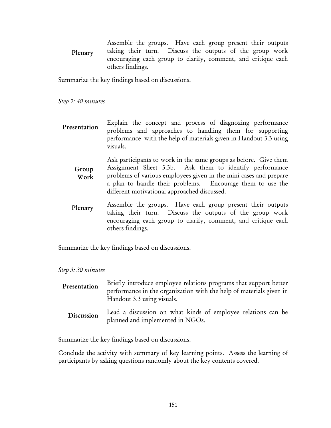Assemble the groups. Have each group present their outputs taking their turn. Discuss the outputs of the group work encouraging each group to clarify, comment, and critique each others findings. Plenary

Summarize the key findings based on discussions.

*Step 2: 40 minutes* 

Explain the concept and process of diagnozing performance problems and approaches to handling them for supporting performance with the help of materials given in Handout 3.3 using visuals. Presentation

Ask participants to work in the same groups as before. Give them Assignment Sheet 3.3b. Ask them to identify performance problems of various employees given in the mini cases and prepare a plan to handle their problems. Encourage them to use the different motivational approached discussed. Group Work

Assemble the groups. Have each group present their outputs taking their turn. Discuss the outputs of the group work encouraging each group to clarify, comment, and critique each others findings. Plenary

Summarize the key findings based on discussions.

*Step 3: 30 minutes* 

| Presentation | Briefly introduce employee relations programs that support better<br>performance in the organization with the help of materials given in<br>Handout 3.3 using visuals. |
|--------------|------------------------------------------------------------------------------------------------------------------------------------------------------------------------|
| Discussion   | Lead a discussion on what kinds of employee relations can be<br>planned and implemented in NGOs.                                                                       |

Summarize the key findings based on discussions.

Conclude the activity with summary of key learning points. Assess the learning of participants by asking questions randomly about the key contents covered.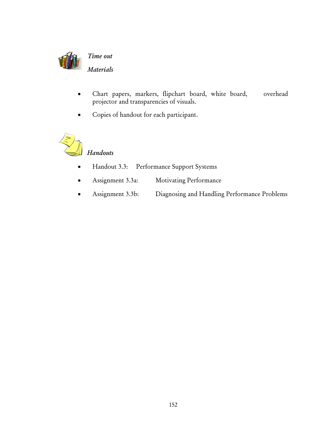

- Chart papers, markers, flipchart board, white board, overhead projector and transparencies of visuals.
- Copies of handout for each participant.



# *Handouts*

- Handout 3.3: Performance Support Systems
- Assignment 3.3a: Motivating Performance
- Assignment 3.3b: Diagnosing and Handling Performance Problems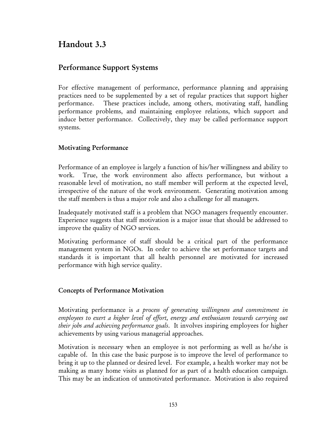# Handout 3.3

## Performance Support Systems

For effective management of performance, performance planning and appraising practices need to be supplemented by a set of regular practices that support higher performance. These practices include, among others, motivating staff, handling performance problems, and maintaining employee relations, which support and induce better performance. Collectively, they may be called performance support systems.

#### Motivating Performance

Performance of an employee is largely a function of his/her willingness and ability to work. True, the work environment also affects performance, but without a reasonable level of motivation, no staff member will perform at the expected level, irrespective of the nature of the work environment. Generating motivation among the staff members is thus a major role and also a challenge for all managers.

Inadequately motivated staff is a problem that NGO managers frequently encounter. Experience suggests that staff motivation is a major issue that should be addressed to improve the quality of NGO services.

Motivating performance of staff should be a critical part of the performance management system in NGOs. In order to achieve the set performance targets and standards it is important that all health personnel are motivated for increased performance with high service quality.

#### Concepts of Performance Motivation

Motivating performance is *a process of generating willingness and commitment in employees to exert a higher level of effort, energy and enthusiasm towards carrying out their jobs and achieving performance goals*. It involves inspiring employees for higher achievements by using various managerial approaches.

Motivation is necessary when an employee is not performing as well as he/she is capable of. In this case the basic purpose is to improve the level of performance to bring it up to the planned or desired level. For example, a health worker may not be making as many home visits as planned for as part of a health education campaign. This may be an indication of unmotivated performance. Motivation is also required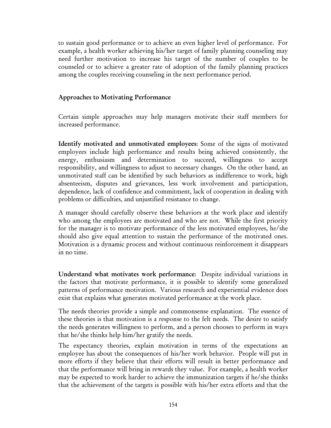to sustain good performance or to achieve an even higher level of performance. For example, a health worker achieving his/her target of family planning counseling may need further motivation to increase his target of the number of couples to be counseled or to achieve a greater rate of adoption of the family planning practices among the couples receiving counseling in the next performance period.

#### Approaches to Motivating Performance

Certain simple approaches may help managers motivate their staff members for increased performance.

Identify motivated and unmotivated employees: Some of the signs of motivated employees include high performance and results being achieved consistently, the energy, enthusiasm and determination to succeed, willingness to accept responsibility, and willingness to adjust to necessary changes. On the other hand, an unmotivated staff can be identified by such behaviors as indifference to work, high absenteeism, disputes and grievances, less work involvement and participation, dependence, lack of confidence and commitment, lack of cooperation in dealing with problems or difficulties, and unjustified resistance to change.

A manager should carefully observe these behaviors at the work place and identify who among the employees are motivated and who are not. While the first priority for the manager is to motivate performance of the less motivated employees, he/she should also give equal attention to sustain the performance of the motivated ones. Motivation is a dynamic process and without continuous reinforcement it disappears in no time.

Understand what motivates work performance: Despite individual variations in the factors that motivate performance, it is possible to identify some generalized patterns of performance motivation. Various research and experiential evidence does exist that explains what generates motivated performance at the work place.

The needs theories provide a simple and commonsense explanation. The essence of these theories is that motivation is a response to the felt needs. The desire to satisfy the needs generates willingness to perform, and a person chooses to perform in ways that he/she thinks help him/her gratify the needs.

The expectancy theories, explain motivation in terms of the expectations an employee has about the consequences of his/her work behavior. People will put in more efforts if they believe that their efforts will result in better performance and that the performance will bring in rewards they value. For example, a health worker may be expected to work harder to achieve the immunization targets if he/she thinks that the achievement of the targets is possible with his/her extra efforts and that the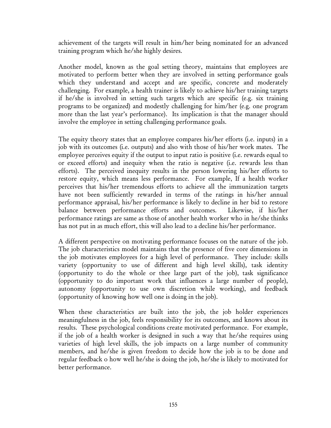achievement of the targets will result in him/her being nominated for an advanced training program which he/she highly desires.

Another model, known as the goal setting theory, maintains that employees are motivated to perform better when they are involved in setting performance goals which they understand and accept and are specific, concrete and moderately challenging. For example, a health trainer is likely to achieve his/her training targets if he/she is involved in setting such targets which are specific (e.g. six training programs to be organized) and modestly challenging for him/her (e.g. one program more than the last year's performance). Its implication is that the manager should involve the employee in setting challenging performance goals.

The equity theory states that an employee compares his/her efforts (i.e. inputs) in a job with its outcomes (i.e. outputs) and also with those of his/her work mates. The employee perceives equity if the output to input ratio is positive (i.e. rewards equal to or exceed efforts) and inequity when the ratio is negative (i.e. rewards less than efforts). The perceived inequity results in the person lowering his/her efforts to restore equity, which means less performance. For example, If a health worker perceives that his/her tremendous efforts to achieve all the immunization targets have not been sufficiently rewarded in terms of the ratings in his/her annual performance appraisal, his/her performance is likely to decline in her bid to restore balance between performance efforts and outcomes. Likewise, if his/her performance ratings are same as those of another health worker who in he/she thinks has not put in as much effort, this will also lead to a decline his/her performance.

A different perspective on motivating performance focuses on the nature of the job. The job characteristics model maintains that the presence of five core dimensions in the job motivates employees for a high level of performance. They include: skills variety (opportunity to use of different and high level skills), task identity (opportunity to do the whole or thee large part of the job), task significance (opportunity to do important work that influences a large number of people), autonomy (opportunity to use own discretion while working), and feedback (opportunity of knowing how well one is doing in the job).

When these characteristics are built into the job, the job holder experiences meaningfulness in the job, feels responsibility for its outcomes, and knows about its results. These psychological conditions create motivated performance. For example, if the job of a health worker is designed in such a way that he/she requires using varieties of high level skills, the job impacts on a large number of community members, and he/she is given freedom to decide how the job is to be done and regular feedback o how well he/she is doing the job, he/she is likely to motivated for better performance.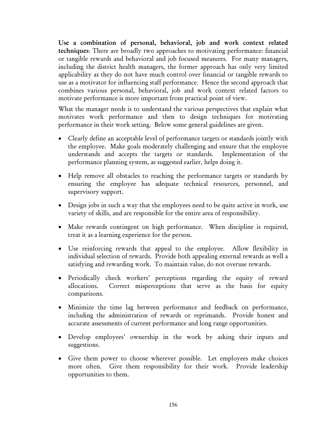Use a combination of personal, behavioral, job and work context related techniques: There are broadly two approaches to motivating performance: financial or tangible rewards and behavioral and job focused measures. For many managers, including the district health managers, the former approach has only very limited applicability as they do not have much control over financial or tangible rewards to use as a motivator for influencing staff performance. Hence the second approach that combines various personal, behavioral, job and work context related factors to motivate performance is more important from practical point of view.

What the manager needs is to understand the various perspectives that explain what motivates work performance and then to design techniques for motivating performance in their work setting. Below some general guidelines are given.

- Clearly define an acceptable level of performance targets or standards jointly with the employee. Make goals moderately challenging and ensure that the employee understands and accepts the targets or standards. Implementation of the performance planning system, as suggested earlier, helps doing it.
- Help remove all obstacles to reaching the performance targets or standards by ensuring the employee has adequate technical resources, personnel, and supervisory support.
- Design jobs in such a way that the employees need to be quite active in work, use variety of skills, and are responsible for the entire area of responsibility.
- Make rewards contingent on high performance. When discipline is required, treat it as a learning experience for the person.
- Use reinforcing rewards that appeal to the employee. Allow flexibility in individual selection of rewards. Provide both appealing external rewards as well a satisfying and rewarding work. To maintain value, do not overuse rewards.
- Periodically check workers' perceptions regarding the equity of reward allocations. Correct misperceptions that serve as the basis for equity comparisons.
- Minimize the time lag between performance and feedback on performance, including the administration of rewards or reprimands. Provide honest and accurate assessments of current performance and long range opportunities.
- Develop employees' ownership in the work by asking their inputs and suggestions.
- Give them power to choose wherever possible. Let employees make choices more often. Give them responsibility for their work. Provide leadership opportunities to them.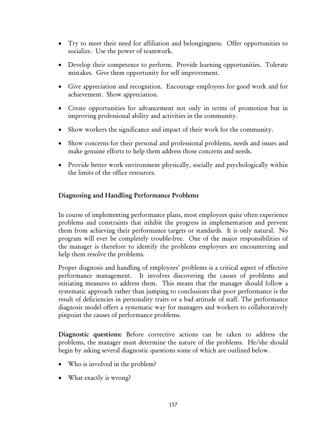- Try to meet their need for affiliation and belongingness. Offer opportunities to socialize. Use the power of teamwork.
- Develop their competence to perform. Provide learning opportunities. Tolerate mistakes. Give them opportunity for self improvement.
- Give appreciation and recognition. Encourage employees for good work and for achievement. Show appreciation.
- Create opportunities for advancement not only in terms of promotion but in improving professional ability and activities in the community.
- Show workers the significance and impact of their work for the community.
- Show concerns for their personal and professional problems, needs and issues and make genuine efforts to help them address those concerns and needs.
- Provide better work environment physically, socially and psychologically within the limits of the office resources.

#### Diagnosing and Handling Performance Problems

In course of implementing performance plans, most employees quite often experience problems and constraints that inhibit the progress in implementation and prevent them from achieving their performance targets or standards. It is only natural. No program will ever be completely trouble-free. One of the major responsibilities of the manager is therefore to identify the problems employees are encountering and help them resolve the problems.

Proper diagnosis and handling of employees' problems is a critical aspect of effective performance management. It involves discovering the causes of problems and initiating measures to address them. This means that the manager should follow a systematic approach rather than jumping to conclusions that poor performance is the result of deficiencies in personality traits or a bad attitude of staff. The performance diagnosis model offers a systematic way for managers and workers to collaboratively pinpoint the causes of performance problems.

Diagnostic questions: Before corrective actions can be taken to address the problems, the manager must determine the nature of the problems. He/she should begin by asking several diagnostic questions some of which are outlined below.

- Who is involved in the problem?
- What exactly is wrong?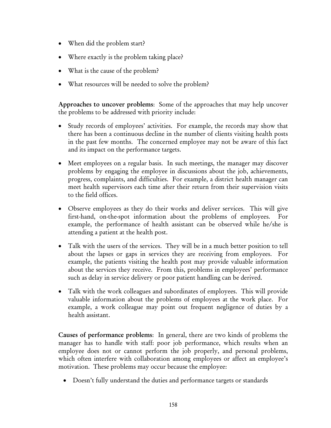- When did the problem start?
- Where exactly is the problem taking place?
- What is the cause of the problem?
- What resources will be needed to solve the problem?

Approaches to uncover problems: Some of the approaches that may help uncover the problems to be addressed with priority include:

- Study records of employees' activities. For example, the records may show that there has been a continuous decline in the number of clients visiting health posts in the past few months. The concerned employee may not be aware of this fact and its impact on the performance targets.
- Meet employees on a regular basis. In such meetings, the manager may discover problems by engaging the employee in discussions about the job, achievements, progress, complaints, and difficulties. For example, a district health manager can meet health supervisors each time after their return from their supervision visits to the field offices.
- Observe employees as they do their works and deliver services. This will give first-hand, on-the-spot information about the problems of employees. For example, the performance of health assistant can be observed while he/she is attending a patient at the health post.
- Talk with the users of the services. They will be in a much better position to tell about the lapses or gaps in services they are receiving from employees. For example, the patients visiting the health post may provide valuable information about the services they receive. From this, problems in employees' performance such as delay in service delivery or poor patient handling can be derived.
- Talk with the work colleagues and subordinates of employees. This will provide valuable information about the problems of employees at the work place. For example, a work colleague may point out frequent negligence of duties by a health assistant.

Causes of performance problems: In general, there are two kinds of problems the manager has to handle with staff: poor job performance, which results when an employee does not or cannot perform the job properly, and personal problems, which often interfere with collaboration among employees or affect an employee's motivation. These problems may occur because the employee:

• Doesn't fully understand the duties and performance targets or standards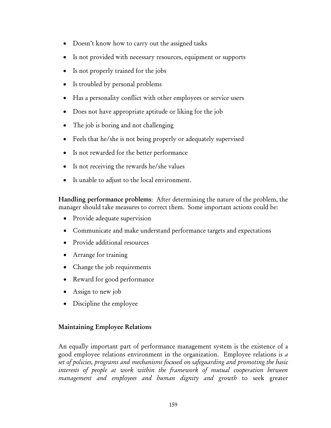- Doesn't know how to carry out the assigned tasks
- Is not provided with necessary resources, equipment or supports
- Is not properly trained for the jobs
- Is troubled by personal problems
- Has a personality conflict with other employees or service users
- Does not have appropriate aptitude or liking for the job
- The job is boring and not challenging
- Feels that he/she is not being properly or adequately supervised
- Is not rewarded for the better performance
- Is not receiving the rewards he/she values
- Is unable to adjust to the local environment.

Handling performance problems: After determining the nature of the problem, the manager should take measures to correct them. Some important actions could be:

- Provide adequate supervision
- Communicate and make understand performance targets and expectations
- Provide additional resources
- Arrange for training
- Change the job requirements
- Reward for good performance
- Assign to new job
- Discipline the employee

#### Maintaining Employee Relations

An equally important part of performance management system is the existence of a good employee relations environment in the organization. Employee relations is *a set of policies, programs and mechanisms focused on safeguarding and promoting the basic interests of people at work within the framework of mutual cooperation between management and employees and human dignity and growth* to seek greater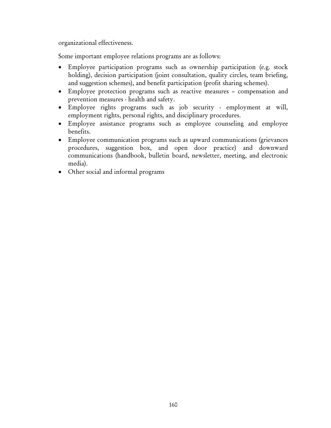organizational effectiveness.

Some important employee relations programs are as follows:

- Employee participation programs such as ownership participation (e.g. stock holding), decision participation (joint consultation, quality circles, team briefing, and suggestion schemes), and benefit participation (profit sharing schemes).
- Employee protection programs such as reactive measures compensation and prevention measures - health and safety.
- Employee rights programs such as job security employment at will, employment rights, personal rights, and disciplinary procedures.
- Employee assistance programs such as employee counseling and employee benefits.
- Employee communication programs such as upward communications (grievances procedures, suggestion box, and open door practice) and downward communications (handbook, bulletin board, newsletter, meeting, and electronic media).
- Other social and informal programs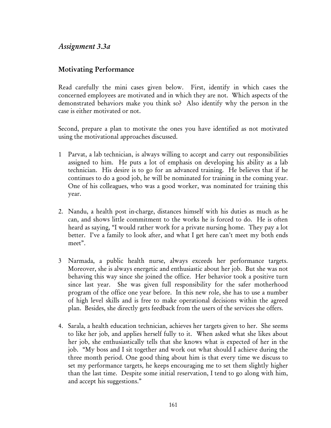## *Assignment 3.3a*

#### Motivating Performance

Read carefully the mini cases given below. First, identify in which cases the concerned employees are motivated and in which they are not. Which aspects of the demonstrated behaviors make you think so? Also identify why the person in the case is either motivated or not.

Second, prepare a plan to motivate the ones you have identified as not motivated using the motivational approaches discussed.

- 1 Parvat, a lab technician, is always willing to accept and carry out responsibilities assigned to him. He puts a lot of emphasis on developing his ability as a lab technician. His desire is to go for an advanced training. He believes that if he continues to do a good job, he will be nominated for training in the coming year. One of his colleagues, who was a good worker, was nominated for training this year.
- 2. Nandu, a health post in-charge, distances himself with his duties as much as he can, and shows little commitment to the works he is forced to do. He is often heard as saying, "I would rather work for a private nursing home. They pay a lot better. I've a family to look after, and what I get here can't meet my both ends meet".
- 3 Narmada, a public health nurse, always exceeds her performance targets. Moreover, she is always energetic and enthusiastic about her job. But she was not behaving this way since she joined the office. Her behavior took a positive turn since last year. She was given full responsibility for the safer motherhood program of the office one year before. In this new role, she has to use a number of high level skills and is free to make operational decisions within the agreed plan. Besides, she directly gets feedback from the users of the services she offers.
- 4. Sarala, a health education technician, achieves her targets given to her. She seems to like her job, and applies herself fully to it. When asked what she likes about her job, she enthusiastically tells that she knows what is expected of her in the job. "My boss and I sit together and work out what should I achieve during the three month period. One good thing about him is that every time we discuss to set my performance targets, he keeps encouraging me to set them slightly higher than the last time. Despite some initial reservation, I tend to go along with him, and accept his suggestions."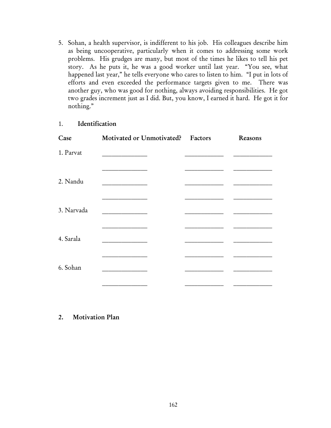5. Sohan, a health supervisor, is indifferent to his job. His colleagues describe him as being uncooperative, particularly when it comes to addressing some work problems. His grudges are many, but most of the times he likes to tell his pet story. As he puts it, he was a good worker until last year. "You see, what happened last year," he tells everyone who cares to listen to him. "I put in lots of efforts and even exceeded the performance targets given to me. There was another guy, who was good for nothing, always avoiding responsibilities. He got two grades increment just as I did. But, you know, I earned it hard. He got it for nothing."

#### 1. Identification

|  | Reasons                           |
|--|-----------------------------------|
|  |                                   |
|  |                                   |
|  |                                   |
|  |                                   |
|  |                                   |
|  | Motivated or Unmotivated? Factors |

2. Motivation Plan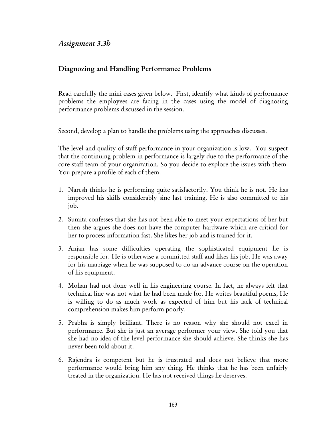## *Assignment 3.3b*

### Diagnozing and Handling Performance Problems

Read carefully the mini cases given below. First, identify what kinds of performance problems the employees are facing in the cases using the model of diagnosing performance problems discussed in the session.

Second, develop a plan to handle the problems using the approaches discusses.

The level and quality of staff performance in your organization is low. You suspect that the continuing problem in performance is largely due to the performance of the core staff team of your organization. So you decide to explore the issues with them. You prepare a profile of each of them.

- 1. Naresh thinks he is performing quite satisfactorily. You think he is not. He has improved his skills considerably sine last training. He is also committed to his job.
- 2. Sumita confesses that she has not been able to meet your expectations of her but then she argues she does not have the computer hardware which are critical for her to process information fast. She likes her job and is trained for it.
- 3. Anjan has some difficulties operating the sophisticated equipment he is responsible for. He is otherwise a committed staff and likes his job. He was away for his marriage when he was supposed to do an advance course on the operation of his equipment.
- 4. Mohan had not done well in his engineering course. In fact, he always felt that technical line was not what he had been made for. He writes beautiful poems, He is willing to do as much work as expected of him but his lack of technical comprehension makes him perform poorly.
- 5. Prabha is simply brilliant. There is no reason why she should not excel in performance. But she is just an average performer your view. She told you that she had no idea of the level performance she should achieve. She thinks she has never been told about it.
- 6. Rajendra is competent but he is frustrated and does not believe that more performance would bring him any thing. He thinks that he has been unfairly treated in the organization. He has not received things he deserves.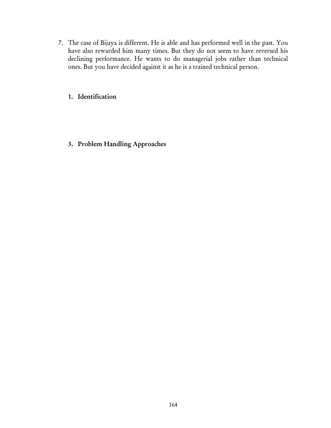7. The case of Bijaya is different. He is able and has performed well in the past. You have also rewarded him many times. But they do not seem to have reversed his declining performance. He wants to do managerial jobs rather than technical ones. But you have decided against it as he is a trained technical person.

#### 1. Identification

3. Problem Handling Approaches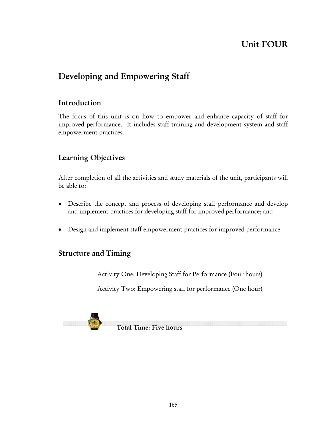# Unit FOUR

# Developing and Empowering Staff

## Introduction

The focus of this unit is on how to empower and enhance capacity of staff for improved performance. It includes staff training and development system and staff empowerment practices.

## Learning Objectives

After completion of all the activities and study materials of the unit, participants will be able to:

- Describe the concept and process of developing staff performance and develop and implement practices for developing staff for improved performance; and
- Design and implement staff empowerment practices for improved performance.

## Structure and Timing

Activity One: Developing Staff for Performance (Four hours)

Activity Two: Empowering staff for performance (One hour)

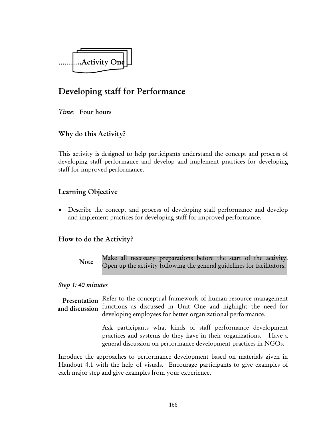

# Developing staff for Performance

*Time:* Four hours

## Why do this Activity?

This activity is designed to help participants understand the concept and process of developing staff performance and develop and implement practices for developing staff for improved performance.

## Learning Objective

• Describe the concept and process of developing staff performance and develop and implement practices for developing staff for improved performance.

## How to do the Activity?

Make all necessary preparations before the start of the activity. Open up the activity following the general guidelines for facilitators. Note

#### *Step 1: 40 minutes*

Presentation Refer to the conceptual framework of human resource management functions as discussed in Unit One and highlight the need for developing employees for better organizational performance. and discussion

> Ask participants what kinds of staff performance development practices and systems do they have in their organizations. Have a general discussion on performance development practices in NGOs.

Inroduce the approaches to performance development based on materials given in Handout 4.1 with the help of visuals. Encourage participants to give examples of each major step and give examples from your experience.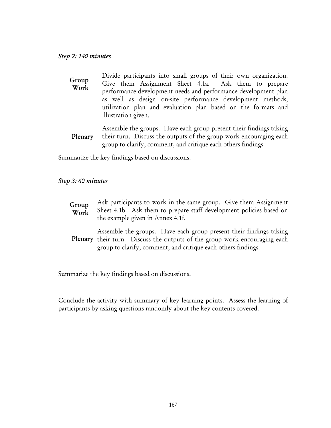#### *Step 2: 140 minutes*

| Group<br>Work | Divide participants into small groups of their own organization. |
|---------------|------------------------------------------------------------------|
|               | Give them Assignment Sheet 4.1a. Ask them to prepare             |
|               | performance development needs and performance development plan   |
|               | as well as design on-site performance development methods,       |
|               | utilization plan and evaluation plan based on the formats and    |
|               | illustration given.                                              |

Assemble the groups. Have each group present their findings taking their turn. Discuss the outputs of the group work encouraging each group to clarify, comment, and critique each others findings. Plenary

Summarize the key findings based on discussions.

*Step 3: 60 minutes* 

| Group<br>Work | Ask participants to work in the same group. Give them Assignment<br>Sheet 4.1b. Ask them to prepare staff development policies based on<br>the example given in Annex 4.1f. |
|---------------|-----------------------------------------------------------------------------------------------------------------------------------------------------------------------------|
|---------------|-----------------------------------------------------------------------------------------------------------------------------------------------------------------------------|

Assemble the groups. Have each group present their findings taking Plenary their turn. Discuss the outputs of the group work encouraging each group to clarify, comment, and critique each others findings.

Summarize the key findings based on discussions.

Conclude the activity with summary of key learning points. Assess the learning of participants by asking questions randomly about the key contents covered.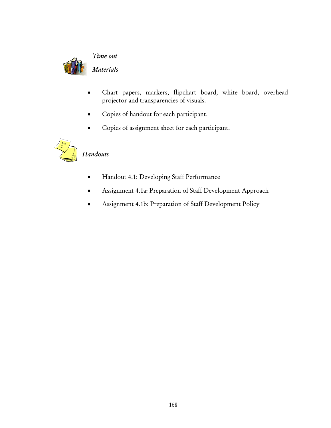

*Time out* 

#### *Materials*

- Chart papers, markers, flipchart board, white board, overhead projector and transparencies of visuals.
- Copies of handout for each participant.
- Copies of assignment sheet for each participant.



# *Handouts*

- Handout 4.1: Developing Staff Performance
- Assignment 4.1a: Preparation of Staff Development Approach
- Assignment 4.1b: Preparation of Staff Development Policy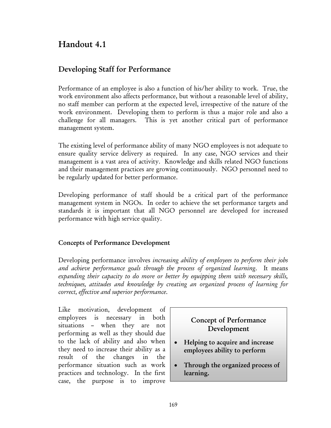# Handout 4.1

## Developing Staff for Performance

Performance of an employee is also a function of his/her ability to work. True, the work environment also affects performance, but without a reasonable level of ability, no staff member can perform at the expected level, irrespective of the nature of the work environment. Developing them to perform is thus a major role and also a challenge for all managers. This is yet another critical part of performance management system.

The existing level of performance ability of many NGO employees is not adequate to ensure quality service delivery as required. In any case, NGO services and their management is a vast area of activity. Knowledge and skills related NGO functions and their management practices are growing continuously. NGO personnel need to be regularly updated for better performance.

Developing performance of staff should be a critical part of the performance management system in NGOs. In order to achieve the set performance targets and standards it is important that all NGO personnel are developed for increased performance with high service quality.

## Concepts of Performance Development

Developing performance involves *increasing ability of employees to perform their jobs and achieve performance goals through the process of organized learning*. It means *expanding their capacity to do more or better by equipping them with necessary skills, techniques, attitudes and knowledge by creating an organized process of learning for correct, effective and superior performance*.

Like motivation, development of employees is necessary in both situations – when they are not performing as well as they should due to the lack of ability and also when they need to increase their ability as a result of the changes in the performance situation such as work practices and technology. In the first case, the purpose is to improve

## Concept of Performance Development

- Helping to acquire and increase employees ability to perform
- Through the organized process of learning.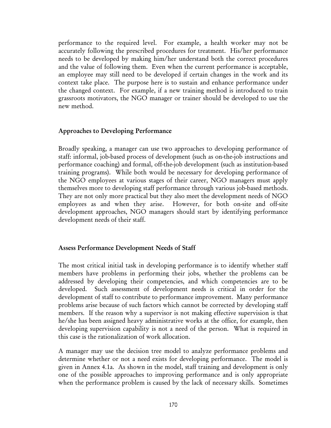performance to the required level. For example, a health worker may not be accurately following the prescribed procedures for treatment. His/her performance needs to be developed by making him/her understand both the correct procedures and the value of following them. Even when the current performance is acceptable, an employee may still need to be developed if certain changes in the work and its context take place. The purpose here is to sustain and enhance performance under the changed context. For example, if a new training method is introduced to train grassroots motivators, the NGO manager or trainer should be developed to use the new method.

#### Approaches to Developing Performance

Broadly speaking, a manager can use two approaches to developing performance of staff: informal, job-based process of development (such as on-the-job instructions and performance coaching) and formal, off-the-job development (such as institution-based training programs). While both would be necessary for developing performance of the NGO employees at various stages of their career, NGO managers must apply themselves more to developing staff performance through various job-based methods. They are not only more practical but they also meet the development needs of NGO employees as and when they arise. However, for both on-site and off-site development approaches, NGO managers should start by identifying performance development needs of their staff.

#### Assess Performance Development Needs of Staff

The most critical initial task in developing performance is to identify whether staff members have problems in performing their jobs, whether the problems can be addressed by developing their competencies, and which competencies are to be developed. Such assessment of development needs is critical in order for the development of staff to contribute to performance improvement. Many performance problems arise because of such factors which cannot be corrected by developing staff members. If the reason why a supervisor is not making effective supervision is that he/she has been assigned heavy administrative works at the office, for example, then developing supervision capability is not a need of the person. What is required in this case is the rationalization of work allocation.

A manager may use the decision tree model to analyze performance problems and determine whether or not a need exists for developing performance. The model is given in Annex 4.1a. As shown in the model, staff training and development is only one of the possible approaches to improving performance and is only appropriate when the performance problem is caused by the lack of necessary skills. Sometimes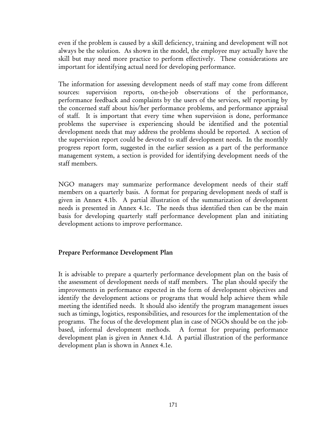even if the problem is caused by a skill deficiency, training and development will not always be the solution. As shown in the model, the employee may actually have the skill but may need more practice to perform effectively. These considerations are important for identifying actual need for developing performance.

The information for assessing development needs of staff may come from different sources: supervision reports, on-the-job observations of the performance, performance feedback and complaints by the users of the services, self reporting by the concerned staff about his/her performance problems, and performance appraisal of staff. It is important that every time when supervision is done, performance problems the supervisee is experiencing should be identified and the potential development needs that may address the problems should be reported. A section of the supervision report could be devoted to staff development needs. In the monthly progress report form, suggested in the earlier session as a part of the performance management system, a section is provided for identifying development needs of the staff members.

NGO managers may summarize performance development needs of their staff members on a quarterly basis. A format for preparing development needs of staff is given in Annex 4.1b. A partial illustration of the summarization of development needs is presented in Annex 4.1c. The needs thus identified then can be the main basis for developing quarterly staff performance development plan and initiating development actions to improve performance.

#### Prepare Performance Development Plan

It is advisable to prepare a quarterly performance development plan on the basis of the assessment of development needs of staff members. The plan should specify the improvements in performance expected in the form of development objectives and identify the development actions or programs that would help achieve them while meeting the identified needs. It should also identify the program management issues such as timings, logistics, responsibilities, and resources for the implementation of the programs. The focus of the development plan in case of NGOs should be on the jobbased, informal development methods. A format for preparing performance development plan is given in Annex 4.1d. A partial illustration of the performance development plan is shown in Annex 4.1e.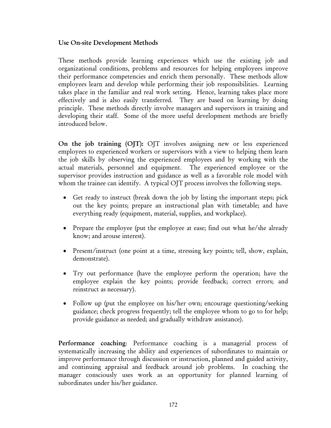#### Use On-site Development Methods

These methods provide learning experiences which use the existing job and organizational conditions, problems and resources for helping employees improve their performance competencies and enrich them personally. These methods allow employees learn and develop while performing their job responsibilities. Learning takes place in the familiar and real work setting. Hence, learning takes place more effectively and is also easily transferred. They are based on learning by doing principle. These methods directly involve managers and supervisors in training and developing their staff. Some of the more useful development methods are briefly introduced below.

On the job training (OJT): OJT involves assigning new or less experienced employees to experienced workers or supervisors with a view to helping them learn the job skills by observing the experienced employees and by working with the actual materials, personnel and equipment. The experienced employee or the supervisor provides instruction and guidance as well as a favorable role model with whom the trainee can identify. A typical OJT process involves the following steps.

- Get ready to instruct (break down the job by listing the important steps; pick out the key points; prepare an instructional plan with timetable; and have everything ready (equipment, material, supplies, and workplace).
- Prepare the employee (put the employee at ease; find out what he/she already know; and arouse interest).
- Present/instruct (one point at a time, stressing key points; tell, show, explain, demonstrate).
- Try out performance (have the employee perform the operation; have the employee explain the key points; provide feedback; correct errors; and reinstruct as necessary).
- Follow up (put the employee on his/her own; encourage questioning/seeking guidance; check progress frequently; tell the employee whom to go to for help; provide guidance as needed; and gradually withdraw assistance).

Performance coaching: Performance coaching is a managerial process of systematically increasing the ability and experiences of subordinates to maintain or improve performance through discussion or instruction, planned and guided activity, and continuing appraisal and feedback around job problems. In coaching the manager consciously uses work as an opportunity for planned learning of subordinates under his/her guidance.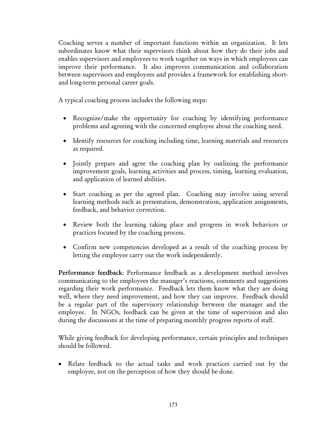Coaching serves a number of important functions within an organization. It lets subordinates know what their supervisors think about how they do their jobs and enables supervisors and employees to work together on ways in which employees can improve their performance. It also improves communication and collaboration between supervisors and employees and provides a framework for establishing shortand long-term personal career goals.

A typical coaching process includes the following steps:

- Recognize/make the opportunity for coaching by identifying performance problems and agreeing with the concerned employee about the coaching need.
- Identify resources for coaching including time, learning materials and resources as required.
- Jointly prepare and agree the coaching plan by outlining the performance improvement goals, learning activities and process, timing, learning evaluation, and application of learned abilities.
- Start coaching as per the agreed plan. Coaching may involve using several learning methods such as presentation, demonstration, application assignments, feedback, and behavior correction.
- Review both the learning taking place and progress in work behaviors or practices focused by the coaching process.
- Confirm new competencies developed as a result of the coaching process by letting the employee carry out the work independently.

Performance feedback: Performance feedback as a development method involves communicating to the employees the manager's reactions, comments and suggestions regarding their work performance. Feedback lets them know what they are doing well, where they need improvement, and how they can improve. Feedback should be a regular part of the supervisory relationship between the manager and the employee. In NGOs, feedback can be given at the time of supervision and also during the discussions at the time of preparing monthly progress reports of staff.

While giving feedback for developing performance, certain principles and techniques should be followed.

• Relate feedback to the actual tasks and work practices carried out by the employee, not on the perception of how they should be done.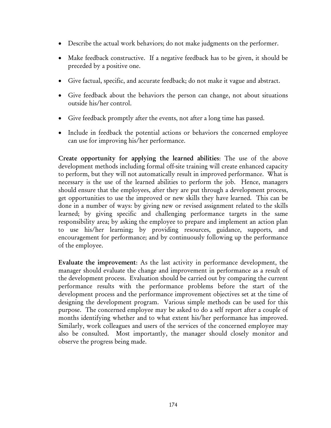- Describe the actual work behaviors; do not make judgments on the performer.
- Make feedback constructive. If a negative feedback has to be given, it should be preceded by a positive one.
- Give factual, specific, and accurate feedback; do not make it vague and abstract.
- Give feedback about the behaviors the person can change, not about situations outside his/her control.
- Give feedback promptly after the events, not after a long time has passed.
- Include in feedback the potential actions or behaviors the concerned employee can use for improving his/her performance.

Create opportunity for applying the learned abilities: The use of the above development methods including formal off-site training will create enhanced capacity to perform, but they will not automatically result in improved performance. What is necessary is the use of the learned abilities to perform the job. Hence, managers should ensure that the employees, after they are put through a development process, get opportunities to use the improved or new skills they have learned. This can be done in a number of ways: by giving new or revised assignment related to the skills learned; by giving specific and challenging performance targets in the same responsibility area; by asking the employee to prepare and implement an action plan to use his/her learning; by providing resources, guidance, supports, and encouragement for performance; and by continuously following up the performance of the employee.

Evaluate the improvement: As the last activity in performance development, the manager should evaluate the change and improvement in performance as a result of the development process. Evaluation should be carried out by comparing the current performance results with the performance problems before the start of the development process and the performance improvement objectives set at the time of designing the development program. Various simple methods can be used for this purpose. The concerned employee may be asked to do a self report after a couple of months identifying whether and to what extent his/her performance has improved. Similarly, work colleagues and users of the services of the concerned employee may also be consulted. Most importantly, the manager should closely monitor and observe the progress being made.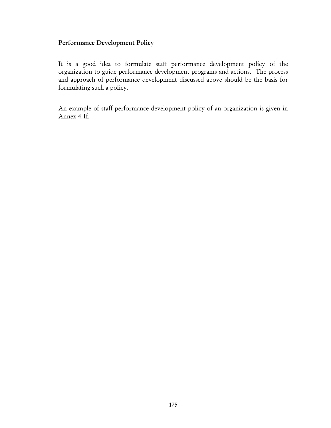## Performance Development Policy

It is a good idea to formulate staff performance development policy of the organization to guide performance development programs and actions. The process and approach of performance development discussed above should be the basis for formulating such a policy.

An example of staff performance development policy of an organization is given in Annex 4.1f.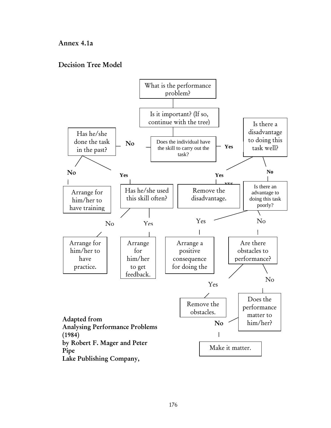#### Annex 4.1a

#### Decision Tree Model

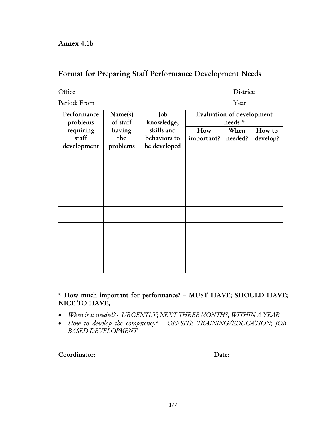### Format for Preparing Staff Performance Development Needs

Office: District:

Period: From

|  | ear: |  |
|--|------|--|
|  |      |  |

| Performance<br>problems | Name(s)<br>of staff | Job<br>knowledge, | Evaluation of development<br>needs * |         |          |
|-------------------------|---------------------|-------------------|--------------------------------------|---------|----------|
| requiring               | having              | skills and        | How                                  | When    | How to   |
| staff                   | the                 | behaviors to      | important?                           | needed? | develop? |
| development             | problems            | be developed      |                                      |         |          |
|                         |                     |                   |                                      |         |          |
|                         |                     |                   |                                      |         |          |
|                         |                     |                   |                                      |         |          |
|                         |                     |                   |                                      |         |          |
|                         |                     |                   |                                      |         |          |
|                         |                     |                   |                                      |         |          |
|                         |                     |                   |                                      |         |          |
|                         |                     |                   |                                      |         |          |
|                         |                     |                   |                                      |         |          |
|                         |                     |                   |                                      |         |          |
|                         |                     |                   |                                      |         |          |
|                         |                     |                   |                                      |         |          |
|                         |                     |                   |                                      |         |          |
|                         |                     |                   |                                      |         |          |
|                         |                     |                   |                                      |         |          |

\* How much important for performance? – MUST HAVE; SHOULD HAVE; NICE TO HAVE,

- *When is it needed? URGENTLY; NEXT THREE MONTHS; WITHIN A YEAR*
- *How to develop the competency? OFF-SITE TRAINING/EDUCATION; JOB-BASED DEVELOPMENT*

Coordinator: \_\_\_\_\_\_\_\_\_\_\_\_\_\_\_\_\_\_\_\_\_\_\_\_\_\_ Date:\_\_\_\_\_\_\_\_\_\_\_\_\_\_\_\_\_\_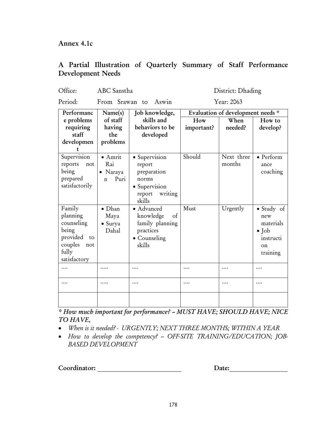Annex 4.1c

### A Partial Illustration of Quarterly Summary of Staff Performance Development Needs

Office: ABC Sanstha District: Dhading

Period: From Srawan to Aswin Year: 2063

| Performanc                                                                                             | Name(s)                                                 | Job knowledge,                                                                                  | Evaluation of development needs * |                      |                                                                                        |  |
|--------------------------------------------------------------------------------------------------------|---------------------------------------------------------|-------------------------------------------------------------------------------------------------|-----------------------------------|----------------------|----------------------------------------------------------------------------------------|--|
| e problems<br>requiring<br>staff<br>developmen                                                         | of staff<br>having<br>the<br>problems                   | skills and<br>behaviors to be<br>developed                                                      | How<br>important?                 | When<br>needed?      | How to<br>develop?                                                                     |  |
| Supervision<br>reports<br>not<br>being<br>prepared<br>satisfactorily                                   | $\bullet$ Amrit<br>Rai<br>Naraya<br>Puri<br>$\mathbf n$ | · Supervision<br>report<br>preparation<br>norms<br>· Supervision<br>writing<br>report<br>skills | Should                            | Next three<br>months | • Perform<br>ance<br>coaching                                                          |  |
| Family<br>planning<br>counseling<br>being<br>provided<br>to<br>couples<br>not<br>fully<br>satisfactory | $\bullet$ Dhan<br>Maya<br>• Surya<br>Dahal              | • Advanced<br>knowledge<br>οf<br>family planning<br>practices<br>• Counseling<br>skills         | Must                              | Urgently             | $\bullet$ Study of<br>new<br>materials<br>$\bullet$ Job<br>instructi<br>on<br>training |  |
|                                                                                                        |                                                         |                                                                                                 | .                                 |                      |                                                                                        |  |

*\* How much important for performance? – MUST HAVE; SHOULD HAVE; NICE TO HAVE,* 

• *When is it needed? - URGENTLY; NEXT THREE MONTHS; WITHIN A YEAR* 

…. ….. …. …. …. ….

• *How to develop the competency? – OFF-SITE TRAINING/EDUCATION; JOB-BASED DEVELOPMENT* 

Coordinator: \_\_\_\_\_\_\_\_\_\_\_\_\_\_\_\_\_\_\_\_\_\_\_\_\_\_ Date:\_\_\_\_\_\_\_\_\_\_\_\_\_\_\_\_\_\_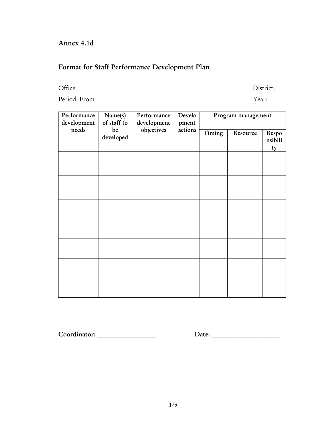# Annex 4.1d

# Format for Staff Performance Development Plan

Period: From Year:

Office: District:

| Performance<br>development | Name(s)<br>of staff to | Performance<br>development | Develo<br>pment |        | Program management |                  |
|----------------------------|------------------------|----------------------------|-----------------|--------|--------------------|------------------|
| needs                      | be<br>developed        | objectives                 | actions         | Timing | Resource           | Respo<br>nsibili |
|                            |                        |                            |                 |        |                    | ty               |
|                            |                        |                            |                 |        |                    |                  |
|                            |                        |                            |                 |        |                    |                  |
|                            |                        |                            |                 |        |                    |                  |
|                            |                        |                            |                 |        |                    |                  |
|                            |                        |                            |                 |        |                    |                  |
|                            |                        |                            |                 |        |                    |                  |
|                            |                        |                            |                 |        |                    |                  |
|                            |                        |                            |                 |        |                    |                  |
|                            |                        |                            |                 |        |                    |                  |
|                            |                        |                            |                 |        |                    |                  |
|                            |                        |                            |                 |        |                    |                  |
|                            |                        |                            |                 |        |                    |                  |
|                            |                        |                            |                 |        |                    |                  |

Coordinator: \_\_\_\_\_\_\_\_\_\_\_\_\_\_\_\_\_\_ Date: \_\_\_\_\_\_\_\_\_\_\_\_\_\_\_\_\_\_\_\_\_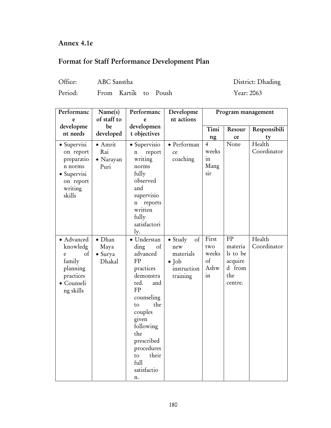## Annex 4.1e

# Format for Staff Performance Development Plan

| Office:<br>ABC Sanstha |
|------------------------|
|------------------------|

```
District: Dhading
```
Period: From Kartik to Poush Year: 2063

| Year: 2063 |  |
|------------|--|

| Performanc                                                                                         | Name(s)                                     | Performanc                                                                                                                                                                                                                                   | Developme                                                                                      |                                                               | Program management                                               |                       |
|----------------------------------------------------------------------------------------------------|---------------------------------------------|----------------------------------------------------------------------------------------------------------------------------------------------------------------------------------------------------------------------------------------------|------------------------------------------------------------------------------------------------|---------------------------------------------------------------|------------------------------------------------------------------|-----------------------|
| e                                                                                                  | of staff to                                 | e                                                                                                                                                                                                                                            | nt actions                                                                                     |                                                               |                                                                  |                       |
| developme                                                                                          | be                                          | developmen                                                                                                                                                                                                                                   |                                                                                                | Timi                                                          | Resour                                                           | Responsibili          |
| nt needs                                                                                           | developed                                   | t objectives                                                                                                                                                                                                                                 |                                                                                                | ng                                                            | ce                                                               | ty                    |
| · Supervisi<br>on report<br>preparatio<br>n norms<br>• Supervisi<br>on report<br>writing<br>skills | $\bullet$ Amrit<br>Rai<br>· Narayan<br>Puri | • Supervisio<br>report<br>n<br>writing<br>norms<br>fully<br>observed<br>and<br>supervisio<br>reports<br>n<br>written<br>fully<br>satisfactori                                                                                                | · Performan<br>ce<br>coaching                                                                  | $\overline{4}$<br>weeks<br>$\operatorname{in}$<br>Mang<br>sir | None                                                             | Health<br>Coordinator |
| · Advanced<br>knowledg<br>of<br>e<br>family<br>planning<br>practices<br>· Counseli<br>ng skills    | $\bullet$ Dhan<br>Maya<br>· Surya<br>Dhakal | ly.<br>· Understan<br>ding<br>of<br>advanced<br>FP<br>practices<br>demonstra<br>ted.<br>and<br>FP<br>counseling<br>the<br>to<br>couples<br>given<br>following<br>the<br>prescribed<br>procedures<br>their<br>to<br>full<br>satisfactio<br>n. | $_{\rm of}$<br>$\bullet$ Study<br>new<br>materials<br>$\bullet$ Job<br>instruction<br>training | First<br>two<br>weeks<br>of<br>Ashw<br>in                     | FP<br>materia<br>ls to be<br>acquire<br>d from<br>the<br>centre. | Health<br>Coordinator |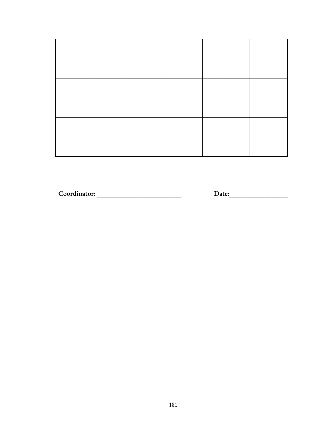Coordinator: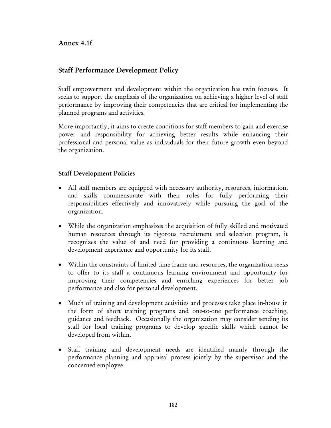### Annex 4.1f

### Staff Performance Development Policy

Staff empowerment and development within the organization has twin focuses. It seeks to support the emphasis of the organization on achieving a higher level of staff performance by improving their competencies that are critical for implementing the planned programs and activities.

More importantly, it aims to create conditions for staff members to gain and exercise power and responsibility for achieving better results while enhancing their professional and personal value as individuals for their future growth even beyond the organization.

#### Staff Development Policies

- All staff members are equipped with necessary authority, resources, information, and skills commensurate with their roles for fully performing their responsibilities effectively and innovatively while pursuing the goal of the organization.
- While the organization emphasizes the acquisition of fully skilled and motivated human resources through its rigorous recruitment and selection program, it recognizes the value of and need for providing a continuous learning and development experience and opportunity for its staff.
- Within the constraints of limited time frame and resources, the organization seeks to offer to its staff a continuous learning environment and opportunity for improving their competencies and enriching experiences for better job performance and also for personal development.
- Much of training and development activities and processes take place in-house in the form of short training programs and one-to-one performance coaching, guidance and feedback. Occasionally the organization may consider sending its staff for local training programs to develop specific skills which cannot be developed from within.
- Staff training and development needs are identified mainly through the performance planning and appraisal process jointly by the supervisor and the concerned employee.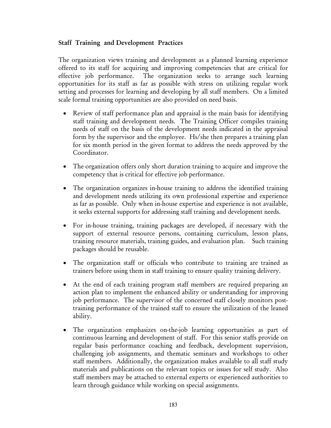#### Staff Training and Development Practices

The organization views training and development as a planned learning experience offered to its staff for acquiring and improving competencies that are critical for effective job performance. The organization seeks to arrange such learning opportunities for its staff as far as possible with stress on utilizing regular work setting and processes for learning and developing by all staff members. On a limited scale formal training opportunities are also provided on need basis.

- Review of staff performance plan and appraisal is the main basis for identifying staff training and development needs. The Training Officer compiles training needs of staff on the basis of the development needs indicated in the appraisal form by the supervisor and the employee. Hs/she then prepares a training plan for six month period in the given format to address the needs approved by the Coordinator.
- The organization offers only short duration training to acquire and improve the competency that is critical for effective job performance.
- The organization organizes in-house training to address the identified training and development needs utilizing its own professional expertise and experience as far as possible. Only when in-house expertise and experience is not available, it seeks external supports for addressing staff training and development needs.
- For in-house training, training packages are developed, if necessary with the support of external resource persons, containing curriculum, lesson plans, training resource materials, training guides, and evaluation plan. Such training packages should be reusable.
- The organization staff or officials who contribute to training are trained as trainers before using them in staff training to ensure quality training delivery.
- At the end of each training program staff members are required preparing an action plan to implement the enhanced ability or understanding for improving job performance. The supervisor of the concerned staff closely monitors posttraining performance of the trained staff to ensure the utilization of the leaned ability.
- The organization emphasizes on-the-job learning opportunities as part of continuous learning and development of staff. For this senior staffs provide on regular basis performance coaching and feedback, development supervision, challenging job assignments, and thematic seminars and workshops to other staff members. Additionally, the organization makes available to all staff study materials and publications on the relevant topics or issues for self study. Also staff members may be attached to external experts or experienced authorities to learn through guidance while working on special assignments.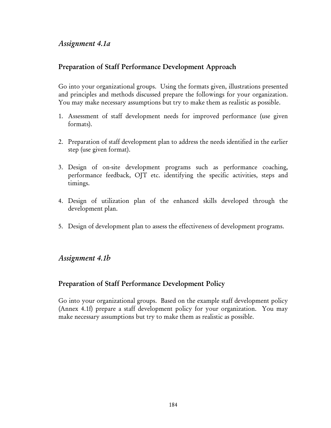### *Assignment 4.1a*

### Preparation of Staff Performance Development Approach

Go into your organizational groups. Using the formats given, illustrations presented and principles and methods discussed prepare the followings for your organization. You may make necessary assumptions but try to make them as realistic as possible.

- 1. Assessment of staff development needs for improved performance (use given formats).
- 2. Preparation of staff development plan to address the needs identified in the earlier step (use given format).
- 3. Design of on-site development programs such as performance coaching, performance feedback, OJT etc. identifying the specific activities, steps and timings.
- 4. Design of utilization plan of the enhanced skills developed through the development plan.
- 5. Design of development plan to assess the effectiveness of development programs.

### *Assignment 4.1b*

### Preparation of Staff Performance Development Policy

Go into your organizational groups. Based on the example staff development policy (Annex 4.1f) prepare a staff development policy for your organization. You may make necessary assumptions but try to make them as realistic as possible.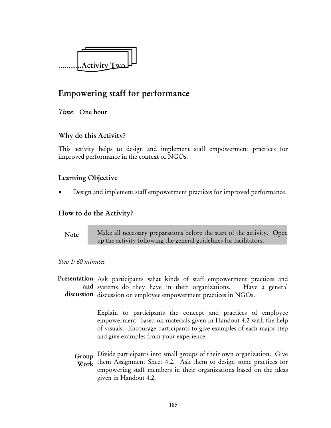

# Empowering staff for performance

*Time:* One hour

### Why do this Activity?

This activity helps to design and implement staff empowerment practices for improved performance in the context of NGOs.

### Learning Objective

• Design and implement staff empowerment practices for improved performance.

#### How to do the Activity?

Make all necessary preparations before the start of the activity. Open up the activity following the general guidelines for facilitators. **Note** 

#### *Step 1: 60 minutes*

Presentation Ask participants what kinds of staff empowerment practices and and systems do they have in their organizations. Have a general discussion discussion on employee empowerment practices in NGOs.

> Explain to participants the concept and practices of employee empowerment based on materials given in Handout 4.2 with the help of visuals. Encourage participants to give examples of each major step and give examples from your experience.

Group Divide participants into small groups of their own organization. Give Work them Assignment Sheet 4.2. Ask them to design some practices for empowering staff members in their organizations based on the ideas given in Handout 4.2.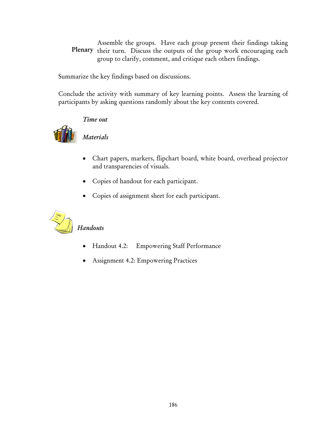Assemble the groups. Have each group present their findings taking Plenary their turn. Discuss the outputs of the group work encouraging each group to clarify, comment, and critique each others findings.

Summarize the key findings based on discussions.

Conclude the activity with summary of key learning points. Assess the learning of participants by asking questions randomly about the key contents covered.

#### *Time out*



# *Materials*

- Chart papers, markers, flipchart board, white board, overhead projector and transparencies of visuals.
- Copies of handout for each participant.
- Copies of assignment sheet for each participant.



# *Handouts*

- Handout 4.2: Empowering Staff Performance
- Assignment 4.2: Empowering Practices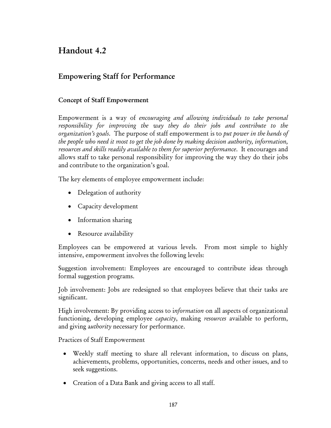# Handout 4.2

# Empowering Staff for Performance

#### Concept of Staff Empowerment

Empowerment is a way of *encouraging and allowing individuals to take personal responsibility for improving the way they do their jobs and contribute to the organization's goals*. The purpose of staff empowerment is to *put power in the hands of the people who need it most to get the job done by making decision authority, information, resources and skills readily available to them for superior performance*. It encourages and allows staff to take personal responsibility for improving the way they do their jobs and contribute to the organization's goal.

The key elements of employee empowerment include:

- Delegation of authority
- Capacity development
- Information sharing
- Resource availability

Employees can be empowered at various levels. From most simple to highly intensive, empowerment involves the following levels:

Suggestion involvement: Employees are encouraged to contribute ideas through formal suggestion programs.

Job involvement: Jobs are redesigned so that employees believe that their tasks are significant.

High involvement: By providing access to i*nformation* on all aspects of organizational functioning, developing employee *capacity*, making *resources* available to perform, and giving a*uthority* necessary for performance.

Practices of Staff Empowerment

- Weekly staff meeting to share all relevant information, to discuss on plans, achievements, problems, opportunities, concerns, needs and other issues, and to seek suggestions.
- Creation of a Data Bank and giving access to all staff.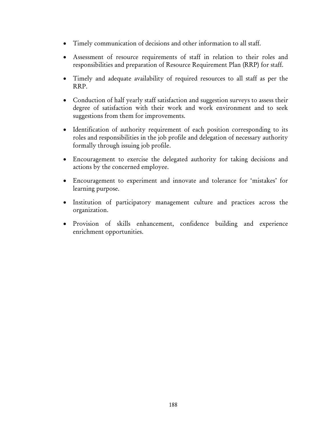- Timely communication of decisions and other information to all staff.
- Assessment of resource requirements of staff in relation to their roles and responsibilities and preparation of Resource Requirement Plan (RRP) for staff.
- Timely and adequate availability of required resources to all staff as per the RRP.
- Conduction of half yearly staff satisfaction and suggestion surveys to assess their degree of satisfaction with their work and work environment and to seek suggestions from them for improvements.
- Identification of authority requirement of each position corresponding to its roles and responsibilities in the job profile and delegation of necessary authority formally through issuing job profile.
- Encouragement to exercise the delegated authority for taking decisions and actions by the concerned employee.
- Encouragement to experiment and innovate and tolerance for 'mistakes' for learning purpose.
- Institution of participatory management culture and practices across the organization.
- Provision of skills enhancement, confidence building and experience enrichment opportunities.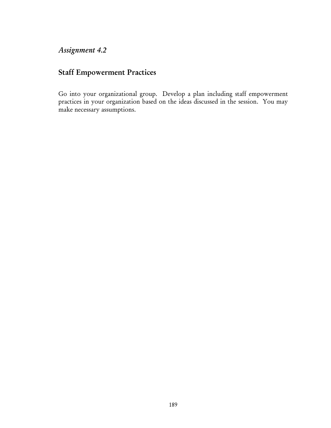# *Assignment 4.2*

## Staff Empowerment Practices

Go into your organizational group. Develop a plan including staff empowerment practices in your organization based on the ideas discussed in the session. You may make necessary assumptions.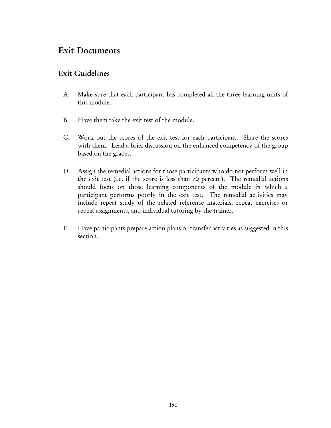# Exit Documents

### Exit Guidelines

- A. Make sure that each participant has completed all the three learning units of this module.
- B. Have them take the exit test of the module.
- C. Work out the scores of the exit test for each participant. Share the scores with them. Lead a brief discussion on the enhanced competency of the group based on the grades.
- D. Assign the remedial actions for those participants who do not perform well in the exit test (i.e. if the score is less than 70 percent). The remedial actions should focus on those learning components of the module in which a participant performs poorly in the exit test. The remedial activities may include repeat study of the related reference materials, repeat exercises or repeat assignments, and individual tutoring by the trainer.
- E. Have participants prepare action plans or transfer activities as suggested in this section.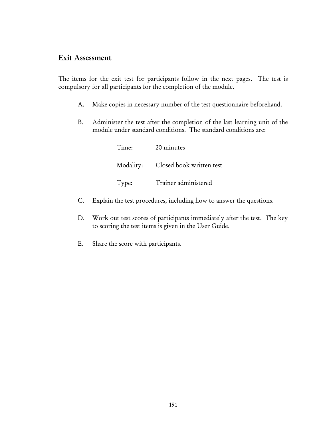### Exit Assessment

The items for the exit test for participants follow in the next pages. The test is compulsory for all participants for the completion of the module.

- A. Make copies in necessary number of the test questionnaire beforehand.
- B. Administer the test after the completion of the last learning unit of the module under standard conditions. The standard conditions are:

| Time: | 20 minutes                         |
|-------|------------------------------------|
|       | Modality: Closed book written test |
| Type: | Trainer administered               |

- C. Explain the test procedures, including how to answer the questions.
- D. Work out test scores of participants immediately after the test. The key to scoring the test items is given in the User Guide.
- E. Share the score with participants.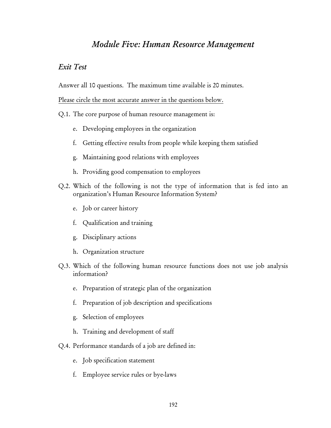# *Module Five: Human Resource Management*

#### *Exit Test*

Answer all 10 questions. The maximum time available is 20 minutes.

Please circle the most accurate answer in the questions below.

- Q.1. The core purpose of human resource management is:
	- e. Developing employees in the organization
	- f. Getting effective results from people while keeping them satisfied
	- g. Maintaining good relations with employees
	- h. Providing good compensation to employees
- Q.2. Which of the following is not the type of information that is fed into an organization's Human Resource Information System?
	- e. Job or career history
	- f. Qualification and training
	- g. Disciplinary actions
	- h. Organization structure
- Q.3. Which of the following human resource functions does not use job analysis information?
	- e. Preparation of strategic plan of the organization
	- f. Preparation of job description and specifications
	- g. Selection of employees
	- h. Training and development of staff
- Q.4. Performance standards of a job are defined in:
	- e. Job specification statement
	- f. Employee service rules or bye-laws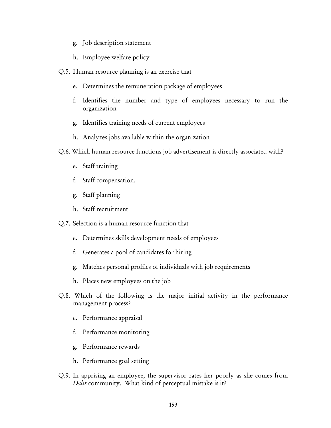- g. Job description statement
- h. Employee welfare policy
- Q.5. Human resource planning is an exercise that
	- e. Determines the remuneration package of employees
	- f. Identifies the number and type of employees necessary to run the organization
	- g. Identifies training needs of current employees
	- h. Analyzes jobs available within the organization
- Q.6. Which human resource functions job advertisement is directly associated with?
	- e. Staff training
	- f. Staff compensation.
	- g. Staff planning
	- h. Staff recruitment
- Q.7. Selection is a human resource function that
	- e. Determines skills development needs of employees
	- f. Generates a pool of candidates for hiring
	- g. Matches personal profiles of individuals with job requirements
	- h. Places new employees on the job
- Q.8. Which of the following is the major initial activity in the performance management process?
	- e. Performance appraisal
	- f. Performance monitoring
	- g. Performance rewards
	- h. Performance goal setting
- Q.9. In apprising an employee, the supervisor rates her poorly as she comes from *Dalit* community. What kind of perceptual mistake is it?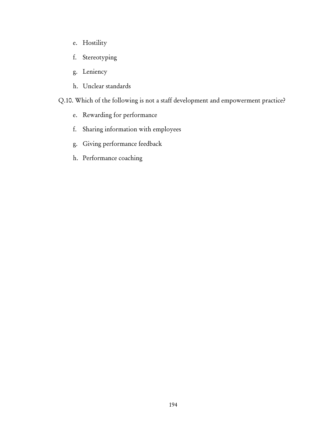- e. Hostility
- f. Stereotyping
- g. Leniency
- h. Unclear standards

Q.10. Which of the following is not a staff development and empowerment practice?

- e. Rewarding for performance
- f. Sharing information with employees
- g. Giving performance feedback
- h. Performance coaching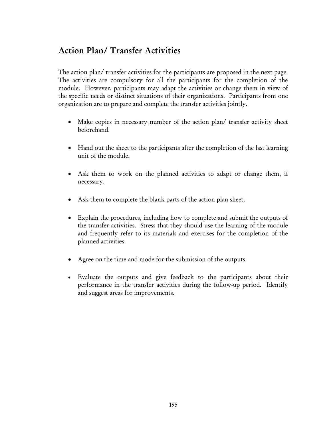# Action Plan/ Transfer Activities

The action plan/ transfer activities for the participants are proposed in the next page. The activities are compulsory for all the participants for the completion of the module. However, participants may adapt the activities or change them in view of the specific needs or distinct situations of their organizations. Participants from one organization are to prepare and complete the transfer activities jointly.

- Make copies in necessary number of the action plan/ transfer activity sheet beforehand.
- Hand out the sheet to the participants after the completion of the last learning unit of the module.
- Ask them to work on the planned activities to adapt or change them, if necessary.
- Ask them to complete the blank parts of the action plan sheet.
- Explain the procedures, including how to complete and submit the outputs of the transfer activities. Stress that they should use the learning of the module and frequently refer to its materials and exercises for the completion of the planned activities.
- Agree on the time and mode for the submission of the outputs.
- Evaluate the outputs and give feedback to the participants about their performance in the transfer activities during the follow-up period. Identify and suggest areas for improvements.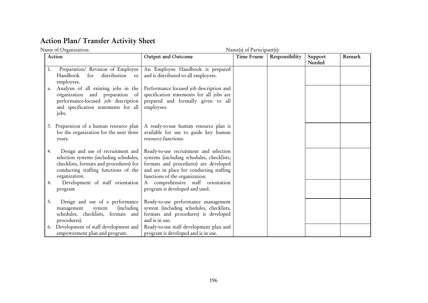# Action Plan/ Transfer Activity Sheet

|    | Name of Organization:                                                                                                                                                            |                                                                                                                                                                                                            | Name(s) of Participant(s): |                |                   |        |
|----|----------------------------------------------------------------------------------------------------------------------------------------------------------------------------------|------------------------------------------------------------------------------------------------------------------------------------------------------------------------------------------------------------|----------------------------|----------------|-------------------|--------|
|    | Action                                                                                                                                                                           | Output and Outcome                                                                                                                                                                                         | Time Frame                 | Responsibility | Support<br>Needed | Remark |
| 1. | Preparation/ Revision of Employee<br>Handbook<br>distribution<br>for<br>to<br>employees.                                                                                         | An Employee Handbook is prepared<br>and is distributed to all employees.                                                                                                                                   |                            |                |                   |        |
| a. | Analysis of all existing jobs in the<br>organization and preparation of<br>performance-focused job description<br>and specification statements for all<br>jobs.                  | Performance focused job description and<br>specification statements for all jobs are<br>prepared and formally given to all<br>employees.                                                                   |                            |                |                   |        |
|    | 3. Preparation of a human resource plan<br>for the organization for the next three<br>years.                                                                                     | A ready-to-use human resource plan is<br>available for use to guide key human<br>resource functions.                                                                                                       |                            |                |                   |        |
| 4. | Design and use of recruitment and<br>selection systems (including schedules,<br>checklists, formats and procedures) for<br>conducting staffing functions of the<br>organization. | Ready-to-use recruitment and selection<br>systems (including schedules, checklists,<br>formats and procedures) are developed<br>and are in place for conducting staffing<br>functions of the organization. |                            |                |                   |        |
| 4. | Development of staff orientation<br>program                                                                                                                                      | A comprehensive staff orientation<br>program is developed and used.                                                                                                                                        |                            |                |                   |        |
| 5. | Design and use of a performance<br><i>(including)</i><br>management<br>system<br>schedules, checklists, formats and<br>procedures).                                              | Ready-to-use performance management<br>system (including schedules, checklists,<br>formats and procedures) is developed<br>and is in use.                                                                  |                            |                |                   |        |
|    | 6. Development of staff development and<br>empowerment plan and program.                                                                                                         | Ready-to-use staff development plan and<br>program is developed and is in use.                                                                                                                             |                            |                |                   |        |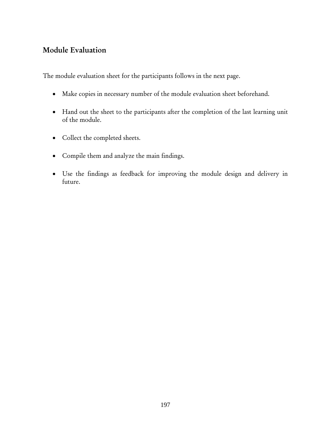## Module Evaluation

The module evaluation sheet for the participants follows in the next page.

- Make copies in necessary number of the module evaluation sheet beforehand.
- Hand out the sheet to the participants after the completion of the last learning unit of the module.
- Collect the completed sheets.
- Compile them and analyze the main findings.
- Use the findings as feedback for improving the module design and delivery in future.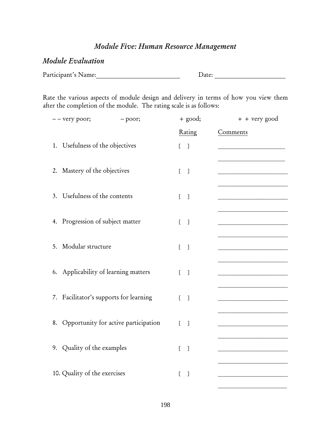# *Module Five: Human Resource Management*

### *Module Evaluation*

Participant's Name: \_\_\_\_\_\_\_\_\_\_\_\_\_\_\_\_\_\_\_\_\_\_\_\_\_\_\_\_\_\_\_ Date: \_\_\_\_\_\_\_\_\_\_\_\_\_\_\_\_\_\_\_\_\_\_

Rate the various aspects of module design and delivery in terms of how you view them after the completion of the module. The rating scale is as follows:

| -- - very poor;<br>-- poor;             | $+$ good;                                | + + very good |
|-----------------------------------------|------------------------------------------|---------------|
|                                         | Rating                                   | Comments      |
| 1. Usefulness of the objectives         | [1]                                      |               |
|                                         |                                          |               |
| 2. Mastery of the objectives            | [1]                                      |               |
|                                         |                                          |               |
| 3. Usefulness of the contents           | $\begin{bmatrix} 1 \end{bmatrix}$        |               |
| 4. Progression of subject matter        | $\begin{bmatrix} 1 \end{bmatrix}$        |               |
|                                         |                                          |               |
| 5. Modular structure                    | $\begin{bmatrix} 1 \end{bmatrix}$        |               |
|                                         |                                          |               |
| 6. Applicability of learning matters    | $\mathbf{r}$<br>$\overline{\phantom{0}}$ |               |
|                                         |                                          |               |
| 7. Facilitator's supports for learning  | $\begin{bmatrix} 1 \end{bmatrix}$        |               |
|                                         |                                          |               |
| 8. Opportunity for active participation | $\sqrt{ }$<br>$\overline{1}$             |               |
| 9. Quality of the examples              | $\mathbf{r}$<br>$\Box$                   |               |
|                                         |                                          |               |
| 10. Quality of the exercises            | $\Gamma$<br>$\Box$                       |               |
|                                         |                                          |               |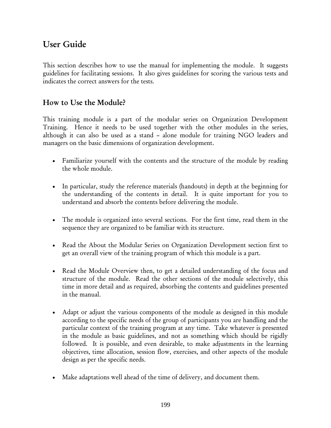# User Guide

This section describes how to use the manual for implementing the module. It suggests guidelines for facilitating sessions. It also gives guidelines for scoring the various tests and indicates the correct answers for the tests.

# How to Use the Module?

This training module is a part of the modular series on Organization Development Training. Hence it needs to be used together with the other modules in the series, although it can also be used as a stand – alone module for training NGO leaders and managers on the basic dimensions of organization development.

- Familiarize yourself with the contents and the structure of the module by reading the whole module.
- In particular, study the reference materials (handouts) in depth at the beginning for the understanding of the contents in detail. It is quite important for you to understand and absorb the contents before delivering the module.
- The module is organized into several sections. For the first time, read them in the sequence they are organized to be familiar with its structure.
- Read the About the Modular Series on Organization Development section first to get an overall view of the training program of which this module is a part.
- Read the Module Overview then, to get a detailed understanding of the focus and structure of the module. Read the other sections of the module selectively, this time in more detail and as required, absorbing the contents and guidelines presented in the manual.
- Adapt or adjust the various components of the module as designed in this module according to the specific needs of the group of participants you are handling and the particular context of the training program at any time. Take whatever is presented in the module as basic guidelines, and not as something which should be rigidly followed. It is possible, and even desirable, to make adjustments in the learning objectives, time allocation, session flow, exercises, and other aspects of the module design as per the specific needs.
- Make adaptations well ahead of the time of delivery, and document them.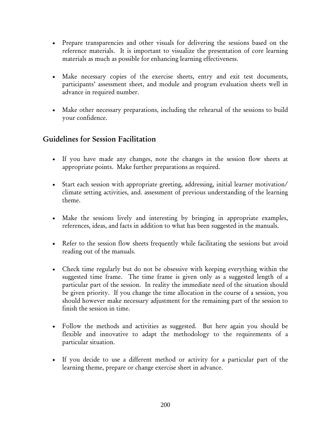- Prepare transparencies and other visuals for delivering the sessions based on the reference materials. It is important to visualize the presentation of core learning materials as much as possible for enhancing learning effectiveness.
- Make necessary copies of the exercise sheets, entry and exit test documents, participants' assessment sheet, and module and program evaluation sheets well in advance in required number.
- Make other necessary preparations, including the rehearsal of the sessions to build your confidence.

## Guidelines for Session Facilitation

- If you have made any changes, note the changes in the session flow sheets at appropriate points. Make further preparations as required.
- Start each session with appropriate greeting, addressing, initial learner motivation/ climate setting activities, and. assessment of previous understanding of the learning theme.
- Make the sessions lively and interesting by bringing in appropriate examples, references, ideas, and facts in addition to what has been suggested in the manuals.
- Refer to the session flow sheets frequently while facilitating the sessions but avoid reading out of the manuals.
- Check time regularly but do not be obsessive with keeping everything within the suggested time frame. The time frame is given only as a suggested length of a particular part of the session. In reality the immediate need of the situation should be given priority. If you change the time allocation in the course of a session, you should however make necessary adjustment for the remaining part of the session to finish the session in time.
- Follow the methods and activities as suggested. But here again you should be flexible and innovative to adapt the methodology to the requirements of a particular situation.
- If you decide to use a different method or activity for a particular part of the learning theme, prepare or change exercise sheet in advance.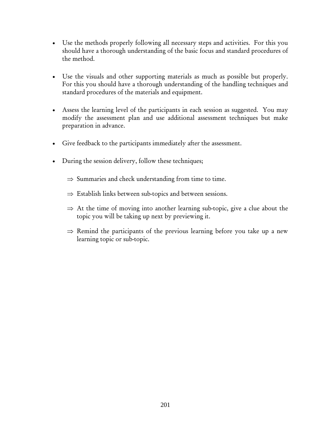- Use the methods properly following all necessary steps and activities. For this you should have a thorough understanding of the basic focus and standard procedures of the method.
- Use the visuals and other supporting materials as much as possible but properly. For this you should have a thorough understanding of the handling techniques and standard procedures of the materials and equipment.
- Assess the learning level of the participants in each session as suggested. You may modify the assessment plan and use additional assessment techniques but make preparation in advance.
- Give feedback to the participants immediately after the assessment.
- During the session delivery, follow these techniques;
	- $\Rightarrow$  Summaries and check understanding from time to time.
	- $\Rightarrow$  Establish links between sub-topics and between sessions.
	- $\Rightarrow$  At the time of moving into another learning sub-topic, give a clue about the topic you will be taking up next by previewing it.
	- $\Rightarrow$  Remind the participants of the previous learning before you take up a new learning topic or sub-topic.